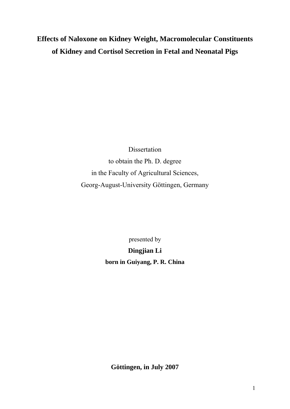# **Effects of Naloxone on Kidney Weight, Macromolecular Constituents of Kidney and Cortisol Secretion in Fetal and Neonatal Pigs**

Dissertation to obtain the Ph. D. degree in the Faculty of Agricultural Sciences, Georg-August-University Göttingen, Germany

presented by

**Dingjian Li born in Guiyang, P. R. China** 

**Göttingen, in July 2007**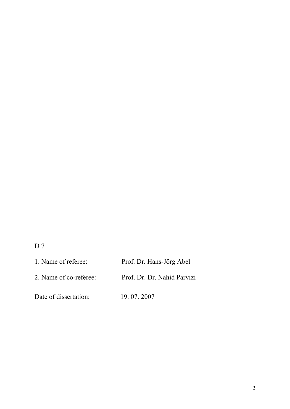# D 7

| 1. Name of referee:    | Prof. Dr. Hans-Jörg Abel    |
|------------------------|-----------------------------|
| 2. Name of co-referee: | Prof. Dr. Dr. Nahid Parvizi |
| Date of dissertation:  | 19.07.2007                  |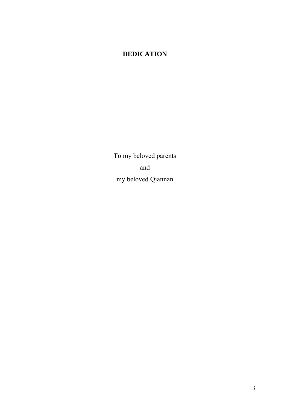# **DEDICATION**

To my beloved parents and my beloved Qiannan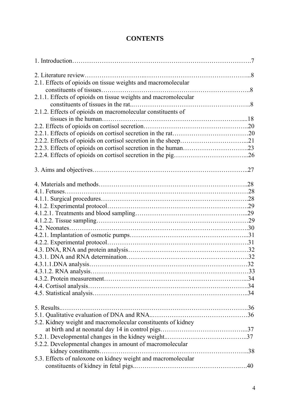## **CONTENTS**

| 2.1. Effects of opioids on tissue weights and macromolecular   |  |
|----------------------------------------------------------------|--|
|                                                                |  |
| 2.1.1. Effects of opioids on tissue weights and macromolecular |  |
|                                                                |  |
| 2.1.2. Effects of opioids on macromolecular constituents of    |  |
|                                                                |  |
|                                                                |  |
|                                                                |  |
|                                                                |  |
|                                                                |  |
|                                                                |  |
|                                                                |  |
|                                                                |  |
|                                                                |  |
|                                                                |  |
|                                                                |  |
|                                                                |  |
|                                                                |  |
|                                                                |  |
|                                                                |  |
|                                                                |  |
|                                                                |  |
|                                                                |  |
|                                                                |  |
|                                                                |  |
|                                                                |  |
|                                                                |  |
|                                                                |  |
|                                                                |  |
|                                                                |  |
|                                                                |  |
| 5. Results                                                     |  |
|                                                                |  |
| 5.2. Kidney weight and macromolecular constituents of kidney   |  |
|                                                                |  |
|                                                                |  |
| 5.2.2. Developmental changes in amount of macromolecular       |  |
|                                                                |  |
| 5.3. Effects of naloxone on kidney weight and macromolecular   |  |
|                                                                |  |
|                                                                |  |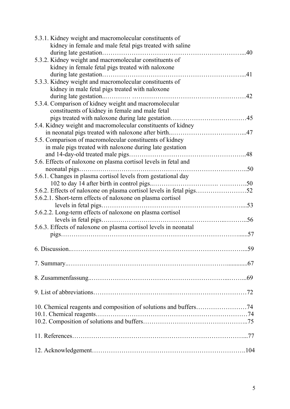| 5.3.1. Kidney weight and macromolecular constituents of          |     |
|------------------------------------------------------------------|-----|
| kidney in female and male fetal pigs treated with saline         |     |
|                                                                  | .40 |
| 5.3.2. Kidney weight and macromolecular constituents of          |     |
| kidney in female fetal pigs treated with naloxone                |     |
|                                                                  |     |
| 5.3.3. Kidney weight and macromolecular constituents of          |     |
| kidney in male fetal pigs treated with naloxone                  |     |
|                                                                  |     |
| 5.3.4. Comparison of kidney weight and macromolecular            |     |
| constituents of kidney in female and male fetal                  |     |
|                                                                  |     |
| 5.4. Kidney weight and macromolecular constituents of kidney     |     |
|                                                                  | .47 |
| 5.5. Comparison of macromolecular constituents of kidney         |     |
| in male pigs treated with naloxone during late gestation         |     |
|                                                                  |     |
| 5.6. Effects of naloxone on plasma cortisol levels in fetal and  |     |
|                                                                  |     |
| 5.6.1. Changes in plasma cortisol levels from gestational day    |     |
|                                                                  |     |
|                                                                  |     |
| 5.6.2.1. Short-term effects of naloxone on plasma cortisol       |     |
|                                                                  |     |
| 5.6.2.2. Long-term effects of naloxone on plasma cortisol        |     |
|                                                                  |     |
| 5.6.3. Effects of naloxone on plasma cortisol levels in neonatal |     |
|                                                                  |     |
|                                                                  |     |
|                                                                  |     |
|                                                                  |     |
|                                                                  |     |
|                                                                  |     |
|                                                                  |     |
|                                                                  |     |
|                                                                  |     |
|                                                                  |     |
|                                                                  |     |
| 10.1. Chemical reagents                                          |     |
|                                                                  |     |
|                                                                  |     |
|                                                                  |     |
|                                                                  |     |
|                                                                  |     |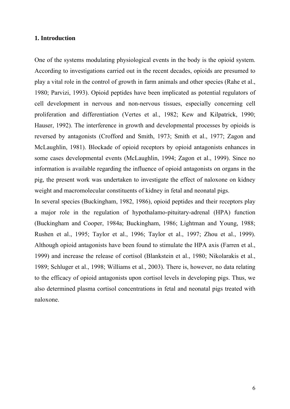#### **1. Introduction**

One of the systems modulating physiological events in the body is the opioid system. According to investigations carried out in the recent decades, opioids are presumed to play a vital role in the control of growth in farm animals and other species (Rahe et al., 1980; Parvizi, 1993). Opioid peptides have been implicated as potential regulators of cell development in nervous and non-nervous tissues, especially concerning cell proliferation and differentiation (Vertes et al., 1982; Kew and Kilpatrick, 1990; Hauser, 1992). The interference in growth and developmental processes by opioids is reversed by antagonists (Crofford and Smith, 1973; Smith et al., 1977; Zagon and McLaughlin, 1981). Blockade of opioid receptors by opioid antagonists enhances in some cases developmental events (McLaughlin, 1994; Zagon et al., 1999). Since no information is available regarding the influence of opioid antagonists on organs in the pig, the present work was undertaken to investigate the effect of naloxone on kidney weight and macromolecular constituents of kidney in fetal and neonatal pigs.

In several species (Buckingham, 1982, 1986), opioid peptides and their receptors play a major role in the regulation of hypothalamo-pituitary-adrenal (HPA) function (Buckingham and Cooper, 1984a; Buckingham, 1986; Lightman and Young, 1988; Rushen et al., 1995; Taylor et al., 1996; Taylor et al., 1997; Zhou et al., 1999). Although opioid antagonists have been found to stimulate the HPA axis (Farren et al., 1999) and increase the release of cortisol (Blankstein et al., 1980; Nikolarakis et al., 1989; Schluger et al., 1998; Williams et al., 2003). There is, however, no data relating to the efficacy of opioid antagonists upon cortisol levels in developing pigs. Thus, we also determined plasma cortisol concentrations in fetal and neonatal pigs treated with naloxone.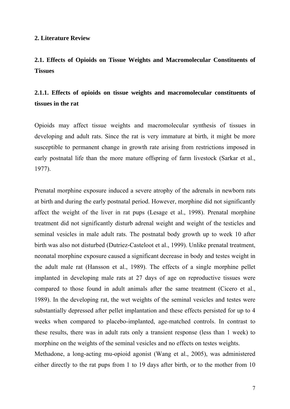#### **2. Literature Review**

**2.1. Effects of Opioids on Tissue Weights and Macromolecular Constituents of Tissues** 

## **2.1.1. Effects of opioids on tissue weights and macromolecular constituents of tissues in the rat**

Opioids may affect tissue weights and macromolecular synthesis of tissues in developing and adult rats. Since the rat is very immature at birth, it might be more susceptible to permanent change in growth rate arising from restrictions imposed in early postnatal life than the more mature offspring of farm livestock (Sarkar et al., 1977).

Prenatal morphine exposure induced a severe atrophy of the adrenals in newborn rats at birth and during the early postnatal period. However, morphine did not significantly affect the weight of the liver in rat pups (Lesage et al., 1998). Prenatal morphine treatment did not significantly disturb adrenal weight and weight of the testicles and seminal vesicles in male adult rats. The postnatal body growth up to week 10 after birth was also not disturbed (Dutriez-Casteloot et al., 1999). Unlike prenatal treatment, neonatal morphine exposure caused a significant decrease in body and testes weight in the adult male rat (Hansson et al., 1989). The effects of a single morphine pellet implanted in developing male rats at 27 days of age on reproductive tissues were compared to those found in adult animals after the same treatment (Cicero et al., 1989). In the developing rat, the wet weights of the seminal vesicles and testes were substantially depressed after pellet implantation and these effects persisted for up to 4 weeks when compared to placebo-implanted, age-matched controls. In contrast to these results, there was in adult rats only a transient response (less than 1 week) to morphine on the weights of the seminal vesicles and no effects on testes weights.

Methadone, a long-acting mu-opioid agonist (Wang et al., 2005), was administered either directly to the rat pups from 1 to 19 days after birth, or to the mother from 10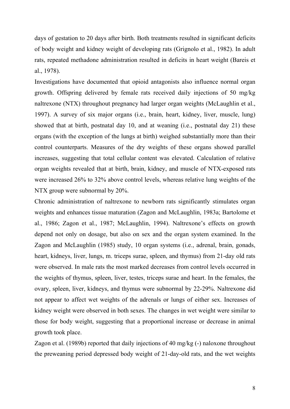days of gestation to 20 days after birth. Both treatments resulted in significant deficits of body weight and kidney weight of developing rats (Grignolo et al., 1982). In adult rats, repeated methadone administration resulted in deficits in heart weight (Bareis et al., 1978).

Investigations have documented that opioid antagonists also influence normal organ growth. Offspring delivered by female rats received daily injections of 50 mg/kg naltrexone (NTX) throughout pregnancy had larger organ weights (McLaughlin et al., 1997). A survey of six major organs (i.e., brain, heart, kidney, liver, muscle, lung) showed that at birth, postnatal day 10, and at weaning (i.e., postnatal day 21) these organs (with the exception of the lungs at birth) weighed substantially more than their control counterparts. Measures of the dry weights of these organs showed parallel increases, suggesting that total cellular content was elevated. Calculation of relative organ weights revealed that at birth, brain, kidney, and muscle of NTX-exposed rats were increased 26% to 32% above control levels, whereas relative lung weights of the NTX group were subnormal by 20%.

Chronic administration of naltrexone to newborn rats significantly stimulates organ weights and enhances tissue maturation (Zagon and McLaughlin, 1983a; Bartolome et al., 1986; Zagon et al., 1987; McLaughlin, 1994). Naltrexone's effects on growth depend not only on dosage, but also on sex and the organ system examined. In the Zagon and McLaughlin (1985) study, 10 organ systems (i.e., adrenal, brain, gonads, heart, kidneys, liver, lungs, m. triceps surae, spleen, and thymus) from 21-day old rats were observed. In male rats the most marked decreases from control levels occurred in the weights of thymus, spleen, liver, testes, triceps surae and heart. In the females, the ovary, spleen, liver, kidneys, and thymus were subnormal by 22-29%. Naltrexone did not appear to affect wet weights of the adrenals or lungs of either sex. Increases of kidney weight were observed in both sexes. The changes in wet weight were similar to those for body weight, suggesting that a proportional increase or decrease in animal growth took place.

Zagon et al. (1989b) reported that daily injections of 40 mg/kg (-) naloxone throughout the preweaning period depressed body weight of 21-day-old rats, and the wet weights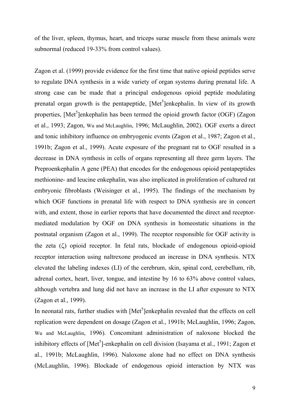of the liver, spleen, thymus, heart, and triceps surae muscle from these animals were subnormal (reduced 19-33% from control values).

Zagon et al. (1999) provide evidence for the first time that native opioid peptides serve to regulate DNA synthesis in a wide variety of organ systems during prenatal life. A strong case can be made that a principal endogenous opioid peptide modulating prenatal organ growth is the pentapeptide, [Met<sup>5</sup>]enkephalin. In view of its growth properties, [Met<sup>5</sup>]enkephalin has been termed the opioid growth factor (OGF) (Zagon et al., 1993; Zagon, Wu and McLaughlin, 1996; McLaughlin, 2002). OGF exerts a direct and tonic inhibitory influence on embryogenic events (Zagon et al., 1987; Zagon et al., 1991b; Zagon et al., 1999). Acute exposure of the pregnant rat to OGF resulted in a decrease in DNA synthesis in cells of organs representing all three germ layers. The Preproenkephalin A gene (PEA) that encodes for the endogenous opioid pentapeptides methionine- and leucine enkephalin, was also implicated in proliferation of cultured rat embryonic fibroblasts (Weisinger et al., 1995). The findings of the mechanism by which OGF functions in prenatal life with respect to DNA synthesis are in concert with, and extent, those in earlier reports that have documented the direct and receptormediated modulation by OGF on DNA synthesis in homeostatic situations in the postnatal organism (Zagon et al., 1999). The receptor responsible for OGF activity is the zeta (ζ) opioid receptor. In fetal rats, blockade of endogenous opioid-opioid receptor interaction using naltrexone produced an increase in DNA synthesis. NTX elevated the labeling indexes (LI) of the cerebrum, skin, spinal cord, cerebellum, rib, adrenal cortex, heart, liver, tongue, and intestine by 16 to 63% above control values, although vertebra and lung did not have an increase in the LI after exposure to NTX (Zagon et al., 1999).

In neonatal rats, further studies with  $[Met<sup>5</sup>]$ enkephalin revealed that the effects on cell replication were dependent on dosage (Zagon et al., 1991b; McLaughlin, 1996; Zagon, Wu and McLaughlin, 1996). Concomitant administration of naloxone blocked the inhibitory effects of  $[Met<sup>5</sup>]$ -enkephalin on cell division (Isayama et al., 1991; Zagon et al., 1991b; McLaughlin, 1996). Naloxone alone had no effect on DNA synthesis (McLaughlin, 1996). Blockade of endogenous opioid interaction by NTX was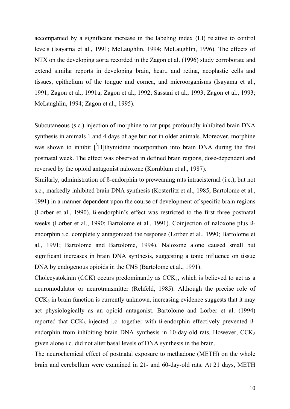accompanied by a significant increase in the labeling index (LI) relative to control levels (Isayama et al., 1991; McLaughlin, 1994; McLaughlin, 1996). The effects of NTX on the developing aorta recorded in the Zagon et al. (1996) study corroborate and extend similar reports in developing brain, heart, and retina, neoplastic cells and tissues, epithelium of the tongue and cornea, and microorganisms (Isayama et al., 1991; Zagon et al., 1991a; Zagon et al., 1992; Sassani et al., 1993; Zagon et al., 1993; McLaughlin, 1994; Zagon et al., 1995).

Subcutaneous (s.c.) injection of morphine to rat pups profoundly inhibited brain DNA synthesis in animals 1 and 4 days of age but not in older animals. Moreover, morphine was shown to inhibit  $\int^3 H$ ]thymidine incorporation into brain DNA during the first postnatal week. The effect was observed in defined brain regions, dose-dependent and reversed by the opioid antagonist naloxone (Kornblum et al., 1987).

Similarly, administration of ß-endorphin to preweaning rats intracisternal (i.c.), but not s.c., markedly inhibited brain DNA synthesis (Kosterlitz et al., 1985; Bartolome et al., 1991) in a manner dependent upon the course of development of specific brain regions (Lorber et al., 1990). ß-endorphin's effect was restricted to the first three postnatal weeks (Lorber et al., 1990; Bartolome et al., 1991). Coinjection of naloxone plus ßendorphin i.c. completely antagonized the response (Lorber et al., 1990; Bartolome et al., 1991; Bartolome and Bartolome, 1994). Naloxone alone caused small but significant increases in brain DNA synthesis, suggesting a tonic influence on tissue DNA by endogenous opioids in the CNS (Bartolome et al., 1991).

Cholecystokinin (CCK) occurs predominantly as  $CCK_8$ , which is believed to act as a neuromodulator or neurotransmitter (Rehfeld, 1985). Although the precise role of  $CCK<sub>8</sub>$  in brain function is currently unknown, increasing evidence suggests that it may act physiologically as an opioid antagonist. Bartolome and Lorber et al. (1994) reported that  $CCK_8$  injected i.c. together with B-endorphin effectively prevented Bendorphin from inhibiting brain DNA synthesis in 10-day-old rats. However,  $CCK_8$ given alone i.c. did not alter basal levels of DNA synthesis in the brain.

The neurochemical effect of postnatal exposure to methadone (METH) on the whole brain and cerebellum were examined in 21- and 60-day-old rats. At 21 days, METH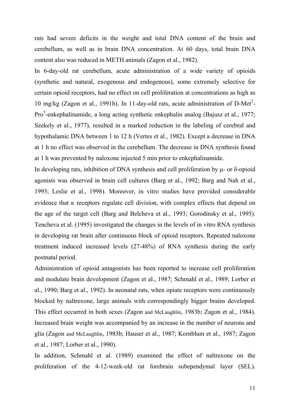rats had severe deficits in the weight and total DNA content of the brain and cerebellum, as well as in brain DNA concentration. At 60 days, total brain DNA content also was reduced in METH animals (Zagon et al., 1982).

In 6-day-old rat cerebellum, acute administration of a wide variety of opioids (synthetic and natural, exogenous and endogenous), some extremely selective for certain opioid receptors, had no effect on cell proliferation at concentrations as high as 10 mg/kg (Zagon et al., 1991b). In 11-day-old rats, acute administration of D-Met<sup>2</sup>-Pro<sup>5</sup>-enkephalinamide, a long acting synthetic enkephalin analog (Bajusz et al., 1977; Szekely et al., 1977), resulted in a marked reduction in the labeling of cerebral and hypothalamic DNA between 1 to 12 h (Vertes et al., 1982). Except a decrease in DNA at 1 h no effect was observed in the cerebellum. The decrease in DNA synthesis found at 1 h was prevented by naloxone injected 5 min prior to enkephalinamide.

In developing rats, inhibition of DNA synthesis and cell proliferation by μ- or δ-opioid agonists was observed in brain cell cultures (Barg et al., 1992; Barg and Nah et al., 1993; Leslie et al., 1998). Moreover, in vitro studies have provided considerable evidence that κ receptors regulate cell division, with complex effects that depend on the age of the target cell (Barg and Belcheva et al., 1993; Gorodinsky et al., 1995). Tencheva et al. (1995) investigated the changes in the levels of in vitro RNA synthesis in developing rat brain after continuous block of opioid receptors. Repeated naloxone treatment induced increased levels (27-48%) of RNA synthesis during the early postnatal period.

Administration of opioid antagonists has been reported to increase cell proliferation and modulate brain development (Zagon et al., 1987; Schmahl et al., 1989; Lorber et al., 1990; Barg et al., 1992). In neonatal rats, when opiate receptors were continuously blocked by naltrexone, large animals with correspondingly bigger brains developed. This effect occurred in both sexes (Zagon and McLaughlin, 1983b; Zagon et al., 1984). Increased brain weight was accompanied by an increase in the number of neurons and glia (Zagon and McLaughlin, 1983b; Hauser et al., 1987; Kornblum et al., 1987; Zagon et al., 1987; Lorber et al., 1990).

In addition, Schmahl et al. (1989) examined the effect of naltrexone on the proliferation of the 4-12-week-old rat forebrain subependymal layer (SEL).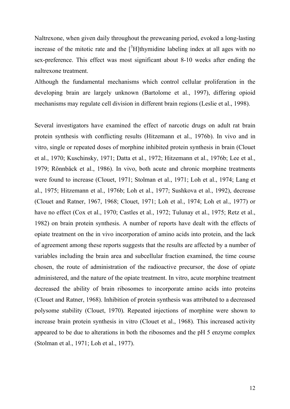Naltrexone, when given daily throughout the preweaning period, evoked a long-lasting increase of the mitotic rate and the  $\int^3 H$  thymidine labeling index at all ages with no sex-preference. This effect was most significant about 8-10 weeks after ending the naltrexone treatment.

Although the fundamental mechanisms which control cellular proliferation in the developing brain are largely unknown (Bartolome et al., 1997), differing opioid mechanisms may regulate cell division in different brain regions (Leslie et al., 1998).

Several investigators have examined the effect of narcotic drugs on adult rat brain protein synthesis with conflicting results (Hitzemann et al., 1976b). In vivo and in vitro, single or repeated doses of morphine inhibited protein synthesis in brain (Clouet et al., 1970; Kuschinsky, 1971; Datta et al., 1972; Hitzemann et al., 1976b; Lee et al., 1979; Rönnbäck et al., 1986). In vivo, both acute and chronic morphine treatments were found to increase (Clouet, 1971; Stolman et al., 1971; Loh et al., 1974; Lang et al., 1975; Hitzemann et al., 1976b; Loh et al., 1977; Sushkova et al., 1992), decrease (Clouet and Ratner, 1967, 1968; Clouet, 1971; Loh et al., 1974; Loh et al., 1977) or have no effect (Cox et al., 1970; Castles et al., 1972; Tulunay et al., 1975; Retz et al., 1982) on brain protein synthesis. A number of reports have dealt with the effects of opiate treatment on the in vivo incorporation of amino acids into protein, and the lack of agreement among these reports suggests that the results are affected by a number of variables including the brain area and subcellular fraction examined, the time course chosen, the route of administration of the radioactive precursor, the dose of opiate administered, and the nature of the opiate treatment. In vitro, acute morphine treatment decreased the ability of brain ribosomes to incorporate amino acids into proteins (Clouet and Ratner, 1968). Inhibition of protein synthesis was attributed to a decreased polysome stability (Clouet, 1970)*.* Repeated injections of morphine were shown to increase brain protein synthesis in vitro (Clouet et al., 1968). This increased activity appeared to be due to alterations in both the ribosomes and the pH 5 enzyme complex (Stolman et al., 1971; Loh et al., 1977).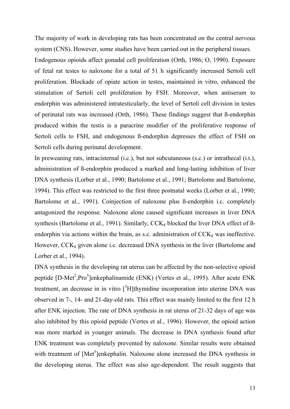The majority of work in developing rats has been concentrated on the central nervous system (CNS). However, some studies have been carried out in the peripheral tissues.

Endogenous opioids affect gonadal cell proliferation (Orth, 1986; O, 1990). Exposure of fetal rat testes to naloxone for a total of 51 h significantly increased Sertoli cell proliferation. Blockade of opiate action in testes, maintained in vitro, enhanced the stimulation of Sertoli cell proliferation by FSH. Moreover, when antiserum to endorphin was administered intratesticularly, the level of Sertoli cell division in testes of perinatal rats was increased (Orth, 1986). These findings suggest that ß-endorphin produced within the testis is a paracrine modifier of the proliferative response of Sertoli cells to FSH, and endogenous ß-endorphin depresses the effect of FSH on Sertoli cells during perinatal development.

In preweaning rats, intracisternal (i.c.), but not subcutaneous (s.c.) or intrathecal (i.t.), administration of ß-endorphin produced a marked and long-lasting inhibition of liver DNA synthesis (Lorber et al., 1990; Bartolome et al., 1991; Bartolome and Bartolome, 1994). This effect was restricted to the first three postnatal weeks (Lorber et al., 1990; Bartolome et al., 1991). Coinjection of naloxone plus ß-endorphin i.c. completely antagonized the response. Naloxone alone caused significant increases in liver DNA synthesis (Bartolome et al., 1991). Similarly,  $CCK_8$  blocked the liver DNA effect of  $\beta$ endorphin via actions within the brain, as s.c. administration of  $CCK_8$  was ineffective. However,  $CCK_8$  given alone i.c. decreased DNA synthesis in the liver (Bartolome and Lorber et al., 1994).

DNA synthesis in the developing rat uterus can be affected by the non-selective opioid peptide [D-Met<sup>2</sup>, Pro<sup>5</sup>]enkephalinamide (ENK) (Vertes et al., 1995). After acute ENK treatment, an decrease in in vitro  $\int^3 H$  thymidine incorporation into uterine DNA was observed in 7-, 14- and 21-day-old rats. This effect was mainly limited to the first 12 h after ENK injection. The rate of DNA synthesis in rat uterus of 21-32 days of age was also inhibited by this opioid peptide (Vertes et al., 1996). However, the opioid action was more marked in younger animals. The decrease in DNA synthesis found after ENK treatment was completely prevented by naloxone. Similar results were obtained with treatment of [Met<sup>5</sup>]enkephalin. Naloxone alone increased the DNA synthesis in the developing uterus. The effect was also age-dependent. The result suggests that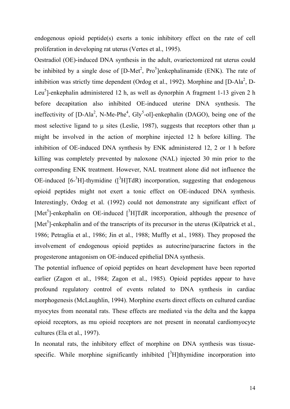endogenous opioid peptide(s) exerts a tonic inhibitory effect on the rate of cell proliferation in developing rat uterus (Vertes et al., 1995).

Oestradiol (OE)-induced DNA synthesis in the adult, ovariectomized rat uterus could be inhibited by a single dose of  $[D-Met^2, Pro^5]$ enkephalinamide (ENK). The rate of inhibition was strictly time dependent (Ordog et al., 1992). Morphine and  $[D-Ala<sup>2</sup>, D-Da<sup>2</sup>]$ Leu<sup>5</sup>]-enkephalin administered 12 h, as well as dynorphin A fragment 1-13 given 2 h before decapitation also inhibited OE-induced uterine DNA synthesis. The ineffectivity of  $[D-Ala<sup>2</sup>, N-Me-Phe<sup>4</sup>, Gly<sup>5</sup>-ol]-enkephalin (DAGO), being one of the$ most selective ligand to  $\mu$  sites (Leslie, 1987), suggests that receptors other than  $\mu$ might be involved in the action of morphine injected 12 h before killing. The inhibition of OE-induced DNA synthesis by ENK administered 12, 2 or 1 h before killing was completely prevented by naloxone (NAL) injected 30 min prior to the corresponding ENK treatment. However, NAL treatment alone did not influence the OE-induced  $[6^{-3}H]$ -thymidine  $([^{3}H]TdR)$  incorporation, suggesting that endogenous opioid peptides might not exert a tonic effect on OE-induced DNA synthesis. Interestingly, Ordog et al. (1992) could not demonstrate any significant effect of [Met<sup>5</sup>]-enkephalin on OE-induced  $[{}^{3}H]TdR$  incorporation, although the presence of [Met<sup>5</sup>]-enkephalin and of the transcripts of its precursor in the uterus (Kilpatrick et al., 1986; Petraglia et al., 1986; Jin et al., 1988; Muffly et al., 1988). They proposed the involvement of endogenous opioid peptides as autocrine/paracrine factors in the progesterone antagonism on OE-induced epithelial DNA synthesis.

The potential influence of opioid peptides on heart development have been reported earlier (Zagon et al., 1984; Zagon et al., 1985). Opioid peptides appear to have profound regulatory control of events related to DNA synthesis in cardiac morphogenesis (McLaughlin, 1994). Morphine exerts direct effects on cultured cardiac myocytes from neonatal rats. These effects are mediated via the delta and the kappa opioid receptors, as mu opioid receptors are not present in neonatal cardiomyocyte cultures (Ela et al., 1997).

In neonatal rats, the inhibitory effect of morphine on DNA synthesis was tissuespecific. While morphine significantly inhibited  $[^{3}H]$ thymidine incorporation into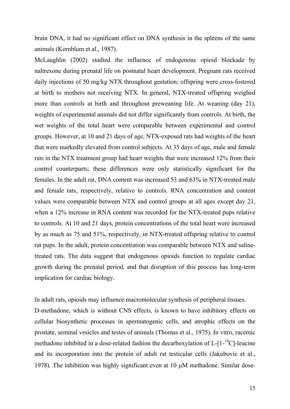brain DNA, it had no significant effect on DNA synthesis in the spleens of the same animals (Kornblum et al., 1987).

McLaughlin (2002) studied the influence of endogenous opioid blockade by naltrexone during prenatal life on postnatal heart development. Pregnant rats received daily injections of 50 mg/kg NTX throughout gestation; offspring were cross-fostered at birth to mothers not receiving NTX. In general, NTX-treated offspring weighed more than controls at birth and throughout preweaning life. At weaning (day 21), weights of experimental animals did not differ significantly from controls. At birth, the wet weights of the total heart were comparable between experimental and control groups. However, at 10 and 21 days of age, NTX-exposed rats had weights of the heart that were markedly elevated from control subjects. At 35 days of age, male and female rats in the NTX treatment group had heart weights that were increased 12% from their control counterparts; these differences were only statistically significant for the females. In the adult rat, DNA content was increased 53 and 63% in NTX-treated male and female rats, respectively, relative to controls. RNA concentration and content values were comparable between NTX and control groups at all ages except day 21, when a 12% increase in RNA content was recorded for the NTX-treated pups relative to controls. At 10 and 21 days, protein concentrations of the total heart were increased by as much as 75 and 51%, respectively, in NTX-treated offspring relative to control rat pups. In the adult, protein concentration was comparable between NTX and salinetreated rats. The data suggest that endogenous opioids function to regulate cardiac growth during the prenatal period, and that disruption of this process has long-term implication for cardiac biology.

In adult rats, opioids may influence macromolecular synthesis of peripheral tissues. D-methadone, which is without CNS effects, is known to have inhibitory effects on cellular biosynthetic processes in spermatogenic cells, and atrophic effects on the prostate, seminal vesicles and testes of animals (Thomas et al., 1975). In vitro, racemic methadone inhibited in a dose-related fashion the decarboxylation of  $L-[1-14C]$ -leucine and its incorporation into the protein of adult rat testicular cells (Jakubovic et al., 1978). The inhibition was highly significant even at 10 μM methadone. Similar dose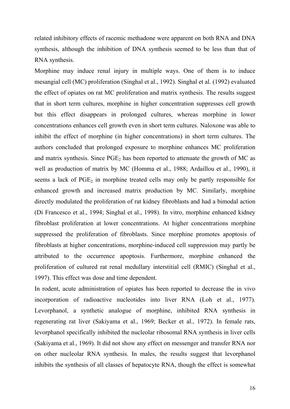related inhibitory effects of racemic methadone were apparent on both RNA and DNA synthesis, although the inhibition of DNA synthesis seemed to be less than that of RNA synthesis.

Morphine may induce renal injury in multiple ways. One of them is to induce mesangial cell (MC) proliferation (Singhal et al., 1992). Singhal et al. (1992) evaluated the effect of opiates on rat MC proliferation and matrix synthesis. The results suggest that in short term cultures, morphine in higher concentration suppresses cell growth but this effect disappears in prolonged cultures, whereas morphine in lower concentrations enhances cell growth even in short term cultures. Naloxone was able to inhibit the effect of morphine (in higher concentrations) in short term cultures. The authors concluded that prolonged exposure to morphine enhances MC proliferation and matrix synthesis. Since  $PGE<sub>2</sub>$  has been reported to attenuate the growth of MC as well as production of matrix by MC (Homma et al., 1988; Ardaillou et al., 1990), it seems a lack of PGE<sub>2</sub> in morphine treated cells may only be partly responsible for enhanced growth and increased matrix production by MC. Similarly, morphine directly modulated the proliferation of rat kidney fibroblasts and had a bimodal action (Di Francesco et al., 1994; Singhal et al., 1998). In vitro, morphine enhanced kidney fibroblast proliferation at lower concentrations. At higher concentrations morphine suppressed the proliferation of fibroblasts. Since morphine promotes apoptosis of fibroblasts at higher concentrations, morphine-induced cell suppression may partly be attributed to the occurrence apoptosis. Furthermore, morphine enhanced the proliferation of cultured rat renal medullary interstitial cell (RMIC) (Singhal et al., 1997). This effect was dose and time dependent.

In rodent, acute administration of opiates has been reported to decrease the in vivo incorporation of radioactive nucleotides into liver RNA (Loh et al., 1977). Levorphanol, a synthetic analogue of morphine, inhibited RNA synthesis in regenerating rat liver (Sakiyama et al., 1969; Becker et al., 1972). In female rats, levorphanol specifically inhibited the nucleolar ribosomal RNA synthesis in liver cells (Sakiyama et al., 1969). It did not show any effect on messenger and transfer RNA nor on other nucleolar RNA synthesis. In males, the results suggest that levorphanol inhibits the synthesis of all classes of hepatocyte RNA, though the effect is somewhat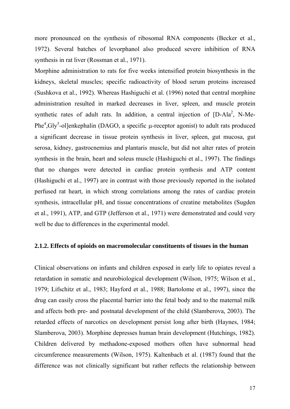more pronounced on the synthesis of ribosomal RNA components (Becker et al., 1972). Several batches of levorphanol also produced severe inhibition of RNA synthesis in rat liver (Rossman et al., 1971).

Morphine administration to rats for five weeks intensified protein biosynthesis in the kidneys, skeletal muscles; specific radioactivity of blood serum proteins increased (Sushkova et al., 1992). Whereas Hashiguchi et al. (1996) noted that central morphine administration resulted in marked decreases in liver, spleen, and muscle protein synthetic rates of adult rats. In addition, a central injection of  $[D-Ala<sup>2</sup>, N-Me-$ Phe<sup>4</sup>, Gly<sup>5</sup>-ol]enkephalin (DAGO, a specific  $\mu$ -receptor agonist) to adult rats produced a significant decrease in tissue protein synthesis in liver, spleen, gut mucosa, gut serosa, kidney, gastrocnemius and plantaris muscle, but did not alter rates of protein synthesis in the brain, heart and soleus muscle (Hashiguchi et al., 1997). The findings that no changes were detected in cardiac protein synthesis and ATP content (Hashiguchi et al., 1997) are in contrast with those previously reported in the isolated perfused rat heart, in which strong correlations among the rates of cardiac protein synthesis, intracellular pH, and tissue concentrations of creatine metabolites (Sugden et al., 1991), ATP, and GTP (Jefferson et al., 1971) were demonstrated and could very well be due to differences in the experimental model.

#### **2.1.2. Effects of opioids on macromolecular constituents of tissues in the human**

Clinical observations on infants and children exposed in early life to opiates reveal a retardation in somatic and neurobiological development (Wilson, 1975; Wilson et al., 1979; Lifschitz et al., 1983; Hayford et al., 1988; Bartolome et al., 1997), since the drug can easily cross the placental barrier into the fetal body and to the maternal milk and affects both pre- and postnatal development of the child (Slamberova, 2003). The retarded effects of narcotics on development persist long after birth (Haynes, 1984; Slamberova, 2003). Morphine depresses human brain development (Hutchings, 1982). Children delivered by methadone-exposed mothers often have subnormal head circumference measurements (Wilson, 1975). Kaltenbach et al. (1987) found that the difference was not clinically significant but rather reflects the relationship between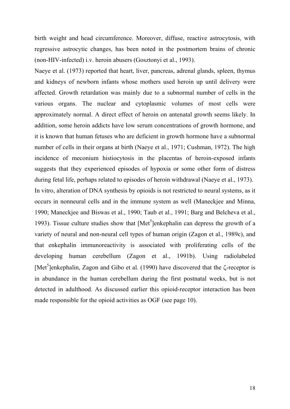birth weight and head circumference. Moreover, diffuse, reactive astrocytosis, with regressive astrocytic changes, has been noted in the postmortem brains of chronic (non-HIV-infected) i.v. heroin abusers (Gosztonyi et al., 1993).

Naeye et al. (1973) reported that heart, liver, pancreas, adrenal glands, spleen, thymus and kidneys of newborn infants whose mothers used heroin up until delivery were affected. Growth retardation was mainly due to a subnormal number of cells in the various organs. The nuclear and cytoplasmic volumes of most cells were approximately normal. A direct effect of heroin on antenatal growth seems likely. In addition, some heroin addicts have low serum concentrations of growth hormone, and it is known that human fetuses who are deficient in growth hormone have a subnormal number of cells in their organs at birth (Naeye et al., 1971; Cushman, 1972). The high incidence of meconium histiocytosis in the placentas of heroin-exposed infants suggests that they experienced episodes of hypoxia or some other form of distress during fetal life, perhaps related to episodes of heroin withdrawal (Naeye et al., 1973).

In vitro, alteration of DNA synthesis by opioids is not restricted to neural systems, as it occurs in nonneural cells and in the immune system as well (Maneckjee and Minna, 1990; Maneckjee and Biswas et al., 1990; Taub et al., 1991; Barg and Belcheva et al., 1993). Tissue culture studies show that  $[Met<sup>5</sup>]$ enkephalin can depress the growth of a variety of neural and non-neural cell types of human origin (Zagon et al., 1989c), and that enkephalin immunoreactivity is associated with proliferating cells of the developing human cerebellum (Zagon et al., 1991b). Using radiolabeled [Met<sup>5</sup>]enkephalin, Zagon and Gibo et al. (1990) have discovered that the  $\zeta$ -receptor is in abundance in the human cerebellum during the first postnatal weeks, but is not detected in adulthood. As discussed earlier this opioid-receptor interaction has been made responsible for the opioid activities as OGF (see page 10).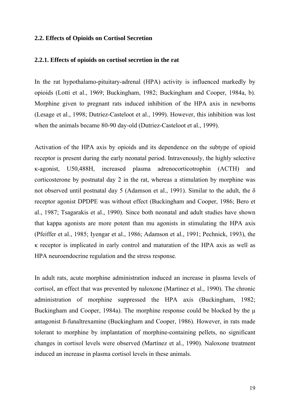#### **2.2. Effects of Opioids on Cortisol Secretion**

#### **2.2.1. Effects of opioids on cortisol secretion in the rat**

In the rat hypothalamo-pituitary-adrenal (HPA) activity is influenced markedly by opioids (Lotti et al., 1969; Buckingham, 1982; Buckingham and Cooper, 1984a, b). Morphine given to pregnant rats induced inhibition of the HPA axis in newborns (Lesage et al., 1998; Dutriez-Casteloot et al., 1999). However, this inhibition was lost when the animals became 80-90 day-old (Dutriez-Casteloot et al., 1999).

Activation of the HPA axis by opioids and its dependence on the subtype of opioid receptor is present during the early neonatal period. Intravenously, the highly selective κ-agonist, U50,488H, increased plasma adrenocorticotrophin (ACTH) and corticosterone by postnatal day 2 in the rat, whereas a stimulation by morphine was not observed until postnatal day 5 (Adamson et al., 1991). Similar to the adult, the  $\delta$ receptor agonist DPDPE was without effect (Buckingham and Cooper, 1986; Bero et al., 1987; Tsagarakis et al., 1990). Since both neonatal and adult studies have shown that kappa agonists are more potent than mu agonists in stimulating the HPA axis (Pfeiffer et al., 1985; Iyengar et al., 1986; Adamson et al., 1991; Pechnick, 1993), the κ receptor is implicated in early control and maturation of the HPA axis as well as HPA neuroendocrine regulation and the stress response.

In adult rats, acute morphine administration induced an increase in plasma levels of cortisol, an effect that was prevented by naloxone (Martinez et al., 1990). The chronic administration of morphine suppressed the HPA axis (Buckingham, 1982; Buckingham and Cooper, 1984a). The morphine response could be blocked by the μ antagonist ß-funaltrexamine (Buckingham and Cooper, 1986). However, in rats made tolerant to morphine by implantation of morphine-containing pellets, no significant changes in cortisol levels were observed (Martínez et al., 1990). Naloxone treatment induced an increase in plasma cortisol levels in these animals.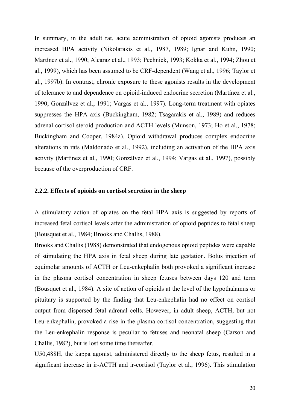In summary, in the adult rat, acute administration of opioid agonists produces an increased HPA activity (Nikolarakis et al., 1987, 1989; Ignar and Kuhn, 1990; Martínez et al., 1990; Alcaraz et al., 1993; Pechnick, 1993; Kokka et al., 1994; Zhou et al., 1999), which has been assumed to be CRF-dependent (Wang et al., 1996; Taylor et al., 1997b). In contrast, chronic exposure to these agonists results in the development of tolerance to and dependence on opioid-induced endocrine secretion (Martínez et al., 1990; Gonzálvez et al., 1991; Vargas et al., 1997). Long-term treatment with opiates suppresses the HPA axis (Buckingham, 1982; Tsagarakis et al., 1989) and reduces adrenal cortisol steroid production and ACTH levels (Munson, 1973; Ho et al., 1978; Buckingham and Cooper, 1984a). Opioid withdrawal produces complex endocrine alterations in rats (Maldonado et al., 1992), including an activation of the HPA axis activity (Martínez et al., 1990; Gonzálvez et al., 1994; Vargas et al., 1997), possibly because of the overproduction of CRF.

#### **2.2.2. Effects of opioids on cortisol secretion in the sheep**

A stimulatory action of opiates on the fetal HPA axis is suggested by reports of increased fetal cortisol levels after the administration of opioid peptides to fetal sheep (Bousquet et al., 1984; Brooks and Challis, 1988).

Brooks and Challis (1988) demonstrated that endogenous opioid peptides were capable of stimulating the HPA axis in fetal sheep during late gestation. Bolus injection of equimolar amounts of ACTH or Leu-enkephalin both provoked a significant increase in the plasma cortisol concentration in sheep fetuses between days 120 and term (Bousquet et al., 1984). A site of action of opioids at the level of the hypothalamus or pituitary is supported by the finding that Leu-enkephalin had no effect on cortisol output from dispersed fetal adrenal cells. However, in adult sheep, ACTH, but not Leu-enkephalin, provoked a rise in the plasma cortisol concentration, suggesting that the Leu-enkephalin response is peculiar to fetuses and neonatal sheep (Carson and Challis, 1982), but is lost some time thereafter.

U50,488H, the kappa agonist, administered directly to the sheep fetus, resulted in a significant increase in ir-ACTH and ir-cortisol (Taylor et al., 1996). This stimulation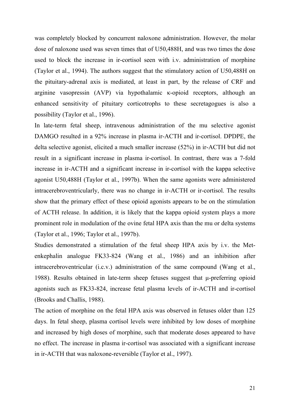was completely blocked by concurrent naloxone administration. However, the molar dose of naloxone used was seven times that of U50,488H, and was two times the dose used to block the increase in ir-cortisol seen with i.v. administration of morphine (Taylor et al., 1994). The authors suggest that the stimulatory action of U50,488H on the pituitary-adrenal axis is mediated, at least in part, by the release of CRF and arginine vasopressin (AVP) via hypothalamic κ-opioid receptors, although an enhanced sensitivity of pituitary corticotrophs to these secretagogues is also a possibility (Taylor et al., 1996).

In late-term fetal sheep, intravenous administration of the mu selective agonist DAMGO resulted in a 92% increase in plasma ir-ACTH and ir-cortisol. DPDPE, the delta selective agonist, elicited a much smaller increase (52%) in ir-ACTH but did not result in a significant increase in plasma ir-cortisol. In contrast, there was a 7-fold increase in ir-ACTH and a significant increase in ir-cortisol with the kappa selective agonist U50,488H (Taylor et al., 1997b). When the same agonists were administered intracerebroventricularly, there was no change in ir-ACTH or ir-cortisol. The results show that the primary effect of these opioid agonists appears to be on the stimulation of ACTH release. In addition, it is likely that the kappa opioid system plays a more prominent role in modulation of the ovine fetal HPA axis than the mu or delta systems (Taylor et al., 1996; Taylor et al., 1997b).

Studies demonstrated a stimulation of the fetal sheep HPA axis by i.v. the Metenkephalin analogue FK33-824 (Wang et al., 1986) and an inhibition after intracerebroventricular (i.c.v.) administration of the same compound (Wang et al., 1988). Results obtained in late-term sheep fetuses suggest that μ-preferring opioid agonists such as FK33-824, increase fetal plasma levels of ir-ACTH and ir-cortisol (Brooks and Challis, 1988).

The action of morphine on the fetal HPA axis was observed in fetuses older than 125 days. In fetal sheep, plasma cortisol levels were inhibited by low doses of morphine and increased by high doses of morphine, such that moderate doses appeared to have no effect. The increase in plasma ir-cortisol was associated with a significant increase in ir-ACTH that was naloxone-reversible (Taylor et al., 1997).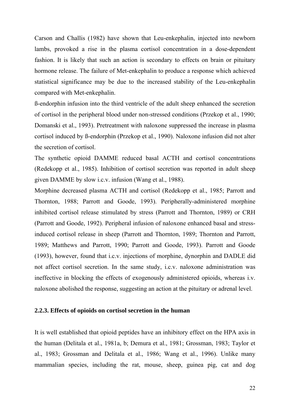Carson and Challis (1982) have shown that Leu-enkephalin, injected into newborn lambs, provoked a rise in the plasma cortisol concentration in a dose-dependent fashion. It is likely that such an action is secondary to effects on brain or pituitary hormone release. The failure of Met-enkephalin to produce a response which achieved statistical significance may be due to the increased stability of the Leu-enkephalin compared with Met-enkephalin.

ß-endorphin infusion into the third ventricle of the adult sheep enhanced the secretion of cortisol in the peripheral blood under non-stressed conditions (Przekop et al., 1990; Domanski et al., 1993). Pretreatment with naloxone suppressed the increase in plasma cortisol induced by ß-endorphin (Przekop et al., 1990). Naloxone infusion did not alter the secretion of cortisol.

The synthetic opioid DAMME reduced basal ACTH and cortisol concentrations (Redekopp et al., 1985). Inhibition of cortisol secretion was reported in adult sheep given DAMME by slow i.c.v. infusion (Wang et al., 1988).

Morphine decreased plasma ACTH and cortisol (Redekopp et al., 1985; Parrott and Thornton, 1988; Parrott and Goode, 1993). Peripherally-administered morphine inhibited cortisol release stimulated by stress (Parrott and Thornton, 1989) or CRH (Parrott and Goode, 1992). Peripheral infusion of naloxone enhanced basal and stressinduced cortisol release in sheep (Parrott and Thornton, 1989; Thornton and Parrott, 1989; Matthews and Parrott, 1990; Parrott and Goode, 1993). Parrott and Goode (1993), however, found that i.c.v. injections of morphine, dynorphin and DADLE did not affect cortisol secretion. In the same study, i.c.v. naloxone administration was ineffective in blocking the effects of exogenously administered opioids, whereas i.v. naloxone abolished the response, suggesting an action at the pituitary or adrenal level.

#### **2.2.3. Effects of opioids on cortisol secretion in the human**

It is well established that opioid peptides have an inhibitory effect on the HPA axis in the human (Delitala et al., 1981a, b; Demura et al., 1981; Grossman, 1983; Taylor et al., 1983; Grossman and Delitala et al., 1986; Wang et al., 1996). Unlike many mammalian species, including the rat, mouse, sheep, guinea pig, cat and dog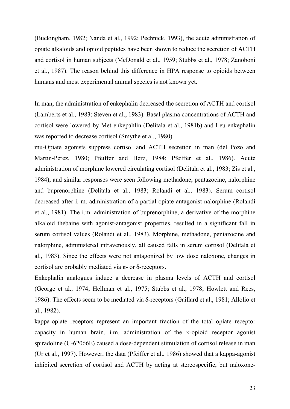(Buckingham, 1982; Nanda et al., 1992; Pechnick, 1993), the acute administration of opiate alkaloids and opioid peptides have been shown to reduce the secretion of ACTH and cortisol in human subjects (McDonald et al., 1959; Stubbs et al., 1978; Zanoboni et al., 1987). The reason behind this difference in HPA response to opioids between humans and most experimental animal species is not known yet.

In man, the administration of enkephalin decreased the secretion of ACTH and cortisol (Lamberts et al., 1983; Steven et al., 1983). Basal plasma concentrations of ACTH and cortisol were lowered by Met-enkepahlin (Delitala et al., 1981b) and Leu-enkephalin was reported to decrease cortisol (Smythe et al., 1980).

mu-Opiate agonists suppress cortisol and ACTH secretion in man (del Pozo and Martin-Perez, 1980; Pfeiffer and Herz, 1984; Pfeiffer et al., 1986). Acute administration of morphine lowered circulating cortisol (Delitala et al., 1983; Zis et al., 1984), and similar responses were seen following methadone, pentazocine, nalorphine and buprenorphine (Delitala et al., 1983; Rolandi et al., 1983). Serum cortisol decreased after i. m. administration of a partial opiate antagonist nalorphine (Rolandi et al., 1981). The i.m. administration of buprenorphine, a derivative of the morphine alkaloid thebaine with agonist-antagonist properties, resulted in a significant fall in serum cortisol values (Rolandi et al., 1983). Morphine, methadone, pentazocine and nalorphine, administered intravenously, all caused falls in serum cortisol (Delitala et al., 1983). Since the effects were not antagonized by low dose naloxone, changes in cortisol are probably mediated via κ- or δ-receptors.

Enkephalin analogues induce a decrease in plasma levels of ACTH and cortisol (George et al., 1974; Hellman et al., 1975; Stubbs et al., 1978; Howlett and Rees, 1986). The effects seem to be mediated via δ-receptors (Gaillard et al., 1981; Allolio et al., 1982).

kappa-opiate receptors represent an important fraction of the total opiate receptor capacity in human brain. i.m. administration of the κ-opioid receptor agonist spiradoline (U-62066E) caused a dose-dependent stimulation of cortisol release in man (Ur et al., 1997). However, the data (Pfeiffer et al., 1986) showed that a kappa-agonist inhibited secretion of cortisol and ACTH by acting at stereospecific, but naloxone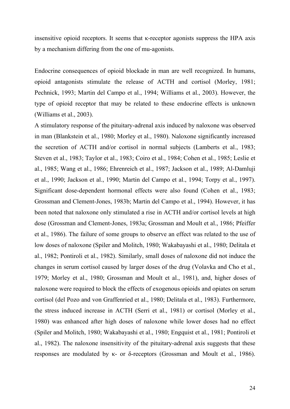insensitive opioid receptors. It seems that κ-receptor agonists suppress the HPA axis by a mechanism differing from the one of mu-agonists.

Endocrine consequences of opioid blockade in man are well recognized. In humans, opioid antagonists stimulate the release of ACTH and cortisol (Morley, 1981; Pechnick, 1993; Martin del Campo et al., 1994; Williams et al., 2003). However, the type of opioid receptor that may be related to these endocrine effects is unknown (Williams et al., 2003).

A stimulatory response of the pituitary-adrenal axis induced by naloxone was observed in man (Blankstein et al., 1980; Morley et al., 1980). Naloxone significantly increased the secretion of ACTH and/or cortisol in normal subjects (Lamberts et al., 1983; Steven et al., 1983; Taylor et al., 1983; Coiro et al., 1984; Cohen et al., 1985; Leslie et al., 1985; Wang et al., 1986; Ehrenreich et al., 1987; Jackson et al., 1989; Al-Damluji et al., 1990; Jackson et al., 1990; Martin del Campo et al., 1994; Torpy et al., 1997). Significant dose-dependent hormonal effects were also found (Cohen et al., 1983; Grossman and Clement-Jones, 1983b; Martin del Campo et al., 1994). However, it has been noted that naloxone only stimulated a rise in ACTH and/or cortisol levels at high dose (Grossman and Clement-Jones, 1983a; Grossman and Moult et al., 1986; Pfeiffer et al., 1986). The failure of some groups to observe an effect was related to the use of low doses of naloxone (Spiler and Molitch, 1980; Wakabayashi et al., 1980; Delitala et al., 1982; Pontiroli et al., 1982). Similarly, small doses of naloxone did not induce the changes in serum cortisol caused by larger doses of the drug (Volavka and Cho et al., 1979; Morley et al., 1980; Grossman and Moult et al., 1981), and, higher doses of naloxone were required to block the effects of exogenous opioids and opiates on serum cortisol (del Pozo and von Graffenried et al., 1980; Delitala et al., 1983). Furthermore, the stress induced increase in ACTH (Serri et al., 1981) or cortisol (Morley et al., 1980) was enhanced after high doses of naloxone while lower doses had no effect (Spiler and Molitch, 1980; Wakabayashi et al., 1980; Engquist et al., 1981; Pontiroli et al., 1982). The naloxone insensitivity of the pituitary-adrenal axis suggests that these responses are modulated by κ- or δ-receptors (Grossman and Moult et al., 1986).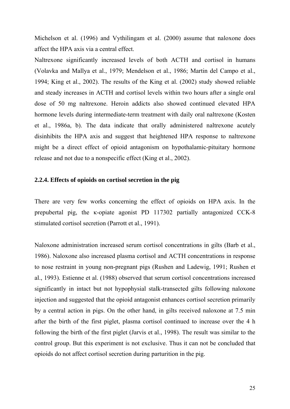Michelson et al. (1996) and Vythilingam et al. (2000) assume that naloxone does affect the HPA axis via a central effect.

Naltrexone significantly increased levels of both ACTH and cortisol in humans (Volavka and Mallya et al., 1979; Mendelson et al., 1986; Martin del Campo et al., 1994; King et al., 2002). The results of the King et al. (2002) study showed reliable and steady increases in ACTH and cortisol levels within two hours after a single oral dose of 50 mg naltrexone. Heroin addicts also showed continued elevated HPA hormone levels during intermediate-term treatment with daily oral naltrexone (Kosten et al., 1986a, b). The data indicate that orally administered naltrexone acutely disinhibits the HPA axis and suggest that heightened HPA response to naltrexone might be a direct effect of opioid antagonism on hypothalamic-pituitary hormone release and not due to a nonspecific effect (King et al., 2002).

#### **2.2.4. Effects of opioids on cortisol secretion in the pig**

There are very few works concerning the effect of opioids on HPA axis. In the prepubertal pig, the κ-opiate agonist PD 117302 partially antagonized CCK-8 stimulated cortisol secretion (Parrott et al., 1991).

Naloxone administration increased serum cortisol concentrations in gilts (Barb et al., 1986). Naloxone also increased plasma cortisol and ACTH concentrations in response to nose restraint in young non-pregnant pigs (Rushen and Ladewig, 1991; Rushen et al., 1993). Estienne et al. (1988) observed that serum cortisol concentrations increased significantly in intact but not hypophysial stalk-transected gilts following naloxone injection and suggested that the opioid antagonist enhances cortisol secretion primarily by a central action in pigs. On the other hand, in gilts received naloxone at 7.5 min after the birth of the first piglet, plasma cortisol continued to increase over the 4 h following the birth of the first piglet (Jarvis et al., 1998). The result was similar to the control group. But this experiment is not exclusive. Thus it can not be concluded that opioids do not affect cortisol secretion during parturition in the pig.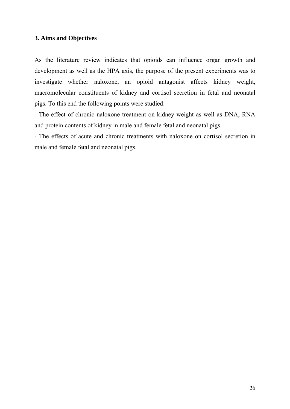### **3. Aims and Objectives**

As the literature review indicates that opioids can influence organ growth and development as well as the HPA axis, the purpose of the present experiments was to investigate whether naloxone, an opioid antagonist affects kidney weight, macromolecular constituents of kidney and cortisol secretion in fetal and neonatal pigs. To this end the following points were studied:

- The effect of chronic naloxone treatment on kidney weight as well as DNA, RNA and protein contents of kidney in male and female fetal and neonatal pigs.

- The effects of acute and chronic treatments with naloxone on cortisol secretion in male and female fetal and neonatal pigs.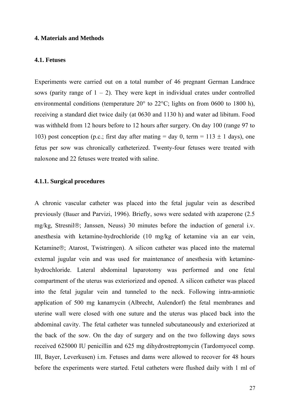#### **4. Materials and Methods**

#### **4.1. Fetuses**

Experiments were carried out on a total number of 46 pregnant German Landrace sows (parity range of  $1 - 2$ ). They were kept in individual crates under controlled environmental conditions (temperature 20° to 22°C; lights on from 0600 to 1800 h), receiving a standard diet twice daily (at 0630 and 1130 h) and water ad libitum. Food was withheld from 12 hours before to 12 hours after surgery. On day 100 (range 97 to 103) post conception (p.c.; first day after mating  $=$  day 0, term  $=$  113  $\pm$  1 days), one fetus per sow was chronically catheterized. Twenty-four fetuses were treated with naloxone and 22 fetuses were treated with saline.

#### **4.1.1. Surgical procedures**

A chronic vascular catheter was placed into the fetal jugular vein as described previously (Bauer and Parvizi, 1996). Briefly, sows were sedated with azaperone (2.5 mg/kg, Stresnil®; Janssen, Neuss) 30 minutes before the induction of general i.v. anesthesia with ketamine-hydrochloride (10 mg/kg of ketamine via an ear vein, Ketamine®; Atarost, Twistringen). A silicon catheter was placed into the maternal external jugular vein and was used for maintenance of anesthesia with ketaminehydrochloride. Lateral abdominal laparotomy was performed and one fetal compartment of the uterus was exteriorized and opened. A silicon catheter was placed into the fetal jugular vein and tunneled to the neck. Following intra-amniotic application of 500 mg kanamycin (Albrecht, Aulendorf) the fetal membranes and uterine wall were closed with one suture and the uterus was placed back into the abdominal cavity. The fetal catheter was tunneled subcutaneously and exteriorized at the back of the sow. On the day of surgery and on the two following days sows received 625000 IU penicillin and 625 mg dihydrostreptomycin (Tardomyocel comp. III, Bayer, Leverkusen) i.m. Fetuses and dams were allowed to recover for 48 hours before the experiments were started. Fetal catheters were flushed daily with 1 ml of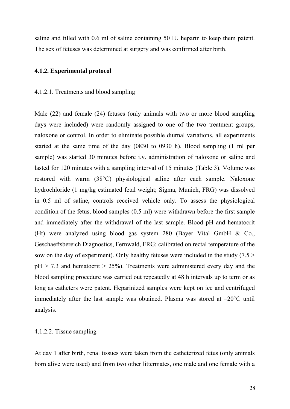saline and filled with 0.6 ml of saline containing 50 IU heparin to keep them patent. The sex of fetuses was determined at surgery and was confirmed after birth.

#### **4.1.2. Experimental protocol**

#### 4.1.2.1. Treatments and blood sampling

Male (22) and female (24) fetuses (only animals with two or more blood sampling days were included) were randomly assigned to one of the two treatment groups, naloxone or control. In order to eliminate possible diurnal variations, all experiments started at the same time of the day (0830 to 0930 h). Blood sampling (1 ml per sample) was started 30 minutes before i.v. administration of naloxone or saline and lasted for 120 minutes with a sampling interval of 15 minutes (Table 3). Volume was restored with warm (38°C) physiological saline after each sample. Naloxone hydrochloride (1 mg/kg estimated fetal weight; Sigma, Munich, FRG) was dissolved in 0.5 ml of saline, controls received vehicle only. To assess the physiological condition of the fetus, blood samples (0.5 ml) were withdrawn before the first sample and immediately after the withdrawal of the last sample. Blood pH and hematocrit (Ht) were analyzed using blood gas system 280 (Bayer Vital GmbH & Co., Geschaeftsbereich Diagnostics, Fernwald, FRG; calibrated on rectal temperature of the sow on the day of experiment). Only healthy fetuses were included in the study  $(7.5 >$  $pH > 7.3$  and hematocrit  $> 25\%$ ). Treatments were administered every day and the blood sampling procedure was carried out repeatedly at 48 h intervals up to term or as long as catheters were patent. Heparinized samples were kept on ice and centrifuged immediately after the last sample was obtained. Plasma was stored at –20°C until analysis.

#### 4.1.2.2. Tissue sampling

At day 1 after birth, renal tissues were taken from the catheterized fetus (only animals born alive were used) and from two other littermates, one male and one female with a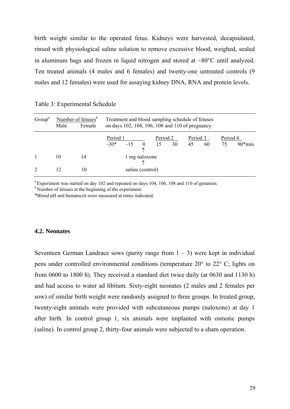birth weight similar to the operated fetus. Kidneys were harvested, decapsulated, rinsed with physiological saline solution to remove excessive blood, weighed, sealed in aluminum bags and frozen in liquid nitrogen and stored at −80°C until analyzed. Ten treated animals (4 males and 6 females) and twenty-one untreated controls (9 males and 12 females) were used for assaying kidney DNA, RNA and protein levels.

| Group <sup>a</sup> | Male | Number of fetuses <sup>b</sup><br>Female | Treatment and blood sampling schedule of fetuses<br>on days 102, 104, 106, 108 and 110 of pregnancy |       |          |                |    |                |    |                |           |
|--------------------|------|------------------------------------------|-----------------------------------------------------------------------------------------------------|-------|----------|----------------|----|----------------|----|----------------|-----------|
|                    |      |                                          | Period 1<br>$-30*$                                                                                  | $-15$ | $\Omega$ | Period 2<br>15 | 30 | Period 3<br>45 | 60 | Period 4<br>75 | $90*$ min |
|                    | 10   | 14                                       | 1 mg naloxone                                                                                       |       |          |                |    |                |    |                |           |
| 2                  | 12   | 10                                       | saline (control)                                                                                    |       |          |                |    |                |    |                |           |

Table 3: Experimental Schedule

<sup>a</sup> Experiment was started on day 102 and repeated on days 104, 106, 108 and 110 of gestation.

<sup>b</sup> Number of fetuses at the beginning of the experiment.

\*Blood pH and hematocrit were measured at times indicated.

#### **4.2. Neonates**

Seventeen German Landrace sows (parity range from  $1 - 3$ ) were kept in individual pens under controlled environmental conditions (temperature 20° to 22° C; lights on from 0600 to 1800 h). They received a standard diet twice daily (at 0630 and 1130 h) and had access to water ad libitum. Sixty-eight neonates (2 males and 2 females per sow) of similar birth weight were randomly assigned to three groups. In treated group, twenty-eight animals were provided with subcutaneous pumps (naloxone) at day 1 after birth. In control group 1, six animals were implanted with osmotic pumps (saline). In control group 2, thirty-four animals were subjected to a sham operation.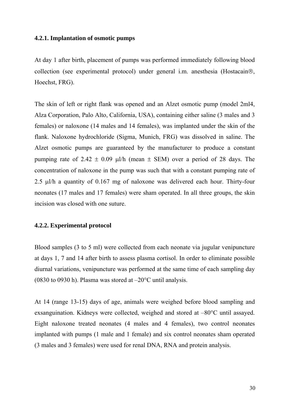#### **4.2.1. Implantation of osmotic pumps**

At day 1 after birth, placement of pumps was performed immediately following blood collection (see experimental protocol) under general i.m. anesthesia (Hostacain®, Hoechst, FRG).

The skin of left or right flank was opened and an Alzet osmotic pump (model 2ml4, Alza Corporation, Palo Alto, California, USA), containing either saline (3 males and 3 females) or naloxone (14 males and 14 females), was implanted under the skin of the flank. Naloxone hydrochloride (Sigma, Munich, FRG) was dissolved in saline. The Alzet osmotic pumps are guaranteed by the manufacturer to produce a constant pumping rate of 2.42  $\pm$  0.09 μl/h (mean  $\pm$  SEM) over a period of 28 days. The concentration of naloxone in the pump was such that with a constant pumping rate of 2.5 μl/h a quantity of 0.167 mg of naloxone was delivered each hour. Thirty-four neonates (17 males and 17 females) were sham operated. In all three groups, the skin incision was closed with one suture.

#### **4.2.2. Experimental protocol**

Blood samples (3 to 5 ml) were collected from each neonate via jugular venipuncture at days 1, 7 and 14 after birth to assess plasma cortisol. In order to eliminate possible diurnal variations, venipuncture was performed at the same time of each sampling day (0830 to 0930 h). Plasma was stored at –20°C until analysis.

At 14 (range 13-15) days of age, animals were weighed before blood sampling and exsanguination. Kidneys were collected, weighed and stored at –80°C until assayed. Eight naloxone treated neonates (4 males and 4 females), two control neonates implanted with pumps (1 male and 1 female) and six control neonates sham operated (3 males and 3 females) were used for renal DNA, RNA and protein analysis.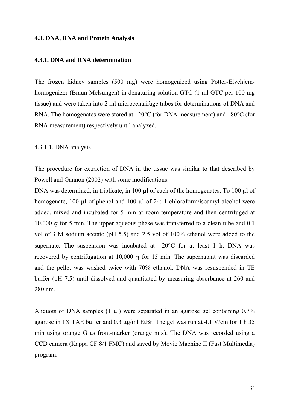#### **4.3. DNA, RNA and Protein Analysis**

#### **4.3.1. DNA and RNA determination**

The frozen kidney samples (500 mg) were homogenized using Potter-Elvehjemhomogenizer (Braun Melsungen) in denaturing solution GTC (1 ml GTC per 100 mg tissue) and were taken into 2 ml microcentrifuge tubes for determinations of DNA and RNA. The homogenates were stored at  $-20^{\circ}$ C (for DNA measurement) and  $-80^{\circ}$ C (for RNA measurement) respectively until analyzed.

#### 4.3.1.1. DNA analysis

The procedure for extraction of DNA in the tissue was similar to that described by Powell and Gannon (2002) with some modifications.

DNA was determined, in triplicate, in 100  $\mu$ l of each of the homogenates. To 100  $\mu$ l of homogenate, 100 µl of phenol and 100 µl of 24: 1 chloroform/isoamyl alcohol were added, mixed and incubated for 5 min at room temperature and then centrifuged at 10,000 g for 5 min. The upper aqueous phase was transferred to a clean tube and 0.1 vol of 3 M sodium acetate (pH 5.5) and 2.5 vol of 100% ethanol were added to the supernate. The suspension was incubated at −20°C for at least 1 h. DNA was recovered by centrifugation at 10,000 g for 15 min. The supernatant was discarded and the pellet was washed twice with 70% ethanol. DNA was resuspended in TE buffer (pH 7.5) until dissolved and quantitated by measuring absorbance at 260 and 280 nm.

Aliquots of DNA samples (1 µl) were separated in an agarose gel containing 0.7% agarose in 1X TAE buffer and  $0.3 \mu$ g/ml EtBr. The gel was run at 4.1 V/cm for 1 h 35 min using orange G as front-marker (orange mix). The DNA was recorded using a CCD camera (Kappa CF 8/1 FMC) and saved by Movie Machine II (Fast Multimedia) program.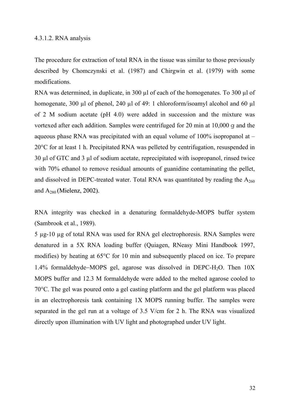#### 4.3.1.2. RNA analysis

The procedure for extraction of total RNA in the tissue was similar to those previously described by Chomczynski et al. (1987) and Chirgwin et al. (1979) with some modifications.

RNA was determined, in duplicate, in 300 µl of each of the homogenates. To 300 µl of homogenate, 300 µl of phenol, 240 µl of 49: 1 chloroform/isoamyl alcohol and 60 µl of 2 M sodium acetate (pH 4.0) were added in succession and the mixture was vortexed after each addition. Samples were centrifuged for 20 min at 10,000 g and the aqueous phase RNA was precipitated with an equal volume of  $100\%$  isopropanol at – 20°C for at least 1 h. Precipitated RNA was pelleted by centrifugation, resuspended in 30 µl of GTC and 3 µl of sodium acetate, reprecipitated with isopropanol, rinsed twice with 70% ethanol to remove residual amounts of guanidine contaminating the pellet, and dissolved in DEPC-treated water. Total RNA was quantitated by reading the  $A_{260}$ and  $A_{280}$  (Mielenz, 2002).

RNA integrity was checked in a denaturing formaldehyde-MOPS buffer system (Sambrook et al., 1989).

5 µg-10 µg of total RNA was used for RNA gel electrophoresis. RNA Samples were denatured in a 5X RNA loading buffer (Quiagen, RNeasy Mini Handbook 1997, modifies) by heating at 65°C for 10 min and subsequently placed on ice. To prepare 1.4% formaldehyde−MOPS gel, agarose was dissolved in DEPC-H2O. Then 10X MOPS buffer and 12.3 M formaldehyde were added to the melted agarose cooled to 70°C. The gel was poured onto a gel casting platform and the gel platform was placed in an electrophoresis tank containing 1X MOPS running buffer. The samples were separated in the gel run at a voltage of 3.5 V/cm for 2 h. The RNA was visualized directly upon illumination with UV light and photographed under UV light.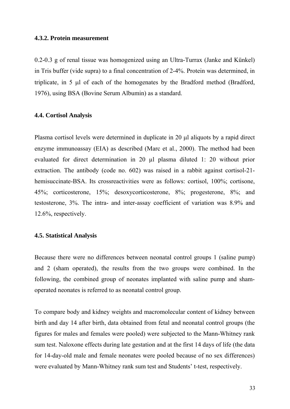#### **4.3.2. Protein measurement**

0.2-0.3 g of renal tissue was homogenized using an Ultra-Turrax (Janke and Künkel) in Tris buffer (vide supra) to a final concentration of 2-4%. Protein was determined, in triplicate, in 5 μl of each of the homogenates by the Bradford method (Bradford, 1976), using BSA (Bovine Serum Albumin) as a standard.

#### **4.4. Cortisol Analysis**

Plasma cortisol levels were determined in duplicate in 20 μl aliquots by a rapid direct enzyme immunoassay (EIA) as described (Marc et al., 2000). The method had been evaluated for direct determination in 20 µl plasma diluted 1: 20 without prior extraction. The antibody (code no. 602) was raised in a rabbit against cortisol-21 hemisuccinate-BSA. Its crossreactivities were as follows: cortisol, 100%; cortisone, 45%; corticosterone, 15%; desoxycorticosterone, 8%; progesterone, 8%; and testosterone, 3%. The intra- and inter-assay coefficient of variation was 8.9% and 12.6%, respectively.

#### **4.5. Statistical Analysis**

Because there were no differences between neonatal control groups 1 (saline pump) and 2 (sham operated), the results from the two groups were combined. In the following, the combined group of neonates implanted with saline pump and shamoperated neonates is referred to as neonatal control group.

To compare body and kidney weights and macromolecular content of kidney between birth and day 14 after birth, data obtained from fetal and neonatal control groups (the figures for males and females were pooled) were subjected to the Mann-Whitney rank sum test. Naloxone effects during late gestation and at the first 14 days of life (the data for 14-day-old male and female neonates were pooled because of no sex differences) were evaluated by Mann-Whitney rank sum test and Students' t-test, respectively.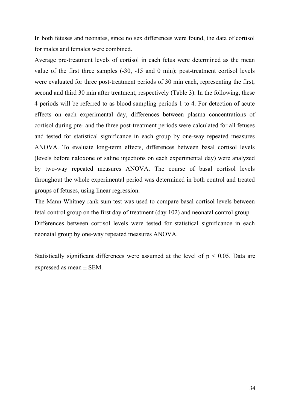In both fetuses and neonates, since no sex differences were found, the data of cortisol for males and females were combined.

Average pre-treatment levels of cortisol in each fetus were determined as the mean value of the first three samples (-30, -15 and 0 min); post-treatment cortisol levels were evaluated for three post-treatment periods of 30 min each, representing the first, second and third 30 min after treatment, respectively (Table 3). In the following, these 4 periods will be referred to as blood sampling periods 1 to 4. For detection of acute effects on each experimental day, differences between plasma concentrations of cortisol during pre- and the three post-treatment periods were calculated for all fetuses and tested for statistical significance in each group by one-way repeated measures ANOVA. To evaluate long-term effects, differences between basal cortisol levels (levels before naloxone or saline injections on each experimental day) were analyzed by two-way repeated measures ANOVA. The course of basal cortisol levels throughout the whole experimental period was determined in both control and treated groups of fetuses, using linear regression.

The Mann-Whitney rank sum test was used to compare basal cortisol levels between fetal control group on the first day of treatment (day 102) and neonatal control group. Differences between cortisol levels were tested for statistical significance in each neonatal group by one-way repeated measures ANOVA.

Statistically significant differences were assumed at the level of  $p < 0.05$ . Data are expressed as mean ± SEM.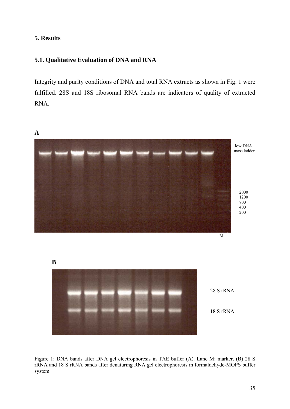### **5. Results**

### **5.1. Qualitative Evaluation of DNA and RNA**

Integrity and purity conditions of DNA and total RNA extracts as shown in Fig. 1 were fulfilled. 28S and 18S ribosomal RNA bands are indicators of quality of extracted RNA.



Figure 1: DNA bands after DNA gel electrophoresis in TAE buffer (A). Lane M: marker. (B) 28 S rRNA and 18 S rRNA bands after denaturing RNA gel electrophoresis in formaldehyde-MOPS buffer system.

35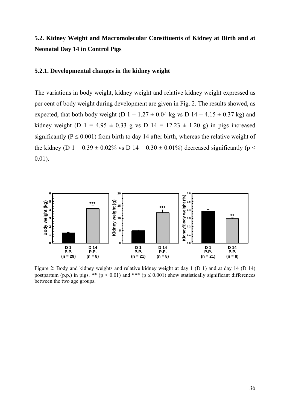# **5.2. Kidney Weight and Macromolecular Constituents of Kidney at Birth and at Neonatal Day 14 in Control Pigs**

### **5.2.1. Developmental changes in the kidney weight**

The variations in body weight, kidney weight and relative kidney weight expressed as per cent of body weight during development are given in Fig. 2. The results showed, as expected, that both body weight (D  $1 = 1.27 \pm 0.04$  kg vs D  $14 = 4.15 \pm 0.37$  kg) and kidney weight (D 1 = 4.95  $\pm$  0.33 g vs D 14 = 12.23  $\pm$  1.20 g) in pigs increased significantly ( $P \le 0.001$ ) from birth to day 14 after birth, whereas the relative weight of the kidney (D  $1 = 0.39 \pm 0.02\%$  vs D  $14 = 0.30 \pm 0.01\%$ ) decreased significantly (p < 0.01).



Figure 2: Body and kidney weights and relative kidney weight at day 1 (D 1) and at day 14 (D 14) postpartum (p.p.) in pigs. \*\* ( $p < 0.01$ ) and \*\*\* ( $p \le 0.001$ ) show statistically significant differences between the two age groups.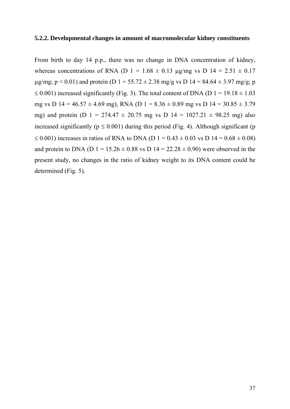### **5.2.2. Developmental changes in amount of macromolecular kidney constituents**

From birth to day 14 p.p., there was no change in DNA concentration of kidney, whereas concentrations of RNA (D 1 =  $1.68 \pm 0.13$  µg/mg vs D 14 =  $2.51 \pm 0.17$  $\mu$ g/mg; p < 0.01) and protein (D 1 = 55.72 ± 2.38 mg/g vs D 14 = 84.64 ± 3.97 mg/g; p  $\leq$  0.001) increased significantly (Fig. 3). The total content of DNA (D 1 = 19.18  $\pm$  1.03 mg vs D  $14 = 46.57 \pm 4.69$  mg), RNA (D  $1 = 8.36 \pm 0.89$  mg vs D  $14 = 30.85 \pm 3.79$ mg) and protein (D 1 = 274.47  $\pm$  20.75 mg vs D 14 = 1027.21  $\pm$  98.25 mg) also increased significantly ( $p \le 0.001$ ) during this period (Fig. 4). Although significant (p  $\leq$  0.001) increases in ratios of RNA to DNA (D 1 = 0.43  $\pm$  0.03 vs D 14 = 0.68  $\pm$  0.08) and protein to DNA (D  $1 = 15.26 \pm 0.88$  vs D  $14 = 22.28 \pm 0.90$ ) were observed in the present study, no changes in the ratio of kidney weight to its DNA content could be determined (Fig. 5)*.*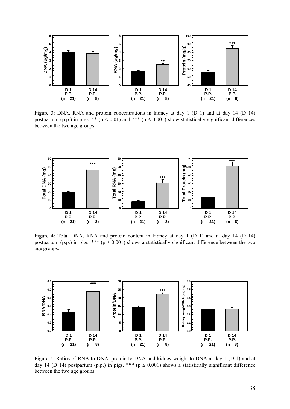

Figure 3: DNA, RNA and protein concentrations in kidney at day 1 (D 1) and at day 14 (D 14) postpartum (p.p.) in pigs. \*\* ( $p < 0.01$ ) and \*\*\* ( $p \le 0.001$ ) show statistically significant differences between the two age groups.



Figure 4: Total DNA, RNA and protein content in kidney at day 1 (D 1) and at day 14 (D 14) postpartum (p.p.) in pigs. \*\*\* ( $p \le 0.001$ ) shows a statistically significant difference between the two age groups.



Figure 5: Ratios of RNA to DNA, protein to DNA and kidney weight to DNA at day 1 (D 1) and at day 14 (D 14) postpartum (p.p.) in pigs. \*\*\* ( $p \le 0.001$ ) shows a statistically significant difference between the two age groups.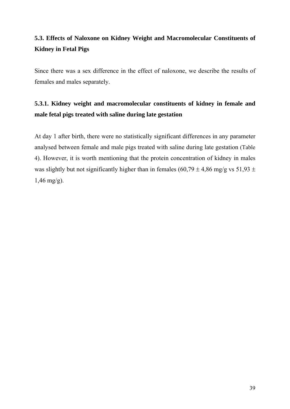# **5.3. Effects of Naloxone on Kidney Weight and Macromolecular Constituents of Kidney in Fetal Pigs**

Since there was a sex difference in the effect of naloxone, we describe the results of females and males separately.

# **5.3.1. Kidney weight and macromolecular constituents of kidney in female and male fetal pigs treated with saline during late gestation**

At day 1 after birth, there were no statistically significant differences in any parameter analysed between female and male pigs treated with saline during late gestation (Table 4). However, it is worth mentioning that the protein concentration of kidney in males was slightly but not significantly higher than in females (60,79  $\pm$  4,86 mg/g vs 51,93  $\pm$  $1,46 \text{ mg/g}$ ).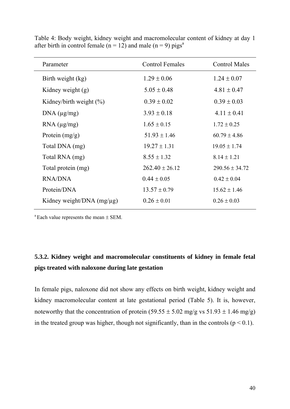| Parameter                      | <b>Control Females</b> | <b>Control Males</b> |
|--------------------------------|------------------------|----------------------|
| Birth weight (kg)              | $1.29 \pm 0.06$        | $1.24 \pm 0.07$      |
| Kidney weight $(g)$            | $5.05 \pm 0.48$        | $4.81 \pm 0.47$      |
| Kidney/birth weight $(\%)$     | $0.39 \pm 0.02$        | $0.39 \pm 0.03$      |
| DNA (µg/mg)                    | $3.93 \pm 0.18$        | $4.11 \pm 0.41$      |
| $RNA$ ( $\mu$ g/mg)            | $1.65 \pm 0.15$        | $1.72 \pm 0.25$      |
| Protein $(mg/g)$               | $51.93 \pm 1.46$       | $60.79 \pm 4.86$     |
| Total DNA (mg)                 | $19.27 \pm 1.31$       | $19.05 \pm 1.74$     |
| Total RNA (mg)                 | $8.55 \pm 1.32$        | $8.14 \pm 1.21$      |
| Total protein (mg)             | $262.40 \pm 26.12$     | $290.56 \pm 34.72$   |
| <b>RNA/DNA</b>                 | $0.44 \pm 0.05$        | $0.42 \pm 0.04$      |
| Protein/DNA                    | $13.57 \pm 0.79$       | $15.62 \pm 1.46$     |
| Kidney weight/DNA $(mg/\mu g)$ | $0.26 \pm 0.01$        | $0.26 \pm 0.03$      |

Table 4: Body weight, kidney weight and macromolecular content of kidney at day 1 after birth in control female ( $n = 12$ ) and male ( $n = 9$ ) pigs<sup>a</sup>

 $a$ <sup>a</sup> Each value represents the mean  $\pm$  SEM.

## **5.3.2. Kidney weight and macromolecular constituents of kidney in female fetal pigs treated with naloxone during late gestation**

In female pigs, naloxone did not show any effects on birth weight, kidney weight and kidney macromolecular content at late gestational period (Table 5). It is, however, noteworthy that the concentration of protein  $(59.55 \pm 5.02 \text{ mg/g vs } 51.93 \pm 1.46 \text{ mg/g})$ in the treated group was higher, though not significantly, than in the controls ( $p < 0.1$ ).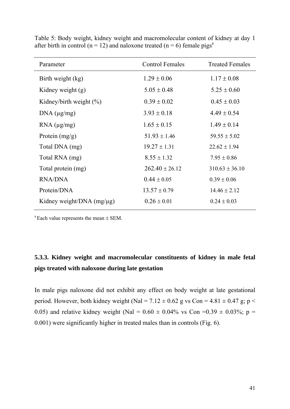| Parameter                      | <b>Control Females</b> | <b>Treated Females</b> |
|--------------------------------|------------------------|------------------------|
| Birth weight (kg)              | $1.29 \pm 0.06$        | $1.17 \pm 0.08$        |
| Kidney weight $(g)$            | $5.05 \pm 0.48$        | $5.25 \pm 0.60$        |
| Kidney/birth weight $(\%)$     | $0.39 \pm 0.02$        | $0.45 \pm 0.03$        |
| DNA (µg/mg)                    | $3.93 \pm 0.18$        | $4.49 \pm 0.54$        |
| $RNA$ ( $\mu$ g/mg)            | $1.65 \pm 0.15$        | $1.49 \pm 0.14$        |
| Protein $(mg/g)$               | $51.93 \pm 1.46$       | $59.55 \pm 5.02$       |
| Total DNA (mg)                 | $19.27 \pm 1.31$       | $22.62 \pm 1.94$       |
| Total RNA (mg)                 | $8.55 \pm 1.32$        | $7.95 \pm 0.86$        |
| Total protein (mg)             | $262.40 \pm 26.12$     | $310.63 \pm 36.10$     |
| <b>RNA/DNA</b>                 | $0.44 \pm 0.05$        | $0.39 \pm 0.06$        |
| Protein/DNA                    | $13.57 \pm 0.79$       | $14.46 \pm 2.12$       |
| Kidney weight/DNA $(mg/\mu g)$ | $0.26 \pm 0.01$        | $0.24 \pm 0.03$        |

Table 5: Body weight, kidney weight and macromolecular content of kidney at day 1 after birth in control (n = 12) and naloxone treated (n = 6) female pigs<sup>a</sup>

 $a$  Each value represents the mean  $\pm$  SEM.

## **5.3.3. Kidney weight and macromolecular constituents of kidney in male fetal pigs treated with naloxone during late gestation**

In male pigs naloxone did not exhibit any effect on body weight at late gestational period. However, both kidney weight (Nal =  $7.12 \pm 0.62$  g vs Con =  $4.81 \pm 0.47$  g; p < 0.05) and relative kidney weight (Nal =  $0.60 \pm 0.04\%$  vs Con = 0.39  $\pm 0.03\%$ ; p = 0.001) were significantly higher in treated males than in controls (Fig. 6).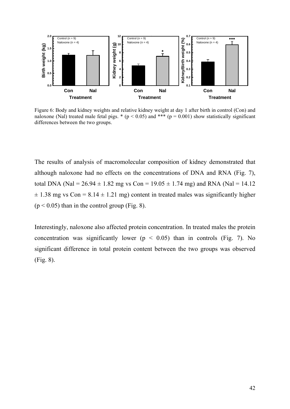

Figure 6: Body and kidney weights and relative kidney weight at day 1 after birth in control (Con) and naloxone (Nal) treated male fetal pigs. \* ( $p < 0.05$ ) and \*\*\* ( $p = 0.001$ ) show statistically significant differences between the two groups.

The results of analysis of macromolecular composition of kidney demonstrated that although naloxone had no effects on the concentrations of DNA and RNA (Fig. 7), total DNA (Nal =  $26.94 \pm 1.82$  mg vs Con =  $19.05 \pm 1.74$  mg) and RNA (Nal = 14.12  $\pm$  1.38 mg vs Con = 8.14  $\pm$  1.21 mg) content in treated males was significantly higher  $(p < 0.05)$  than in the control group (Fig. 8).

Interestingly, naloxone also affected protein concentration. In treated males the protein concentration was significantly lower ( $p < 0.05$ ) than in controls (Fig. 7). No significant difference in total protein content between the two groups was observed (Fig. 8).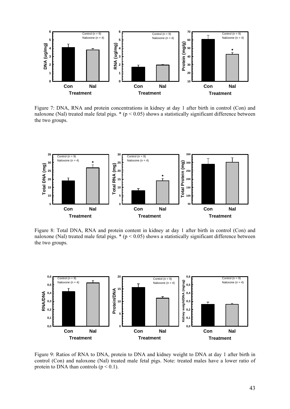

Figure 7: DNA, RNA and protein concentrations in kidney at day 1 after birth in control (Con) and naloxone (Nal) treated male fetal pigs.  $*(p < 0.05)$  shows a statistically significant difference between the two groups.



Figure 8: Total DNA, RNA and protein content in kidney at day 1 after birth in control (Con) and naloxone (Nal) treated male fetal pigs.  $*(p < 0.05)$  shows a statistically significant difference between the two groups.



Figure 9: Ratios of RNA to DNA, protein to DNA and kidney weight to DNA at day 1 after birth in control (Con) and naloxone (Nal) treated male fetal pigs. Note: treated males have a lower ratio of protein to DNA than controls  $(p < 0.1)$ .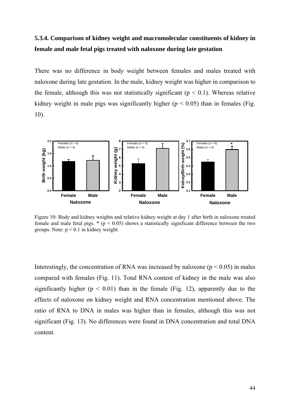## **5.3.4. Comparison of kidney weight and macromolecular constituents of kidney in female and male fetal pigs treated with naloxone during late gestation**

There was no difference in body weight between females and males treated with naloxone during late gestation. In the male, kidney weight was higher in comparison to the female, although this was not statistically significant ( $p < 0.1$ ). Whereas relative kidney weight in male pigs was significantly higher ( $p < 0.05$ ) than in females (Fig. 10).



Figure 10: Body and kidney weights and relative kidney weight at day 1 after birth in naloxone treated female and male fetal pigs.  $*(p < 0.05)$  shows a statistically significant difference between the two groups. Note:  $p < 0.1$  in kidney weight.

Interestingly, the concentration of RNA was increased by naloxone ( $p < 0.05$ ) in males compared with females (Fig. 11). Total RNA content of kidney in the male was also significantly higher ( $p < 0.01$ ) than in the female (Fig. 12), apparently due to the effects of naloxone on kidney weight and RNA concentration mentioned above. The ratio of RNA to DNA in males was higher than in females, although this was not significant (Fig. 13). No differences were found in DNA concentration and total DNA content.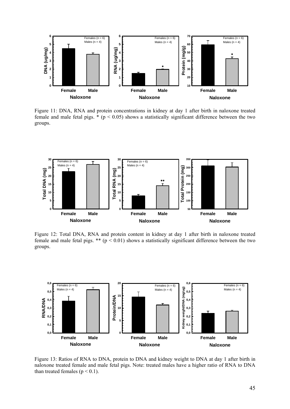

Figure 11: DNA, RNA and protein concentrations in kidney at day 1 after birth in naloxone treated female and male fetal pigs.  $*(p < 0.05)$  shows a statistically significant difference between the two groups.



Figure 12: Total DNA, RNA and protein content in kidney at day 1 after birth in naloxone treated female and male fetal pigs. \*\*  $(p < 0.01)$  shows a statistically significant difference between the two groups.



Figure 13: Ratios of RNA to DNA, protein to DNA and kidney weight to DNA at day 1 after birth in naloxone treated female and male fetal pigs. Note: treated males have a higher ratio of RNA to DNA than treated females  $(p < 0.1)$ .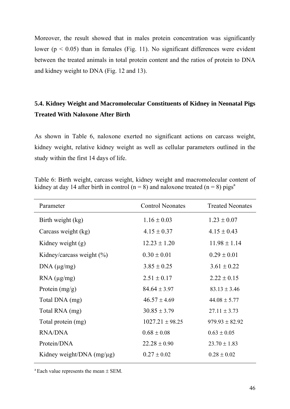Moreover, the result showed that in males protein concentration was significantly lower ( $p < 0.05$ ) than in females (Fig. 11). No significant differences were evident between the treated animals in total protein content and the ratios of protein to DNA and kidney weight to DNA (Fig. 12 and 13).

## **5.4. Kidney Weight and Macromolecular Constituents of Kidney in Neonatal Pigs Treated With Naloxone After Birth**

As shown in Table 6, naloxone exerted no significant actions on carcass weight, kidney weight, relative kidney weight as well as cellular parameters outlined in the study within the first 14 days of life.

Table 6: Birth weight, carcass weight, kidney weight and macromolecular content of kidney at day 14 after birth in control (n = 8) and naloxone treated (n = 8) pigs<sup>a</sup>

| Parameter                      | <b>Control Neonates</b> | <b>Treated Neonates</b> |
|--------------------------------|-------------------------|-------------------------|
| Birth weight (kg)              | $1.16 \pm 0.03$         | $1.23 \pm 0.07$         |
| Carcass weight (kg)            | $4.15 \pm 0.37$         | $4.15 \pm 0.43$         |
| Kidney weight (g)              | $12.23 \pm 1.20$        | $11.98 \pm 1.14$        |
| Kidney/carcass weight (%)      | $0.30 \pm 0.01$         | $0.29 \pm 0.01$         |
| DNA (µg/mg)                    | $3.85 \pm 0.25$         | $3.61 \pm 0.22$         |
| $RNA$ ( $\mu$ g/mg)            | $2.51 \pm 0.17$         | $2.22 \pm 0.15$         |
| Protein $(mg/g)$               | $84.64 \pm 3.97$        | $83.13 \pm 3.46$        |
| Total DNA (mg)                 | $46.57 \pm 4.69$        | $44.08 \pm 5.77$        |
| Total RNA (mg)                 | $30.85 \pm 3.79$        | $27.11 \pm 3.73$        |
| Total protein (mg)             | $1027.21 \pm 98.25$     | $979.93 \pm 82.92$      |
| <b>RNA/DNA</b>                 | $0.68 \pm 0.08$         | $0.63 \pm 0.05$         |
| Protein/DNA                    | $22.28 \pm 0.90$        | $23.70 \pm 1.83$        |
| Kidney weight/DNA $(mg/\mu g)$ | $0.27 \pm 0.02$         | $0.28 \pm 0.02$         |

 $a$  Each value represents the mean  $\pm$  SEM.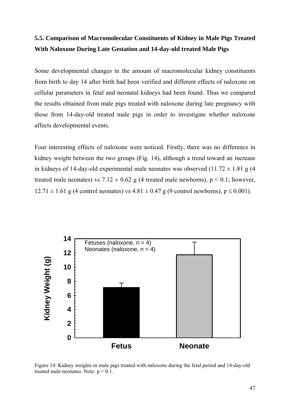## **5.5. Comparison of Macromolecular Constituents of Kidney in Male Pigs Treated With Naloxone During Late Gestation and 14-day-old treated Male Pigs**

Some developmental changes in the amount of macromolecular kidney constituents from birth to day 14 after birth had been verified and different effects of naloxone on cellular parameters in fetal and neonatal kidneys had been found. Thus we compared the results obtained from male pigs treated with naloxone during late pregnancy with those from 14-day-old treated male pigs in order to investigate whether naloxone affects developmental events.

Four interesting effects of naloxone were noticed. Firstly, there was no difference in kidney weight between the two groups (Fig. 14), although a trend toward an increase in kidneys of 14-day-old experimental male neonates was observed  $(11.72 \pm 1.81 \text{ g})$  (4 treated male neonates) vs  $7.12 \pm 0.62$  g (4 treated male newborns),  $p < 0.1$ ; however,  $12.71 \pm 1.61$  g (4 control neonates) vs  $4.81 \pm 0.47$  g (9 control newborns),  $p \le 0.001$ ).



Figure 14: Kidney weights in male pigs treated with naloxone during the fetal period and 14-day-old treated male neonates. Note:  $p < 0.1$ .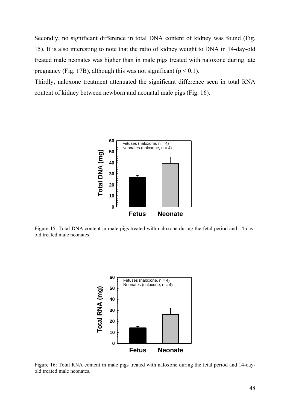Secondly, no significant difference in total DNA content of kidney was found (Fig. 15). It is also interesting to note that the ratio of kidney weight to DNA in 14-day-old treated male neonates was higher than in male pigs treated with naloxone during late pregnancy (Fig. 17B), although this was not significant ( $p < 0.1$ ).

Thirdly, naloxone treatment attenuated the significant difference seen in total RNA content of kidney between newborn and neonatal male pigs (Fig. 16).



Figure 15: Total DNA content in male pigs treated with naloxone during the fetal period and 14-dayold treated male neonates.



Figure 16: Total RNA content in male pigs treated with naloxone during the fetal period and 14-dayold treated male neonates.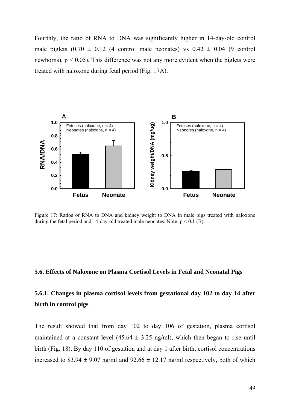Fourthly, the ratio of RNA to DNA was significantly higher in 14-day-old control male piglets  $(0.70 \pm 0.12)$  (4 control male neonates) vs  $0.42 \pm 0.04$  (9 control newborns),  $p < 0.05$ ). This difference was not any more evident when the piglets were treated with naloxone during fetal period (Fig. 17A).



Figure 17: Ratios of RNA to DNA and kidney weight to DNA in male pigs treated with naloxone during the fetal period and 14-day-old treated male neonates. Note:  $p < 0.1$  (B).

#### **5.6. Effects of Naloxone on Plasma Cortisol Levels in Fetal and Neonatal Pigs**

### **5.6.1. Changes in plasma cortisol levels from gestational day 102 to day 14 after birth in control pigs**

The result showed that from day 102 to day 106 of gestation, plasma cortisol maintained at a constant level  $(45.64 \pm 3.25 \text{ ng/ml})$ , which then began to rise until birth (Fig. 18). By day 110 of gestation and at day 1 after birth, cortisol concentrations increased to 83.94  $\pm$  9.07 ng/ml and 92.66  $\pm$  12.17 ng/ml respectively, both of which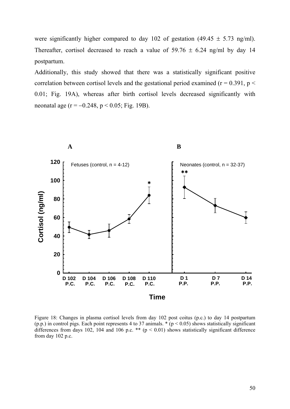were significantly higher compared to day 102 of gestation (49.45  $\pm$  5.73 ng/ml). Thereafter, cortisol decreased to reach a value of  $59.76 \pm 6.24$  ng/ml by day 14 postpartum.

Additionally, this study showed that there was a statistically significant positive correlation between cortisol levels and the gestational period examined ( $r = 0.391$ ,  $p <$ 0.01; Fig. 19A), whereas after birth cortisol levels decreased significantly with neonatal age ( $r = -0.248$ ,  $p < 0.05$ ; Fig. 19B).



Figure 18: Changes in plasma cortisol levels from day 102 post coitus (p.c.) to day 14 postpartum (p.p.) in control pigs. Each point represents 4 to 37 animals.  $*(p < 0.05)$  shows statistically significant differences from days 102, 104 and 106 p.c. \*\*  $(p < 0.01)$  shows statistically significant difference from day 102 p.c.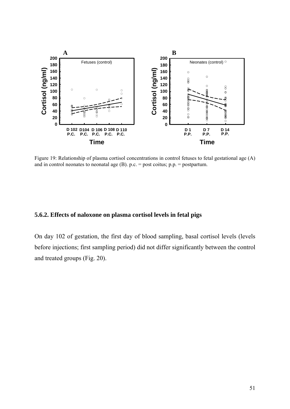

Figure 19: Relationship of plasma cortisol concentrations in control fetuses to fetal gestational age (A) and in control neonates to neonatal age  $(B)$ . p.c. = post coitus; p.p. = postpartum.

#### **5.6.2. Effects of naloxone on plasma cortisol levels in fetal pigs**

On day 102 of gestation, the first day of blood sampling, basal cortisol levels (levels before injections; first sampling period) did not differ significantly between the control and treated groups (Fig. 20).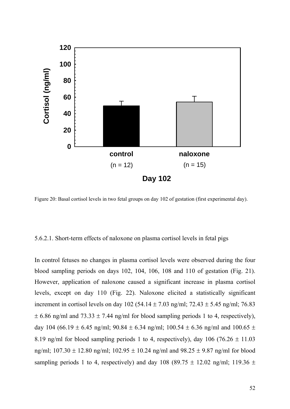

Figure 20: Basal cortisol levels in two fetal groups on day 102 of gestation (first experimental day).

#### 5.6.2.1. Short-term effects of naloxone on plasma cortisol levels in fetal pigs

In control fetuses no changes in plasma cortisol levels were observed during the four blood sampling periods on days 102, 104, 106, 108 and 110 of gestation (Fig. 21). However, application of naloxone caused a significant increase in plasma cortisol levels, except on day 110 (Fig. 22). Naloxone elicited a statistically significant increment in cortisol levels on day 102 (54.14  $\pm$  7.03 ng/ml; 72.43  $\pm$  5.45 ng/ml; 76.83  $\pm$  6.86 ng/ml and 73.33  $\pm$  7.44 ng/ml for blood sampling periods 1 to 4, respectively), day 104 (66.19  $\pm$  6.45 ng/ml; 90.84  $\pm$  6.34 ng/ml; 100.54  $\pm$  6.36 ng/ml and 100.65  $\pm$ 8.19 ng/ml for blood sampling periods 1 to 4, respectively), day 106 (76.26  $\pm$  11.03 ng/ml;  $107.30 \pm 12.80$  ng/ml;  $102.95 \pm 10.24$  ng/ml and  $98.25 \pm 9.87$  ng/ml for blood sampling periods 1 to 4, respectively) and day 108 (89.75  $\pm$  12.02 ng/ml; 119.36  $\pm$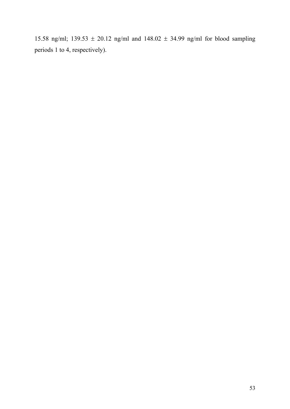15.58 ng/ml; 139.53  $\pm$  20.12 ng/ml and 148.02  $\pm$  34.99 ng/ml for blood sampling periods 1 to 4, respectively).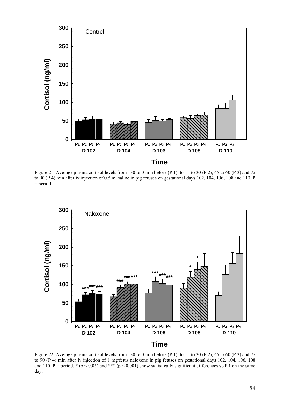

Figure 21: Average plasma cortisol levels from –30 to 0 min before (P 1), to 15 to 30 (P 2), 45 to 60 (P 3) and 75 to 90 (P 4) min after iv injection of 0.5 ml saline in pig fetuses on gestational days 102, 104, 106, 108 and 110. P = period.



Figure 22: Average plasma cortisol levels from –30 to 0 min before (P 1), to 15 to 30 (P 2), 45 to 60 (P 3) and 75 to 90 (P 4) min after iv injection of 1 mg/fetus naloxone in pig fetuses on gestational days 102, 104, 106, 108 and 110. P = period. \* ( $p < 0.05$ ) and \*\*\* ( $p < 0.001$ ) show statistically significant differences vs P 1 on the same day.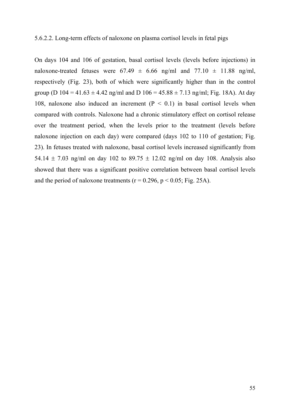#### 5.6.2.2. Long-term effects of naloxone on plasma cortisol levels in fetal pigs

On days 104 and 106 of gestation, basal cortisol levels (levels before injections) in naloxone-treated fetuses were  $67.49 \pm 6.66$  ng/ml and  $77.10 \pm 11.88$  ng/ml, respectively (Fig. 23), both of which were significantly higher than in the control group (D  $104 = 41.63 \pm 4.42$  ng/ml and D  $106 = 45.88 \pm 7.13$  ng/ml; Fig. 18A). At day 108, naloxone also induced an increment  $(P < 0.1)$  in basal cortisol levels when compared with controls. Naloxone had a chronic stimulatory effect on cortisol release over the treatment period, when the levels prior to the treatment (levels before naloxone injection on each day) were compared (days 102 to 110 of gestation; Fig. 23). In fetuses treated with naloxone, basal cortisol levels increased significantly from 54.14  $\pm$  7.03 ng/ml on day 102 to 89.75  $\pm$  12.02 ng/ml on day 108. Analysis also showed that there was a significant positive correlation between basal cortisol levels and the period of naloxone treatments ( $r = 0.296$ ,  $p < 0.05$ ; Fig. 25A).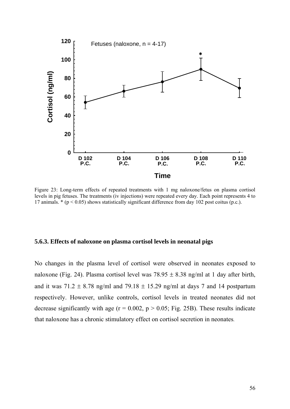

Figure 23: Long-term effects of repeated treatments with 1 mg naloxone/fetus on plasma cortisol levels in pig fetuses. The treatments (iv injections) were repeated every day. Each point represents 4 to 17 animals. \* (p < 0.05) shows statistically significant difference from day 102 post coitus (p.c.).

### **5.6.3. Effects of naloxone on plasma cortisol levels in neonatal pigs**

No changes in the plasma level of cortisol were observed in neonates exposed to naloxone (Fig. 24). Plasma cortisol level was  $78.95 \pm 8.38$  ng/ml at 1 day after birth, and it was  $71.2 \pm 8.78$  ng/ml and  $79.18 \pm 15.29$  ng/ml at days 7 and 14 postpartum respectively. However, unlike controls, cortisol levels in treated neonates did not decrease significantly with age  $(r = 0.002, p > 0.05; Fig. 25B)$ . These results indicate that naloxone has a chronic stimulatory effect on cortisol secretion in neonates.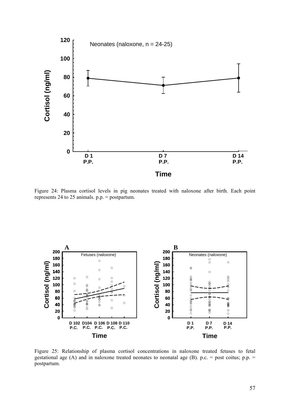

Figure 24: Plasma cortisol levels in pig neonates treated with naloxone after birth. Each point represents 24 to 25 animals. p.p. = postpartum.



Figure 25: Relationship of plasma cortisol concentrations in naloxone treated fetuses to fetal gestational age (A) and in naloxone treated neonates to neonatal age (B). p.c. = post coitus; p.p. = postpartum.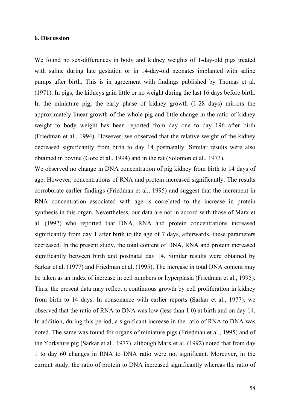### **6. Discussion**

We found no sex-differences in body and kidney weights of 1-day-old pigs treated with saline during late gestation or in 14-day-old neonates implanted with saline pumps after birth. This is in agreement with findings published by Thomas et al. (1971). In pigs, the kidneys gain little or no weight during the last 16 days before birth. In the miniature pig, the early phase of kidney growth (1-28 days) mirrors the approximately linear growth of the whole pig and little change in the ratio of kidney weight to body weight has been reported from day one to day 196 after birth (Friedman et al., 1994). However, we observed that the relative weight of the kidney decreased significantly from birth to day 14 postnatally. Similar results were also obtained in bovine (Gore et al., 1994) and in the rat (Solomon et al., 1973).

We observed no change in DNA concentration of pig kidney from birth to 14 days of age. However, concentrations of RNA and protein increased significantly. The results corroborate earlier findings (Friedman et al., 1995) and suggest that the increment in RNA concentration associated with age is correlated to the increase in protein synthesis in this organ. Nevertheless, our data are not in accord with those of Marx et al. (1992) who reported that DNA, RNA and protein concentrations increased significantly from day 1 after birth to the age of 7 days, afterwards, these parameters decreased. In the present study, the total content of DNA, RNA and protein increased significantly between birth and postnatal day 14. Similar results were obtained by Sarkar et al. (1977) and Friedman et al. (1995). The increase in total DNA content may be taken as an index of increase in cell numbers or hyperplasia (Friedman et al., 1995). Thus, the present data may reflect a continuous growth by cell proliferation in kidney from birth to 14 days. In consonance with earlier reports (Sarkar et al., 1977), we observed that the ratio of RNA to DNA was low (less than 1.0) at birth and on day 14. In addition, during this period, a significant increase in the ratio of RNA to DNA was noted. The same was found for organs of miniature pigs (Friedman et al., 1995) and of the Yorkshire pig (Sarkar et al., 1977), although Marx et al. (1992) noted that from day 1 to day 60 changes in RNA to DNA ratio were not significant. Moreover, in the current study, the ratio of protein to DNA increased significantly whereas the ratio of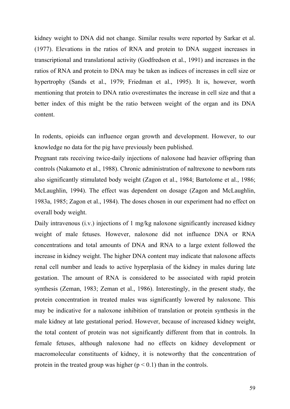kidney weight to DNA did not change. Similar results were reported by Sarkar et al. (1977). Elevations in the ratios of RNA and protein to DNA suggest increases in transcriptional and translational activity (Godfredson et al., 1991) and increases in the ratios of RNA and protein to DNA may be taken as indices of increases in cell size or hypertrophy (Sands et al., 1979; Friedman et al., 1995). It is, however, worth mentioning that protein to DNA ratio overestimates the increase in cell size and that a better index of this might be the ratio between weight of the organ and its DNA content.

In rodents, opioids can influence organ growth and development. However, to our knowledge no data for the pig have previously been published.

Pregnant rats receiving twice-daily injections of naloxone had heavier offspring than controls (Nakamoto et al., 1988). Chronic administration of naltrexone to newborn rats also significantly stimulated body weight (Zagon et al., 1984; Bartolome et al., 1986; McLaughlin, 1994). The effect was dependent on dosage (Zagon and McLaughlin, 1983a, 1985; Zagon et al., 1984). The doses chosen in our experiment had no effect on overall body weight.

Daily intravenous (i.v.) injections of 1 mg/kg naloxone significantly increased kidney weight of male fetuses. However, naloxone did not influence DNA or RNA concentrations and total amounts of DNA and RNA to a large extent followed the increase in kidney weight. The higher DNA content may indicate that naloxone affects renal cell number and leads to active hyperplasia of the kidney in males during late gestation. The amount of RNA is considered to be associated with rapid protein synthesis (Zeman, 1983; Zeman et al., 1986). Interestingly, in the present study, the protein concentration in treated males was significantly lowered by naloxone. This may be indicative for a naloxone inhibition of translation or protein synthesis in the male kidney at late gestational period. However, because of increased kidney weight, the total content of protein was not significantly different from that in controls. In female fetuses, although naloxone had no effects on kidney development or macromolecular constituents of kidney, it is noteworthy that the concentration of protein in the treated group was higher ( $p < 0.1$ ) than in the controls.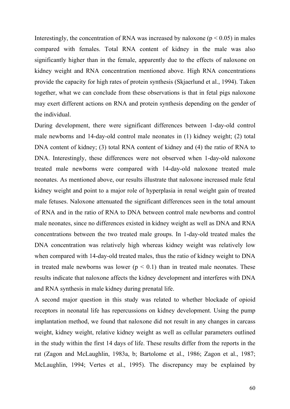Interestingly, the concentration of RNA was increased by naloxone ( $p < 0.05$ ) in males compared with females. Total RNA content of kidney in the male was also significantly higher than in the female, apparently due to the effects of naloxone on kidney weight and RNA concentration mentioned above. High RNA concentrations provide the capacity for high rates of protein synthesis (Skjaerlund et al., 1994). Taken together, what we can conclude from these observations is that in fetal pigs naloxone may exert different actions on RNA and protein synthesis depending on the gender of the individual.

During development, there were significant differences between 1-day-old control male newborns and 14-day-old control male neonates in (1) kidney weight; (2) total DNA content of kidney; (3) total RNA content of kidney and (4) the ratio of RNA to DNA. Interestingly, these differences were not observed when 1-day-old naloxone treated male newborns were compared with 14-day-old naloxone treated male neonates. As mentioned above, our results illustrate that naloxone increased male fetal kidney weight and point to a major role of hyperplasia in renal weight gain of treated male fetuses. Naloxone attenuated the significant differences seen in the total amount of RNA and in the ratio of RNA to DNA between control male newborns and control male neonates, since no differences existed in kidney weight as well as DNA and RNA concentrations between the two treated male groups. In 1-day-old treated males the DNA concentration was relatively high whereas kidney weight was relatively low when compared with 14-day-old treated males, thus the ratio of kidney weight to DNA in treated male newborns was lower ( $p < 0.1$ ) than in treated male neonates. These results indicate that naloxone affects the kidney development and interferes with DNA and RNA synthesis in male kidney during prenatal life.

A second major question in this study was related to whether blockade of opioid receptors in neonatal life has repercussions on kidney development. Using the pump implantation method, we found that naloxone did not result in any changes in carcass weight, kidney weight, relative kidney weight as well as cellular parameters outlined in the study within the first 14 days of life. These results differ from the reports in the rat (Zagon and McLaughlin, 1983a, b; Bartolome et al., 1986; Zagon et al., 1987; McLaughlin, 1994; Vertes et al., 1995). The discrepancy may be explained by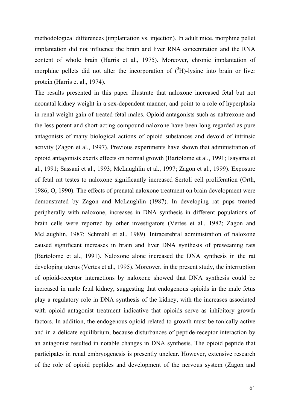methodological differences (implantation vs. injection). In adult mice, morphine pellet implantation did not influence the brain and liver RNA concentration and the RNA content of whole brain (Harris et al., 1975). Moreover, chronic implantation of morphine pellets did not alter the incorporation of  $({}^{3}H)$ -lysine into brain or liver protein (Harris et al., 1974).

The results presented in this paper illustrate that naloxone increased fetal but not neonatal kidney weight in a sex-dependent manner, and point to a role of hyperplasia in renal weight gain of treated-fetal males. Opioid antagonists such as naltrexone and the less potent and short-acting compound naloxone have been long regarded as pure antagonists of many biological actions of opioid substances and devoid of intrinsic activity (Zagon et al., 1997). Previous experiments have shown that administration of opioid antagonists exerts effects on normal growth (Bartolome et al., 1991; Isayama et al., 1991; Sassani et al., 1993; McLaughlin et al., 1997; Zagon et al., 1999). Exposure of fetal rat testes to naloxone significantly increased Sertoli cell proliferation (Orth, 1986; O, 1990). The effects of prenatal naloxone treatment on brain development were demonstrated by Zagon and McLaughlin (1987). In developing rat pups treated peripherally with naloxone, increases in DNA synthesis in different populations of brain cells were reported by other investigators (Vertes et al., 1982; Zagon and McLaughlin, 1987; Schmahl et al., 1989). Intracerebral administration of naloxone caused significant increases in brain and liver DNA synthesis of preweaning rats (Bartolome et al., 1991). Naloxone alone increased the DNA synthesis in the rat developing uterus (Vertes et al., 1995). Moreover, in the present study, the interruption of opioid-receptor interactions by naloxone showed that DNA synthesis could be increased in male fetal kidney, suggesting that endogenous opioids in the male fetus play a regulatory role in DNA synthesis of the kidney, with the increases associated with opioid antagonist treatment indicative that opioids serve as inhibitory growth factors. In addition, the endogenous opioid related to growth must be tonically active and in a delicate equilibrium, because disturbances of peptide-receptor interaction by an antagonist resulted in notable changes in DNA synthesis. The opioid peptide that participates in renal embryogenesis is presently unclear. However, extensive research of the role of opioid peptides and development of the nervous system (Zagon and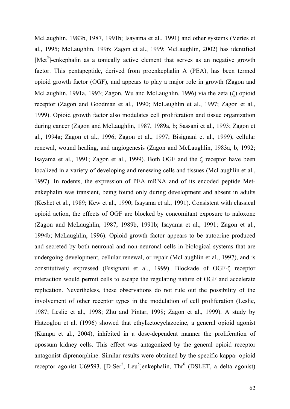McLaughlin, 1983b, 1987, 1991b; Isayama et al., 1991) and other systems (Vertes et al., 1995; McLaughlin, 1996; Zagon et al., 1999; McLaughlin, 2002) has identified [Met<sup>5</sup>]-enkephalin as a tonically active element that serves as an negative growth factor. This pentapeptide, derived from proenkephalin A (PEA), has been termed opioid growth factor (OGF), and appears to play a major role in growth (Zagon and McLaughlin, 1991a, 1993; Zagon, Wu and McLaughlin, 1996) via the zeta (ζ) opioid receptor (Zagon and Goodman et al., 1990; McLaughlin et al., 1997; Zagon et al., 1999). Opioid growth factor also modulates cell proliferation and tissue organization during cancer (Zagon and McLaughlin, 1987, 1989a, b; Sassani et al., 1993; Zagon et al., 1994a; Zagon et al., 1996; Zagon et al., 1997; Bisignani et al., 1999), cellular renewal, wound healing, and angiogenesis (Zagon and McLaughlin, 1983a, b, 1992; Isayama et al., 1991; Zagon et al., 1999). Both OGF and the ζ receptor have been localized in a variety of developing and renewing cells and tissues (McLaughlin et al., 1997). In rodents, the expression of PEA mRNA and of its encoded peptide Metenkephalin was transient, being found only during development and absent in adults (Keshet et al., 1989; Kew et al., 1990; Isayama et al., 1991). Consistent with classical opioid action, the effects of OGF are blocked by concomitant exposure to naloxone (Zagon and McLaughlin, 1987, 1989b, 1991b; Isayama et al., 1991; Zagon et al., 1994b; McLaughlin, 1996). Opioid growth factor appears to be autocrine produced and secreted by both neuronal and non-neuronal cells in biological systems that are undergoing development, cellular renewal, or repair (McLaughlin et al., 1997), and is constitutively expressed (Bisignani et al., 1999). Blockade of OGF-ζ receptor interaction would permit cells to escape the regulating nature of OGF and accelerate replication. Nevertheless, these observations do not rule out the possibility of the involvement of other receptor types in the modulation of cell proliferation (Leslie, 1987; Leslie et al., 1998; Zhu and Pintar, 1998; Zagon et al., 1999). A study by Hatzoglou et al. (1996) showed that ethylketocyclazocine, a general opioid agonist (Kampa et al., 2004), inhibited in a dose-dependent manner the proliferation of opossum kidney cells. This effect was antagonized by the general opioid receptor antagonist diprenorphine. Similar results were obtained by the specific kappa<sub>1</sub> opioid receptor agonist U69593. [D-Ser<sup>2</sup>, Leu<sup>5</sup>]enkephalin, Thr<sup>6</sup> (DSLET, a delta agonist)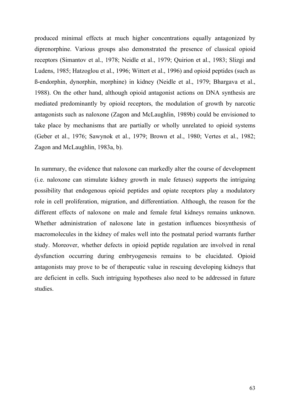produced minimal effects at much higher concentrations equally antagonized by diprenorphine. Various groups also demonstrated the presence of classical opioid receptors (Simantov et al., 1978; Neidle et al., 1979; Quirion et al., 1983; Slizgi and Ludens, 1985; Hatzoglou et al., 1996; Wittert et al., 1996) and opioid peptides (such as ß-endorphin, dynorphin, morphine) in kidney (Neidle et al., 1979; Bhargava et al., 1988). On the other hand, although opioid antagonist actions on DNA synthesis are mediated predominantly by opioid receptors, the modulation of growth by narcotic antagonists such as naloxone (Zagon and McLaughlin, 1989b) could be envisioned to take place by mechanisms that are partially or wholly unrelated to opioid systems (Geber et al., 1976; Sawynok et al., 1979; Brown et al., 1980; Vertes et al., 1982; Zagon and McLaughlin, 1983a, b).

In summary, the evidence that naloxone can markedly alter the course of development (i.e. naloxone can stimulate kidney growth in male fetuses) supports the intriguing possibility that endogenous opioid peptides and opiate receptors play a modulatory role in cell proliferation, migration, and differentiation. Although, the reason for the different effects of naloxone on male and female fetal kidneys remains unknown. Whether administration of naloxone late in gestation influences biosynthesis of macromolecules in the kidney of males well into the postnatal period warrants further study. Moreover, whether defects in opioid peptide regulation are involved in renal dysfunction occurring during embryogenesis remains to be elucidated. Opioid antagonists may prove to be of therapeutic value in rescuing developing kidneys that are deficient in cells. Such intriguing hypotheses also need to be addressed in future studies.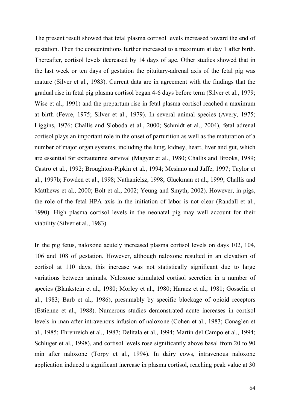The present result showed that fetal plasma cortisol levels increased toward the end of gestation. Then the concentrations further increased to a maximum at day 1 after birth. Thereafter, cortisol levels decreased by 14 days of age. Other studies showed that in the last week or ten days of gestation the pituitary-adrenal axis of the fetal pig was mature (Silver et al., 1983). Current data are in agreement with the findings that the gradual rise in fetal pig plasma cortisol began 4-6 days before term (Silver et al., 1979; Wise et al., 1991) and the prepartum rise in fetal plasma cortisol reached a maximum at birth (Fevre, 1975; Silver et al., 1979). In several animal species (Avery, 1975; Liggins, 1976; Challis and Sloboda et al., 2000; Schmidt et al., 2004), fetal adrenal cortisol plays an important role in the onset of parturition as well as the maturation of a number of major organ systems, including the lung, kidney, heart, liver and gut, which are essential for extrauterine survival (Magyar et al., 1980; Challis and Brooks, 1989; Castro et al., 1992; Broughton-Pipkin et al., 1994; Mesiano and Jaffe, 1997; Taylor et al., 1997b; Fowden et al., 1998; Nathanielsz, 1998; Gluckman et al., 1999; Challis and Matthews et al., 2000; Bolt et al., 2002; Yeung and Smyth, 2002). However, in pigs, the role of the fetal HPA axis in the initiation of labor is not clear (Randall et al., 1990). High plasma cortisol levels in the neonatal pig may well account for their viability (Silver et al., 1983).

In the pig fetus, naloxone acutely increased plasma cortisol levels on days 102, 104, 106 and 108 of gestation. However, although naloxone resulted in an elevation of cortisol at 110 days, this increase was not statistically significant due to large variations between animals. Naloxone stimulated cortisol secretion in a number of species (Blankstein et al., 1980; Morley et al., 1980; Haracz et al., 1981; Gosselin et al., 1983; Barb et al., 1986), presumably by specific blockage of opioid receptors (Estienne et al., 1988). Numerous studies demonstrated acute increases in cortisol levels in man after intravenous infusion of naloxone (Cohen et al., 1983; Conaglen et al., 1985; Ehrenreich et al., 1987; Delitala et al., 1994; Martin del Campo et al., 1994; Schluger et al., 1998), and cortisol levels rose significantly above basal from 20 to 90 min after naloxone (Torpy et al., 1994). In dairy cows, intravenous naloxone application induced a significant increase in plasma cortisol, reaching peak value at 30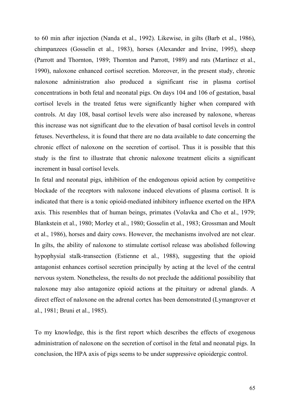to 60 min after injection (Nanda et al., 1992). Likewise, in gilts (Barb et al., 1986), chimpanzees (Gosselin et al., 1983), horses (Alexander and Irvine, 1995), sheep (Parrott and Thornton, 1989; Thornton and Parrott, 1989) and rats (Martínez et al., 1990), naloxone enhanced cortisol secretion. Moreover, in the present study, chronic naloxone administration also produced a significant rise in plasma cortisol concentrations in both fetal and neonatal pigs. On days 104 and 106 of gestation, basal cortisol levels in the treated fetus were significantly higher when compared with controls. At day 108, basal cortisol levels were also increased by naloxone, whereas this increase was not significant due to the elevation of basal cortisol levels in control fetuses. Nevertheless, it is found that there are no data available to date concerning the chronic effect of naloxone on the secretion of cortisol. Thus it is possible that this study is the first to illustrate that chronic naloxone treatment elicits a significant increment in basal cortisol levels.

In fetal and neonatal pigs, inhibition of the endogenous opioid action by competitive blockade of the receptors with naloxone induced elevations of plasma cortisol. It is indicated that there is a tonic opioid-mediated inhibitory influence exerted on the HPA axis. This resembles that of human beings, primates (Volavka and Cho et al., 1979; Blankstein et al., 1980; Morley et al., 1980; Gosselin et al., 1983; Grossman and Moult et al., 1986), horses and dairy cows. However, the mechanisms involved are not clear. In gilts, the ability of naloxone to stimulate cortisol release was abolished following hypophysial stalk-transection (Estienne et al., 1988), suggesting that the opioid antagonist enhances cortisol secretion principally by acting at the level of the central nervous system. Nonetheless, the results do not preclude the additional possibility that naloxone may also antagonize opioid actions at the pituitary or adrenal glands. A direct effect of naloxone on the adrenal cortex has been demonstrated (Lymangrover et al., 1981; Bruni et al., 1985).

To my knowledge, this is the first report which describes the effects of exogenous administration of naloxone on the secretion of cortisol in the fetal and neonatal pigs. In conclusion, the HPA axis of pigs seems to be under suppressive opioidergic control.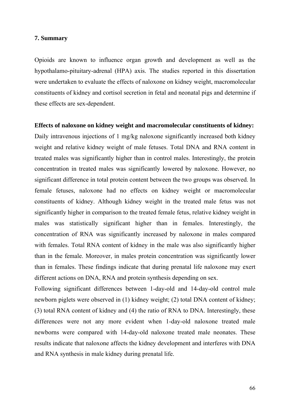### **7. Summary**

Opioids are known to influence organ growth and development as well as the hypothalamo-pituitary-adrenal (HPA) axis. The studies reported in this dissertation were undertaken to evaluate the effects of naloxone on kidney weight, macromolecular constituents of kidney and cortisol secretion in fetal and neonatal pigs and determine if these effects are sex-dependent.

#### **Effects of naloxone on kidney weight and macromolecular constituents of kidney:**

Daily intravenous injections of 1 mg/kg naloxone significantly increased both kidney weight and relative kidney weight of male fetuses. Total DNA and RNA content in treated males was significantly higher than in control males. Interestingly, the protein concentration in treated males was significantly lowered by naloxone. However, no significant difference in total protein content between the two groups was observed. In female fetuses, naloxone had no effects on kidney weight or macromolecular constituents of kidney. Although kidney weight in the treated male fetus was not significantly higher in comparison to the treated female fetus, relative kidney weight in males was statistically significant higher than in females. Interestingly, the concentration of RNA was significantly increased by naloxone in males compared with females. Total RNA content of kidney in the male was also significantly higher than in the female. Moreover, in males protein concentration was significantly lower than in females. These findings indicate that during prenatal life naloxone may exert different actions on DNA, RNA and protein synthesis depending on sex.

Following significant differences between 1-day-old and 14-day-old control male newborn piglets were observed in (1) kidney weight; (2) total DNA content of kidney; (3) total RNA content of kidney and (4) the ratio of RNA to DNA. Interestingly, these differences were not any more evident when 1-day-old naloxone treated male newborns were compared with 14-day-old naloxone treated male neonates. These results indicate that naloxone affects the kidney development and interferes with DNA and RNA synthesis in male kidney during prenatal life.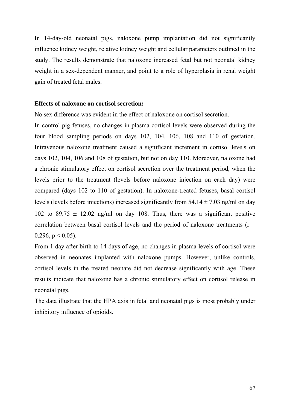In 14-day-old neonatal pigs, naloxone pump implantation did not significantly influence kidney weight, relative kidney weight and cellular parameters outlined in the study. The results demonstrate that naloxone increased fetal but not neonatal kidney weight in a sex-dependent manner, and point to a role of hyperplasia in renal weight gain of treated fetal males.

### **Effects of naloxone on cortisol secretion:**

No sex difference was evident in the effect of naloxone on cortisol secretion.

In control pig fetuses, no changes in plasma cortisol levels were observed during the four blood sampling periods on days 102, 104, 106, 108 and 110 of gestation. Intravenous naloxone treatment caused a significant increment in cortisol levels on days 102, 104, 106 and 108 of gestation, but not on day 110. Moreover, naloxone had a chronic stimulatory effect on cortisol secretion over the treatment period, when the levels prior to the treatment (levels before naloxone injection on each day) were compared (days 102 to 110 of gestation). In naloxone-treated fetuses, basal cortisol levels (levels before injections) increased significantly from  $54.14 \pm 7.03$  ng/ml on day 102 to 89.75  $\pm$  12.02 ng/ml on day 108. Thus, there was a significant positive correlation between basal cortisol levels and the period of naloxone treatments ( $r =$ 0.296,  $p < 0.05$ ).

From 1 day after birth to 14 days of age, no changes in plasma levels of cortisol were observed in neonates implanted with naloxone pumps. However, unlike controls, cortisol levels in the treated neonate did not decrease significantly with age. These results indicate that naloxone has a chronic stimulatory effect on cortisol release in neonatal pigs.

The data illustrate that the HPA axis in fetal and neonatal pigs is most probably under inhibitory influence of opioids.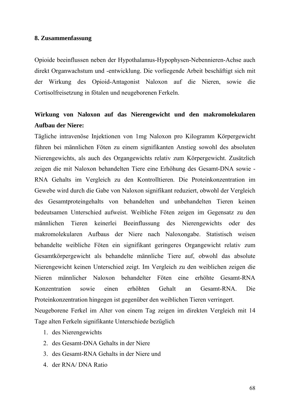#### **8. Zusammenfassung**

Opioide beeinflussen neben der Hypothalamus-Hypophysen-Nebennieren-Achse auch direkt Organwachstum und -entwicklung. Die vorliegende Arbeit beschäftigt sich mit der Wirkung des Opioid-Antagonist Naloxon auf die Nieren, sowie die Cortisolfreisetzung in fötalen und neugeborenen Ferkeln.

### **Wirkung von Naloxon auf das Nierengewicht und den makromolekularen Aufbau der Niere:**

Tägliche intravenöse Injektionen von 1mg Naloxon pro Kilogramm Körpergewicht führen bei männlichen Föten zu einem signifikanten Anstieg sowohl des absoluten Nierengewichts, als auch des Organgewichts relativ zum Körpergewicht. Zusätzlich zeigen die mit Naloxon behandelten Tiere eine Erhöhung des Gesamt-DNA sowie - RNA Gehalts im Vergleich zu den Kontrolltieren. Die Proteinkonzentration im Gewebe wird durch die Gabe von Naloxon signifikant reduziert, obwohl der Vergleich des Gesamtproteingehalts von behandelten und unbehandelten Tieren keinen bedeutsamen Unterschied aufweist. Weibliche Föten zeigen im Gegensatz zu den männlichen Tieren keinerlei Beeinflussung des Nierengewichts oder des makromolekularen Aufbaus der Niere nach Naloxongabe. Statistisch weisen behandelte weibliche Föten ein signifikant geringeres Organgewicht relativ zum Gesamtkörpergewicht als behandelte männliche Tiere auf, obwohl das absolute Nierengewicht keinen Unterschied zeigt. Im Vergleich zu den weiblichen zeigen die Nieren männlicher Naloxon behandelter Föten eine erhöhte Gesamt-RNA Konzentration sowie einen erhöhten Gehalt an Gesamt-RNA. Die Proteinkonzentration hingegen ist gegenüber den weiblichen Tieren verringert. Neugeborene Ferkel im Alter von einem Tag zeigen im direkten Vergleich mit 14

Tage alten Ferkeln signifikante Unterschiede bezüglich

- 1. des Nierengewichts
- 2. des Gesamt-DNA Gehalts in der Niere
- 3. des Gesamt-RNA Gehalts in der Niere und
- 4. der RNA/ DNA Ratio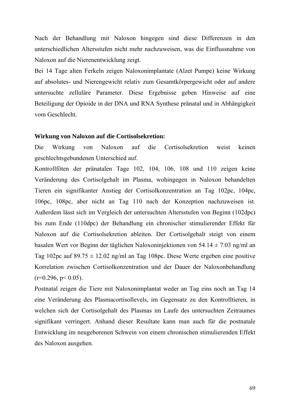Nach der Behandlung mit Naloxon hingegen sind diese Differenzen in den unterschiedlichen Altersstufen nicht mehr nachzuweisen, was die Einflussnahme von Naloxon auf die Nierenentwicklung zeigt.

Bei 14 Tage alten Ferkeln zeigen Naloxonimplantate (Alzet Pumpe) keine Wirkung auf absolutes- und Nierengewicht relativ zum Gesamtkörpergewicht oder auf andere untersuchte zelluläre Parameter. Diese Ergebnisse geben Hinweise auf eine Beteiligung der Opioide in der DNA und RNA Synthese pränatal und in Abhängigkeit vom Geschlecht.

#### **Wirkung von Naloxon auf die Cortisolsekretion:**

Die Wirkung von Naloxon auf die Cortisolsekretion weist keinen geschlechtsgebundenen Unterschied auf.

Kontrollföten der pränatalen Tage 102, 104, 106, 108 und 110 zeigen keine Veränderung des Cortisolgehalt im Plasma, wohingegen in Naloxon behandelten Tieren ein signifikanter Anstieg der Cortisolkonzentration an Tag 102pc, 104pc, 106pc, 108pc, aber nicht an Tag 110 nach der Konzeption nachzuweisen ist. Außerdem lässt sich im Vergleich der untersuchten Altersstufen von Beginn (102dpc) bis zum Ende (110dpc) der Behandlung ein chronischer stimulierender Effekt für Naloxon auf die Cortisolsekretion ableiten. Der Cortisolgehalt steigt von einem basalen Wert vor Beginn der täglichen Naloxoninjektionen von 54.14 ± 7.03 ng/ml an Tag 102pc auf  $89.75 \pm 12.02$  ng/ml an Tag 108pc. Diese Werte ergeben eine positive Korrelation zwischen Cortisolkonzentration und der Dauer der Naloxonbehandlung  $(r=0.296, p<0.05)$ .

Postnatal zeigen die Tiere mit Naloxonimplantat weder an Tag eins noch an Tag 14 eine Veränderung des Plasmacortisollevels, im Gegensatz zu den Kontrolltieren, in welchen sich der Cortisolgehalt des Plasmas im Laufe des untersuchten Zeitraumes signifikant verringert. Anhand dieser Resultate kann man auch für die postnatale Entwicklung im neugeborenen Schwein von einem chronischen stimulierenden Effekt des Naloxon ausgehen.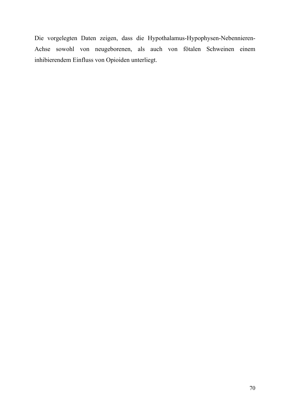Die vorgelegten Daten zeigen, dass die Hypothalamus-Hypophysen-Nebennieren-Achse sowohl von neugeborenen, als auch von fötalen Schweinen einem inhibierendem Einfluss von Opioiden unterliegt.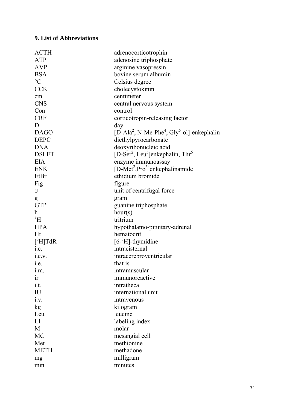### **9. List of Abbreviations**

| <b>ACTH</b>     | adrenocorticotrophin                                                           |
|-----------------|--------------------------------------------------------------------------------|
| <b>ATP</b>      | adenosine triphosphate                                                         |
| <b>AVP</b>      | arginine vasopressin                                                           |
| <b>BSA</b>      | bovine serum albumin                                                           |
| $\rm ^{\circ}C$ | Celsius degree                                                                 |
| CCK             | cholecystokinin                                                                |
| cm              | centimeter                                                                     |
| <b>CNS</b>      | central nervous system                                                         |
| Con             | control                                                                        |
| <b>CRF</b>      | corticotropin-releasing factor                                                 |
| D               | day                                                                            |
| <b>DAGO</b>     | [D-Ala <sup>2</sup> , N-Me-Phe <sup>4</sup> , Gly <sup>5</sup> -ol]-enkephalin |
| <b>DEPC</b>     | diethylpyrocarbonate                                                           |
| <b>DNA</b>      | deoxyribonucleic acid                                                          |
| <b>DSLET</b>    | [D-Ser <sup>2</sup> , Leu <sup>5</sup> ]enkephalin, Thr <sup>6</sup>           |
| <b>EIA</b>      | enzyme immunoassay                                                             |
| <b>ENK</b>      | $[D-Met2, Pro5]$ enkephalinamide                                               |
| EtBr            | ethidium bromide                                                               |
| Fig             | figure                                                                         |
| g               | unit of centrifugal force                                                      |
| g               | gram                                                                           |
| <b>GTP</b>      | guanine triphosphate                                                           |
| h               | hour(s)                                                                        |
| $\rm{^3H}$      | tritrium                                                                       |
| <b>HPA</b>      | hypothalamo-pituitary-adrenal                                                  |
| Ht              | hematocrit                                                                     |
| $[^3H]TdR$      | $[6-3H]$ -thymidine                                                            |
| 1.C.            | intracisternal                                                                 |
| 1.C.V.          | intracerebroventricular                                                        |
| 1.e.            | that is                                                                        |
| 1.m.            | intramuscular                                                                  |
| ir              | immunoreactive                                                                 |
| i.t.            | intrathecal                                                                    |
| IU              | international unit                                                             |
| i.v.            | intravenous                                                                    |
| kg              | kilogram                                                                       |
| Leu             | leucine                                                                        |
| LI              | labeling index                                                                 |
| M               | molar                                                                          |
| MC              | mesangial cell                                                                 |
| Met             | methionine                                                                     |
| <b>METH</b>     | methadone                                                                      |
| mg              | milligram                                                                      |
| min             | minutes                                                                        |
|                 |                                                                                |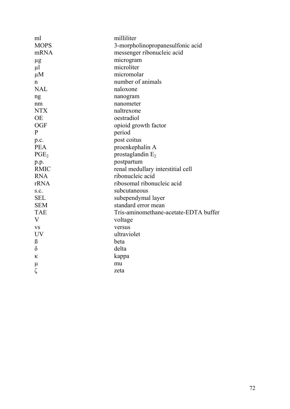| ml               | milliliter                            |
|------------------|---------------------------------------|
| <b>MOPS</b>      | 3-morpholinopropanesulfonic acid      |
| mRNA             | messenger ribonucleic acid            |
| $\mu$ g          | microgram                             |
| $\mu$            | microliter                            |
| $\mu$ M          | micromolar                            |
| n                | number of animals                     |
| <b>NAL</b>       | naloxone                              |
| ng               | nanogram                              |
| nm               | nanometer                             |
| <b>NTX</b>       | naltrexone                            |
| <b>OE</b>        | oestradiol                            |
| <b>OGF</b>       | opioid growth factor                  |
| $\mathbf{P}$     | period                                |
| p.c.             | post coitus                           |
| <b>PEA</b>       | proenkephalin A                       |
| PGE <sub>2</sub> | prostaglandin $E_2$                   |
| p.p.             | postpartum                            |
| <b>RMIC</b>      | renal medullary interstitial cell     |
| <b>RNA</b>       | ribonucleic acid                      |
| rRNA             | ribosomal ribonucleic acid            |
| S.C.             | subcutaneous                          |
| <b>SEL</b>       | subependymal layer                    |
| <b>SEM</b>       | standard error mean                   |
| <b>TAE</b>       | Tris-aminomethane-acetate-EDTA buffer |
| V                | voltage                               |
| <b>VS</b>        | versus                                |
| <b>UV</b>        | ultraviolet                           |
| $\beta$          | beta                                  |
| $\delta$         | delta                                 |
| ĸ                | kappa                                 |
| $\mu$            | mu                                    |
| ζ                | zeta                                  |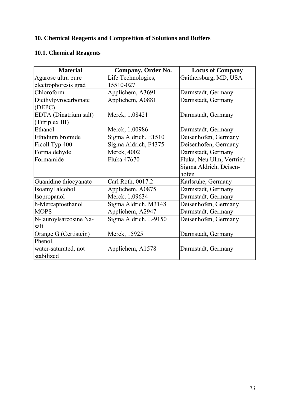# **10. Chemical Reagents and Composition of Solutions and Buffers**

# **10.1. Chemical Reagents**

| <b>Material</b>                               | <b>Company, Order No.</b>       | <b>Locus of Company</b>                                     |
|-----------------------------------------------|---------------------------------|-------------------------------------------------------------|
| Agarose ultra pure<br>electrophoresis grad    | Life Technologies,<br>15510-027 | Gaithersburg, MD, USA                                       |
| Chloroform                                    | Applichem, A3691                | Darmstadt, Germany                                          |
| Diethylpyrocarbonate<br>(DEPC)                | Applichem, A0881                | Darmstadt, Germany                                          |
| EDTA (Dinatrium salt)<br>(Titriplex III)      | Merck, 1.08421                  | Darmstadt, Germany                                          |
| Ethanol                                       | Merck, 1.00986                  | Darmstadt, Germany                                          |
| Ethidium bromide                              | Sigma Aldrich, E1510            | Deisenhofen, Germany                                        |
| Ficoll Typ 400                                | Sigma Aldrich, F4375            | Deisenhofen, Germany                                        |
| Formaldehyde                                  | Merck, 4002                     | Darmstadt, Germany                                          |
| Formamide                                     | Fluka 47670                     | Fluka, Neu Ulm, Vertrieb<br>Sigma Aldrich, Deisen-<br>hofen |
| Guanidine thiocyanate                         | Carl Roth, 0017.2               | Karlsruhe, Germany                                          |
| Isoamyl alcohol                               | Applichem, A0875                | Darmstadt, Germany                                          |
| Isopropanol                                   | Merck, 1.09634                  | Darmstadt, Germany                                          |
| <b>ß-Mercaptoethanol</b>                      | Sigma Aldrich, M3148            | Deisenhofen, Germany                                        |
| <b>MOPS</b>                                   | Applichem, A2947                | Darmstadt, Germany                                          |
| N-lauroylsarcosine Na-<br>salt                | Sigma Aldrich, L-9150           | Deisenhofen, Germany                                        |
| Orange G (Certistein)                         | Merck, 15925                    | Darmstadt, Germany                                          |
| Phenol,<br>water-saturated, not<br>stabilized | Applichem, A1578                | Darmstadt, Germany                                          |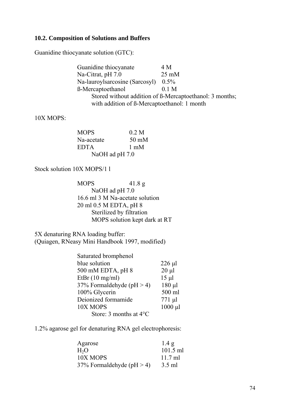## **10.2. Composition of Solutions and Buffers**

Guanidine thiocyanate solution (GTC):

Guanidine thiocyanate 4 M Na-Citrat, pH 7.0 25 mM Na-lauroylsarcosine (Sarcosyl) 0.5% ß-Mercaptoethanol 0.1 M Stored without addition of ß-Mercaptoethanol: 3 months; with addition of **ß**-Mercaptoethanol: 1 month

### 10X MOPS:

| <b>MOPS</b>    | 0.2 M           |
|----------------|-----------------|
| Na-acetate     | $50 \text{ mM}$ |
| <b>EDTA</b>    | $1 \text{ mM}$  |
| NaOH ad pH 7.0 |                 |

Stock solution 10X MOPS/1 l

 MOPS 41.8 g NaOH ad pH 7.0 16.6 ml 3 M Na-acetate solution 20 ml 0.5 M EDTA, pH 8 Sterilized by filtration MOPS solution kept dark at RT

5X denaturing RNA loading buffer: (Quiagen, RNeasy Mini Handbook 1997, modified)

| $226 \mu l$  |
|--------------|
| $20 \mu l$   |
| $15 \mu l$   |
| $180 \mu l$  |
| 500 ml       |
| $771 \mu l$  |
| $1000 \mu l$ |
|              |
|              |

1.2% agarose gel for denaturing RNA gel electrophoresis:

| Agarose                     | 1.4 g      |
|-----------------------------|------------|
| H <sub>2</sub> O            | $101.5$ ml |
| 10X MOPS                    | $11.7$ ml  |
| 37% Formaldehyde (pH $>$ 4) | $3.5$ ml   |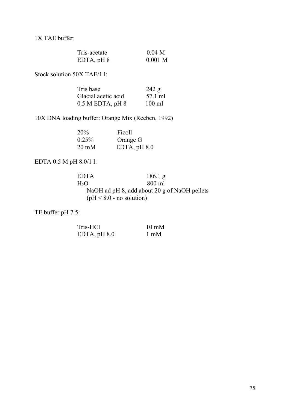1X TAE buffer:

| Tris-acetate    | 0.04 <sub>M</sub> |
|-----------------|-------------------|
| $EDTA$ , pH $8$ | $0.001$ M         |

Stock solution 50X TAE/1 l:

| Tris base            | 242 g            |
|----------------------|------------------|
| Glacial acetic acid  | 57.1 ml          |
| $0.5$ M EDTA, pH $8$ | $100 \text{ ml}$ |

10X DNA loading buffer: Orange Mix (Reeben, 1992)

| 20%             | Ficoll         |
|-----------------|----------------|
| $0.25\%$        | Orange G       |
| $20 \text{ mM}$ | EDTA, $pH 8.0$ |

EDTA 0.5 M pH 8.0/1 l:

EDTA 186.1 g<br>H<sub>2</sub>O 300 ml  $H<sub>2</sub>O$  800 ml NaOH ad pH 8, add about 20 g of NaOH pellets  $(pH < 8.0 - no solution)$ 

TE buffer pH 7.5:

| Tris-HCl       | $10 \text{ mM}$ |
|----------------|-----------------|
| EDTA, $pH 8.0$ | $1 \text{ mM}$  |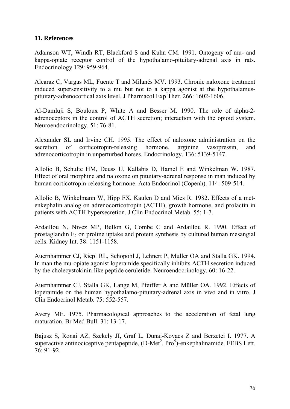### **11. References**

Adamson WT, Windh RT, Blackford S and Kuhn CM. 1991. Ontogeny of mu- and kappa-opiate receptor control of the hypothalamo-pituitary-adrenal axis in rats. Endocrinology 129: 959-964.

Alcaraz C, Vargas ML, Fuente T and Milanés MV. 1993. Chronic naloxone treatment induced supersensitivity to a mu but not to a kappa agonist at the hypothalamuspituitary-adrenocortical axis level. J Pharmacol Exp Ther. 266: 1602-1606.

Al-Damluji S, Bouloux P, White A and Besser M. 1990. The role of alpha-2 adrenoceptors in the control of ACTH secretion; interaction with the opioid system. Neuroendocrinology. 51: 76-81.

Alexander SL and Irvine CH. 1995. The effect of naloxone administration on the secretion of corticotropin-releasing hormone, arginine vasopressin, and adrenocorticotropin in unperturbed horses. Endocrinology. 136: 5139-5147.

Allolio B, Schulte HM, Deuss U, Kallabis D, Hamel E and Winkelman W. 1987. Effect of oral morphine and naloxone on pituitary-adrenal response in man induced by human corticotropin-releasing hormone. Acta Endocrinol (Copenh). 114: 509-514.

Allolio B, Winkelmann W, Hipp FX, Kaulen D and Mies R. 1982. Effects of a metenkephalin analog on adrenocorticotropin (ACTH), growth hormone, and prolactin in patients with ACTH hypersecretion. J Clin Endocrinol Metab. 55: 1-7.

Ardaillou N, Nivez MP, Bellon G, Combe C and Ardaillou R. 1990. Effect of prostaglandin  $E_2$  on proline uptake and protein synthesis by cultured human mesangial cells. Kidney Int. 38: 1151-1158.

Auernhammer CJ, Riepl RL, Schopohl J, Lehnert P, Muller OA and Stalla GK. 1994. In man the mu-opiate agonist loperamide specifically inhibits ACTH secretion induced by the cholecystokinin-like peptide ceruletide. Neuroendocrinology. 60: 16-22.

Auernhammer CJ, Stalla GK, Lange M, Pfeiffer A and Müller OA. 1992. Effects of loperamide on the human hypothalamo-pituitary-adrenal axis in vivo and in vitro. J Clin Endocrinol Metab. 75: 552-557.

Avery ME. 1975. Pharmacological approaches to the acceleration of fetal lung maturation. Br Med Bull. 31: 13-17.

Bajusz S, Ronai AZ, Szekely JI, Graf L, Dunai-Kovacs Z and Berzetei I. 1977. A superactive antinociceptive pentapeptide,  $(D-Met^2, Pro^5)$ -enkephalinamide. FEBS Lett. 76: 91-92.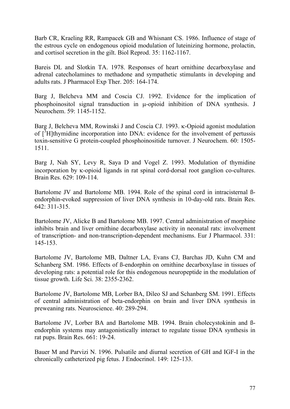Barb CR, Kraeling RR, Rampacek GB and Whisnant CS. 1986. Influence of stage of the estrous cycle on endogenous opioid modulation of luteinizing hormone, prolactin, and cortisol secretion in the gilt. Biol Reprod. 35: 1162-1167.

Bareis DL and Slotkin TA. 1978. Responses of heart ornithine decarboxylase and adrenal catecholamines to methadone and sympathetic stimulants in developing and adults rats. J Pharmacol Exp Ther. 205: 164-174.

Barg J, Belcheva MM and Coscia CJ. 1992. Evidence for the implication of phosphoinositol signal transduction in μ-opioid inhibition of DNA synthesis. J Neurochem. 59: 1145-1152.

Barg J, Belcheva MM, Rowinski J and Coscia CJ. 1993. κ-Opioid agonist modulation of  $\left[\frac{3}{7}\right]$  thymidine incorporation into DNA: evidence for the involvement of pertussis toxin-sensitive G protein-coupled phosphoinositide turnover. J Neurochem. 60: 1505- 1511.

Barg J, Nah SY, Levy R, Saya D and Vogel Z. 1993. Modulation of thymidine incorporation by κ-opioid ligands in rat spinal cord-dorsal root ganglion co-cultures. Brain Res. 629: 109-114.

Bartolome JV and Bartolome MB. 1994. Role of the spinal cord in intracisternal ßendorphin-evoked suppression of liver DNA synthesis in 10-day-old rats. Brain Res. 642: 311-315.

Bartolome JV, Alicke B and Bartolome MB. 1997. Central administration of morphine inhibits brain and liver ornithine decarboxylase activity in neonatal rats: involvement of transcription- and non-transcription-dependent mechanisms. Eur J Pharmacol. 331: 145-153.

Bartolome JV, Bartolome MB, Daltner LA, Evans CJ, Barchas JD, Kuhn CM and Schanberg SM. 1986. Effects of ß-endorphin on ornithine decarboxylase in tissues of developing rats: a potential role for this endogenous neuropeptide in the modulation of tissue growth. Life Sci. 38: 2355-2362.

Bartolome JV, Bartolome MB, Lorber BA, Dileo SJ and Schanberg SM. 1991. Effects of central administration of beta-endorphin on brain and liver DNA synthesis in preweaning rats. Neuroscience. 40: 289-294.

Bartolome JV, Lorber BA and Bartolome MB. 1994. Brain cholecystokinin and ßendorphin systems may antagonistically interact to regulate tissue DNA synthesis in rat pups. Brain Res. 661: 19-24.

Bauer M and Parvizi N. 1996. Pulsatile and diurnal secretion of GH and IGF-I in the chronically catheterized pig fetus. J Endocrinol. 149: 125-133.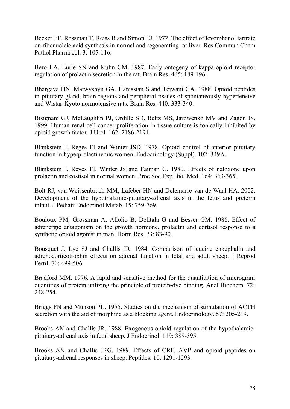Becker FF, Rossman T, Reiss B and Simon EJ. 1972. The effect of levorphanol tartrate on ribonucleic acid synthesis in normal and regenerating rat liver. Res Commun Chem Pathol Pharmacol. 3: 105-116.

Bero LA, Lurie SN and Kuhn CM. 1987. Early ontogeny of kappa-opioid receptor regulation of prolactin secretion in the rat. Brain Res. 465: 189-196.

Bhargava HN, Matwyshyn GA, Hanissian S and Tejwani GA. 1988. Opioid peptides in pituitary gland, brain regions and peripheral tissues of spontaneously hypertensive and Wistar-Kyoto normotensive rats. Brain Res. 440: 333-340.

Bisignani GJ, McLaughlin PJ, Ordille SD, Beltz MS, Jarowenko MV and Zagon IS. 1999. Human renal cell cancer proliferation in tissue culture is tonically inhibited by opioid growth factor. J Urol. 162: 2186-2191.

Blankstein J, Reges FI and Winter JSD. 1978. Opioid control of anterior pituitary function in hyperprolactinemic women. Endocrinology (Suppl). 102: 349A.

Blankstein J, Reyes FI, Winter JS and Faiman C. 1980. Effects of naloxone upon prolactin and costisol in normal women. Proc Soc Exp Biol Med. 164: 363-365.

Bolt RJ, van Weissenbruch MM, Lafeber HN and Delemarre-van de Waal HA. 2002. Development of the hypothalamic-pituitary-adrenal axis in the fetus and preterm infant. J Pediatr Endocrinol Metab. 15: 759-769.

Bouloux PM, Grossman A, Allolio B, Delitala G and Besser GM. 1986. Effect of adrenergic antagonism on the growth hormone, prolactin and cortisol response to a synthetic opioid agonist in man. Horm Res. 23: 83-90.

Bousquet J, Lye SJ and Challis JR. 1984. Comparison of leucine enkephalin and adrenocorticotrophin effects on adrenal function in fetal and adult sheep. J Reprod Fertil. 70: 499-506.

Bradford MM. 1976. A rapid and sensitive method for the quantitation of microgram quantities of protein utilizing the principle of protein-dye binding. Anal Biochem. 72: 248-254.

Briggs FN and Munson PL. 1955. Studies on the mechanism of stimulation of ACTH secretion with the aid of morphine as a blocking agent. Endocrinology. 57: 205-219.

Brooks AN and Challis JR. 1988. Exogenous opioid regulation of the hypothalamicpituitary-adrenal axis in fetal sheep. J Endocrinol. 119: 389-395.

Brooks AN and Challis JRG. 1989. Effects of CRF, AVP and opioid peptides on pituitary-adrenal responses in sheep. Peptides. 10: 1291-1293.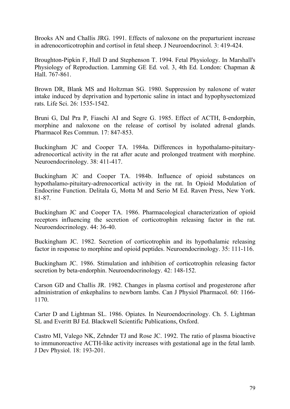Brooks AN and Challis JRG. 1991. Effects of naloxone on the preparturient increase in adrenocorticotrophin and cortisol in fetal sheep. J Neuroendocrinol. 3: 419-424.

Broughton-Pipkin F, Hull D and Stephenson T. 1994. Fetal Physiology. In Marshall's Physiology of Reproduction. Lamming GE Ed. vol. 3, 4th Ed. London: Chapman & Hall. 767-861.

Brown DR, Blank MS and Holtzman SG. 1980. Suppression by naloxone of water intake induced by deprivation and hypertonic saline in intact and hypophysectomized rats. Life Sci. 26: 1535-1542.

Bruni G, Dal Pra P, Fiaschi AI and Segre G. 1985. Effect of ACTH, ß-endorphin, morphine and naloxone on the release of cortisol by isolated adrenal glands. Pharmacol Res Commun. 17: 847-853.

Buckingham JC and Cooper TA. 1984a. Differences in hypothalamo-pituitaryadrenocortical activity in the rat after acute and prolonged treatment with morphine. Neuroendocrinology. 38: 411-417.

Buckingham JC and Cooper TA. 1984b. Influence of opioid substances on hypothalamo-pituitary-adrenocortical activity in the rat. In Opioid Modulation of Endocrine Function. Delitala G, Motta M and Serio M Ed. Raven Press, New York. 81-87.

Buckingham JC and Cooper TA. 1986. Pharmacological characterization of opioid receptors influencing the secretion of corticotrophin releasing factor in the rat. Neuroendocrinology. 44: 36-40.

Buckingham JC. 1982. Secretion of corticotrophin and its hypothalamic releasing factor in response to morphine and opioid peptides. Neuroendocrinology. 35: 111-116.

Buckingham JC. 1986. Stimulation and inhibition of corticotrophin releasing factor secretion by beta-endorphin. Neuroendocrinology. 42: 148-152.

Carson GD and Challis JR. 1982. Changes in plasma cortisol and progesterone after administration of enkephalins to newborn lambs. Can J Physiol Pharmacol. 60: 1166- 1170.

Carter D and Lightman SL. 1986. Opiates. In Neuroendocrinology. Ch. 5. Lightman SL and Everitt BJ Ed. Blackwell Scientific Publications, Oxford.

Castro MI, Valego NK, Zehnder TJ and Rose JC. 1992. The ratio of plasma bioactive to immunoreactive ACTH-like activity increases with gestational age in the fetal lamb. J Dev Physiol. 18: 193-201.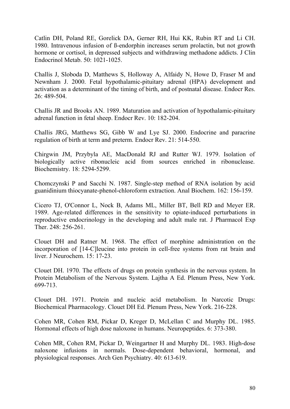Catlin DH, Poland RE, Gorelick DA, Gerner RH, Hui KK, Rubin RT and Li CH. 1980. Intravenous infusion of ß-endorphin increases serum prolactin, but not growth hormone or cortisol, in depressed subjects and withdrawing methadone addicts. J Clin Endocrinol Metab. 50: 1021-1025.

Challis J, Sloboda D, Matthews S, Holloway A, Alfaidy N, Howe D, Fraser M and Newnham J. 2000. Fetal hypothalamic-pituitary adrenal (HPA) development and activation as a determinant of the timing of birth, and of postnatal disease. Endocr Res. 26: 489-504.

Challis JR and Brooks AN. 1989. Maturation and activation of hypothalamic-pituitary adrenal function in fetal sheep. Endocr Rev. 10: 182-204.

Challis JRG, Matthews SG, Gibb W and Lye SJ. 2000. Endocrine and paracrine regulation of birth at term and preterm. Endocr Rev. 21: 514-550.

Chirgwin JM, Przybyla AE, MacDonald RJ and Rutter WJ. 1979. Isolation of biologically active ribonucleic acid from sources enriched in ribonuclease. Biochemistry. 18: 5294-5299.

Chomczynski P and Sacchi N. 1987. Single-step method of RNA isolation by acid guanidinium thiocyanate-phenol-chloroform extraction. Anal Biochem. 162: 156-159.

Cicero TJ, O'Connor L, Nock B, Adams ML, Miller BT, Bell RD and Meyer ER. 1989. Age-related differences in the sensitivity to opiate-induced perturbations in reproductive endocrinology in the developing and adult male rat. J Pharmacol Exp Ther. 248: 256-261.

Clouet DH and Ratner M. 1968. The effect of morphine administration on the incorporation of [14-C]leucine into protein in cell-free systems from rat brain and liver. J Neurochem. 15: 17-23.

Clouet DH. 1970. The effects of drugs on protein synthesis in the nervous system. In Protein Metabolism of the Nervous System. Lajtha A Ed. Plenum Press, New York. 699-713.

Clouet DH. 1971. Protein and nucleic acid metabolism. In Narcotic Drugs: Biochemical Pharmacology. Clouet DH Ed. Plenum Press, New York. 216-228.

Cohen MR, Cohen RM, Pickar D, Kreger D, McLellan C and Murphy DL. 1985. Hormonal effects of high dose naloxone in humans. Neuropeptides. 6: 373-380.

Cohen MR, Cohen RM, Pickar D, Weingartner H and Murphy DL. 1983. High-dose naloxone infusions in normals. Dose-dependent behavioral, hormonal, and physiological responses. Arch Gen Psychiatry. 40: 613-619.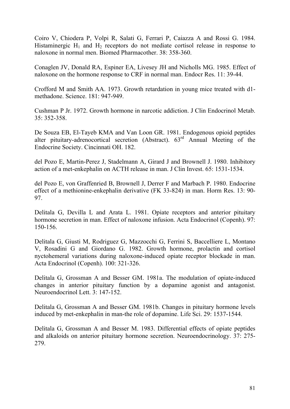Coiro V, Chiodera P, Volpi R, Salati G, Ferrari P, Caiazza A and Rossi G. 1984. Histaminergic  $H_1$  and  $H_2$  receptors do not mediate cortisol release in response to naloxone in normal men. Biomed Pharmacother. 38: 358-360.

Conaglen JV, Donald RA, Espiner EA, Livesey JH and Nicholls MG. 1985. Effect of naloxone on the hormone response to CRF in normal man. Endocr Res. 11: 39-44.

Crofford M and Smith AA. 1973. Growth retardation in young mice treated with d1 methadone. Science. 181: 947-949.

Cushman P Jr. 1972. Growth hormone in narcotic addiction. J Clin Endocrinol Metab. 35: 352-358.

De Souza EB, El-Tayeb KMA and Van Loon GR. 1981. Endogenous opioid peptides alter pituitary-adrenocortical secretion (Abstract).  $63<sup>rd</sup>$  Annual Meeting of the Endocrine Society. Cincinnati OH. 182.

del Pozo E, Martin-Perez J, Stadelmann A, Girard J and Brownell J. 1980. Inhibitory action of a met-enkephalin on ACTH release in man. J Clin Invest. 65: 1531-1534.

del Pozo E, von Graffenried B, Brownell J, Derrer F and Marbach P. 1980. Endocrine effect of a methionine-enkephalin derivative (FK 33-824) in man. Horm Res. 13: 90- 97.

Delitala G, Devilla L and Arata L. 1981. Opiate receptors and anterior pituitary hormone secretion in man. Effect of naloxone infusion. Acta Endocrinol (Copenh). 97: 150-156.

Delitala G, Giusti M, Rodriguez G, Mazzocchi G, Ferrini S, Baccelliere L, Montano V, Rosadini G and Giordano G. 1982. Growth hormone, prolactin and cortisol nyctohemeral variations during naloxone-induced opiate receptor blockade in man. Acta Endocrinol (Copenh). 100: 321-326.

Delitala G, Grossman A and Besser GM. 1981a. The modulation of opiate-induced changes in anterior pituitary function by a dopamine agonist and antagonist. Neuroendocrinol Lett. 3: 147-152.

Delitala G, Grossman A and Besser GM. 1981b. Changes in pituitary hormone levels induced by met-enkephalin in man-the role of dopamine. Life Sci. 29: 1537-1544.

Delitala G, Grossman A and Besser M. 1983. Differential effects of opiate peptides and alkaloids on anterior pituitary hormone secretion. Neuroendocrinology. 37: 275- 279.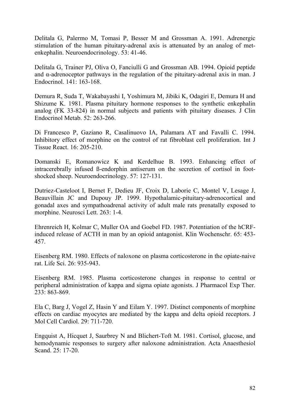Delitala G, Palermo M, Tomasi P, Besser M and Grossman A. 1991. Adrenergic stimulation of the human pituitary-adrenal axis is attenuated by an analog of metenkephalin. Neuroendocrinology. 53: 41-46.

Delitala G, Trainer PJ, Oliva O, Fanciulli G and Grossman AB. 1994. Opioid peptide and  $\alpha$ -adrenoceptor pathways in the regulation of the pituitary-adrenal axis in man. J Endocrinol. 141: 163-168.

Demura R, Suda T, Wakabayashi I, Yoshimura M, Jibiki K, Odagiri E, Demura H and Shizume K. 1981. Plasma pituitary hormone responses to the synthetic enkephalin analog (FK 33-824) in normal subjects and patients with pituitary diseases. J Clin Endocrinol Metab. 52: 263-266.

Di Francesco P, Gaziano R, Casalinuovo IA, Palamara AT and Favalli C. 1994. Inhibitory effect of morphine on the control of rat fibroblast cell proliferation. Int J Tissue React. 16: 205-210.

Domanski E, Romanowicz K and Kerdelhue B. 1993. Enhancing effect of intracerebrally infused ß-endorphin antiserum on the secretion of cortisol in footshocked sheep. Neuroendocrinology. 57: 127-131.

Dutriez-Casteloot I, Bernet F, Dedieu JF, Croix D, Laborie C, Montel V, Lesage J, Beauvillain JC and Dupouy JP. 1999. Hypothalamic-pituitary-adrenocortical and gonadal axes and sympathoadrenal activity of adult male rats prenatally exposed to morphine. Neurosci Lett. 263: 1-4.

Ehrenreich H, Kolmar C, Muller OA and Goebel FD. 1987. Potentiation of the hCRFinduced release of ACTH in man by an opioid antagonist. Klin Wochenschr. 65: 453- 457.

Eisenberg RM. 1980. Effects of naloxone on plasma corticosterone in the opiate-naive rat. Life Sci. 26: 935-943.

Eisenberg RM. 1985. Plasma corticosterone changes in response to central or peripheral administration of kappa and sigma opiate agonists. J Pharmacol Exp Ther. 233: 863-869.

Ela C, Barg J, Vogel Z, Hasin Y and Eilam Y. 1997. Distinct components of morphine effects on cardiac myocytes are mediated by the kappa and delta opioid receptors. J Mol Cell Cardiol. 29: 711-720.

Engquist A, Hicquet J, Saurbrey N and Blichert-Toft M. 1981. Cortisol, glucose, and hemodynamic responses to surgery after naloxone administration. Acta Anaesthesiol Scand. 25: 17-20.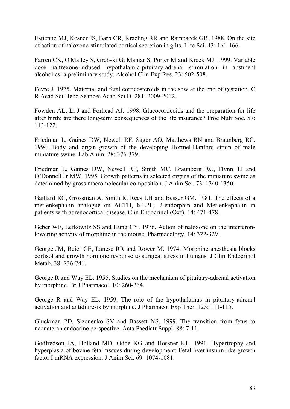Estienne MJ, Kesner JS, Barb CR, Kraeling RR and Rampacek GB. 1988. On the site of action of naloxone-stimulated cortisol secretion in gilts. Life Sci. 43: 161-166.

Farren CK, O'Malley S, Grebski G, Maniar S, Porter M and Kreek MJ. 1999. Variable dose naltrexone-induced hypothalamic-pituitary-adrenal stimulation in abstinent alcoholics: a preliminary study. Alcohol Clin Exp Res. 23: 502-508.

Fevre J. 1975. Maternal and fetal corticosteroids in the sow at the end of gestation. C R Acad Sci Hebd Seances Acad Sci D. 281: 2009-2012.

Fowden AL, Li J and Forhead AJ. 1998. Glucocorticoids and the preparation for life after birth: are there long-term consequences of the life insurance? Proc Nutr Soc. 57: 113-122.

Friedman L, Gaines DW, Newell RF, Sager AO, Matthews RN and Braunberg RC. 1994. Body and organ growth of the developing Hormel-Hanford strain of male miniature swine. Lab Anim. 28: 376-379.

Friedman L, Gaines DW, Newell RF, Smith MC, Braunberg RC, Flynn TJ and O'Donnell Jr MW. 1995. Growth patterns in selected organs of the miniature swine as determined by gross macromolecular composition. J Anim Sci. 73: 1340-1350.

Gaillard RC, Grossman A, Smith R, Rees LH and Besser GM. 1981. The effects of a met-enkephalin analogue on ACTH, ß-LPH, ß-endorphin and Met-enkephalin in patients with adrenocortical disease. Clin Endocrinol (Oxf). 14: 471-478.

Geber WF, Lefkowitz SS and Hung CY. 1976. Action of naloxone on the interferonlowering activity of morphine in the mouse. Pharmacology. 14: 322-329.

George JM, Reier CE, Lanese RR and Rower M. 1974. Morphine anesthesia blocks cortisol and growth hormone response to surgical stress in humans. J Clin Endocrinol Metab. 38: 736-741.

George R and Way EL. 1955. Studies on the mechanism of pituitary-adrenal activation by morphine. Br J Pharmacol. 10: 260-264.

George R and Way EL. 1959. The role of the hypothalamus in pituitary-adrenal activation and antidiuresis by morphine. J Pharmacol Exp Ther. 125: 111-115.

Gluckman PD, Sizonenko SV and Bassett NS. 1999. The transition from fetus to neonate-an endocrine perspective. Acta Paediatr Suppl. 88: 7-11.

Godfredson JA, Holland MD, Odde KG and Hossner KL. 1991. Hypertrophy and hyperplasia of bovine fetal tissues during development: Fetal liver insulin-like growth factor I mRNA expression. J Anim Sci. 69: 1074-1081.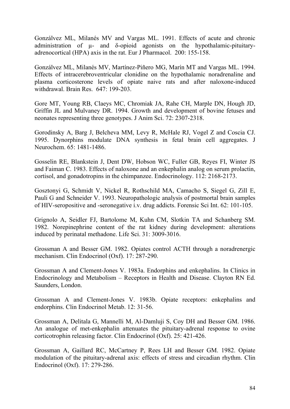Gonzálvez ML, Milanés MV and Vargas ML. 1991. Effects of acute and chronic administration of µ- and δ-opioid agonists on the hypothalamic-pituitaryadrenocortical (HPA) axis in the rat. Eur J Pharmacol. 200: 155-158.

Gonzálvez ML, Milanés MV, Martínez-Piñero MG, Marín MT and Vargas ML. 1994. Effects of intracerebroventricular clonidine on the hypothalamic noradrenaline and plasma corticosterone levels of opiate naive rats and after naloxone-induced withdrawal. Brain Res. 647: 199-203.

Gore MT, Young RB, Claeys MC, Chromiak JA, Rahe CH, Marple DN, Hough JD, Griffin JL and Mulvaney DR. 1994. Growth and development of bovine fetuses and neonates representing three genotypes. J Anim Sci. 72: 2307-2318.

Gorodinsky A, Barg J, Belcheva MM, Levy R, McHale RJ, Vogel Z and Coscia CJ. 1995. Dynorphins modulate DNA synthesis in fetal brain cell aggregates. J Neurochem. 65: 1481-1486.

Gosselin RE, Blankstein J, Dent DW, Hobson WC, Fuller GB, Reyes FI, Winter JS and Faiman C. 1983. Effects of naloxone and an enkephalin analog on serum prolactin, cortisol, and gonadotropins in the chimpanzee. Endocrinology. 112: 2168-2173.

Gosztonyi G, Schmidt V, Nickel R, Rothschild MA, Camacho S, Siegel G, Zill E, Pauli G and Schneider V. 1993. Neuropathologic analysis of postmortal brain samples of HIV-seropositive and -seronegative i.v. drug addicts. Forensic Sci Int. 62: 101-105.

Grignolo A, Seidler FJ, Bartolome M, Kuhn CM, Slotkin TA and Schanberg SM. 1982. Norepinephrine content of the rat kidney during development: alterations induced by perinatal methadone. Life Sci. 31: 3009-3016.

Grossman A and Besser GM. 1982. Opiates control ACTH through a noradrenergic mechanism. Clin Endocrinol (Oxf). 17: 287-290.

Grossman A and Clement-Jones V. 1983a. Endorphins and enkephalins. In Clinics in Endocrinology and Metabolism – Receptors in Health and Disease. Clayton RN Ed. Saunders, London.

Grossman A and Clement-Jones V. 1983b. Opiate receptors: enkephalins and endorphins. Clin Endocrinol Metab. 12: 31-56.

Grossman A, Delitala G, Mannelli M, Al-Damluji S, Coy DH and Besser GM. 1986. An analogue of met-enkephalin attenuates the pituitary-adrenal response to ovine corticotrophin releasing factor. Clin Endocrinol (Oxf). 25: 421-426.

Grossman A, Gaillard RC, McCartney P, Rees LH and Besser GM. 1982. Opiate modulation of the pituitary-adrenal axis: effects of stress and circadian rhythm. Clin Endocrinol (Oxf). 17: 279-286.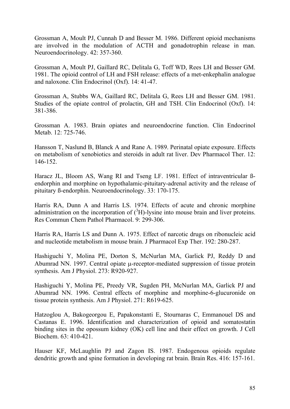Grossman A, Moult PJ, Cunnah D and Besser M. 1986. Different opioid mechanisms are involved in the modulation of ACTH and gonadotrophin release in man. Neuroendocrinology. 42: 357-360.

Grossman A, Moult PJ, Gaillard RC, Delitala G, Toff WD, Rees LH and Besser GM. 1981. The opioid control of LH and FSH release: effects of a met-enkephalin analogue and naloxone. Clin Endocrinol (Oxf). 14: 41-47.

Grossman A, Stubbs WA, Gaillard RC, Delitala G, Rees LH and Besser GM. 1981. Studies of the opiate control of prolactin, GH and TSH. Clin Endocrinol (Oxf). 14: 381-386.

Grossman A. 1983. Brain opiates and neuroendocrine function. Clin Endocrinol Metab. 12: 725-746.

Hansson T, Naslund B, Blanck A and Rane A. 1989. Perinatal opiate exposure. Effects on metabolism of xenobiotics and steroids in adult rat liver. Dev Pharmacol Ther. 12: 146-152.

Haracz JL, Bloom AS, Wang RI and Tseng LF. 1981. Effect of intraventricular ßendorphin and morphine on hypothalamic-pituitary-adrenal activity and the release of pituitary ß-endorphin. Neuroendocrinology. 33: 170-175.

Harris RA, Dunn A and Harris LS. 1974. Effects of acute and chronic morphine administration on the incorporation of  $({}^{3}H)$ -lysine into mouse brain and liver proteins. Res Commun Chem Pathol Pharmacol. 9: 299-306.

Harris RA, Harris LS and Dunn A. 1975. Effect of narcotic drugs on ribonucleic acid and nucleotide metabolism in mouse brain. J Pharmacol Exp Ther. 192: 280-287.

Hashiguchi Y, Molina PE, Dorton S, McNurlan MA, Garlick PJ, Reddy D and Abumrad NN. 1997. Central opiate μ-receptor-mediated suppression of tissue protein synthesis. Am J Physiol. 273: R920-927.

Hashiguchi Y, Molina PE, Preedy VR, Sugden PH, McNurlan MA, Garlick PJ and Abumrad NN. 1996. Central effects of morphine and morphine-6-glucuronide on tissue protein synthesis. Am J Physiol. 271: R619-625.

Hatzoglou A, Bakogeorgou E, Papakonstanti E, Stournaras C, Emmanouel DS and Castanas E. 1996. Identification and characterization of opioid and somatostatin binding sites in the opossum kidney (OK) cell line and their effect on growth. J Cell Biochem. 63: 410-421.

Hauser KF, McLaughlin PJ and Zagon IS. 1987. Endogenous opioids regulate dendritic growth and spine formation in developing rat brain. Brain Res. 416: 157-161.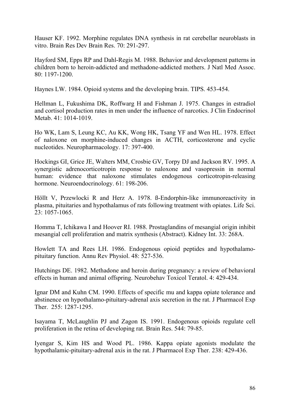Hauser KF. 1992. Morphine regulates DNA synthesis in rat cerebellar neuroblasts in vitro. Brain Res Dev Brain Res. 70: 291-297.

Hayford SM, Epps RP and Dahl-Regis M. 1988. Behavior and development patterns in children born to heroin-addicted and methadone-addicted mothers. J Natl Med Assoc. 80: 1197-1200.

Haynes LW. 1984. Opioid systems and the developing brain. TIPS. 453-454.

Hellman L, Fukushima DK, Roffwarg H and Fishman J. 1975. Changes in estradiol and cortisol production rates in men under the influence of narcotics. J Clin Endocrinol Metab. 41: 1014-1019.

Ho WK, Lam S, Leung KC, Au KK, Wong HK, Tsang YF and Wen HL. 1978. Effect of naloxone on morphine-induced changes in ACTH, corticosterone and cyclic nucleotides. Neuropharmacology. 17: 397-400.

Hockings GI, Grice JE, Walters MM, Crosbie GV, Torpy DJ and Jackson RV. 1995. A synergistic adrenocorticotropin response to naloxone and vasopressin in normal human: evidence that naloxone stimulates endogenous corticotropin-releasing hormone. Neuroendocrinology. 61: 198-206.

Höllt V, Przewlocki R and Herz A. 1978. ß-Endorphin-like immunoreactivity in plasma, pituitaries and hypothalamus of rats following treatment with opiates. Life Sci. 23: 1057-1065.

Homma T, Ichikawa I and Hoover RI. 1988. Prostaglandins of mesangial origin inhibit mesangial cell proliferation and matrix synthesis (Abstract). Kidney Int. 33: 268A.

Howlett TA and Rees LH. 1986. Endogenous opioid peptides and hypothalamopituitary function. Annu Rev Physiol. 48: 527-536.

Hutchings DE. 1982. Methadone and heroin during pregnancy: a review of behavioral effects in human and animal offspring. Neurobehav Toxicol Teratol. 4: 429-434.

Ignar DM and Kuhn CM. 1990. Effects of specific mu and kappa opiate tolerance and abstinence on hypothalamo-pituitary-adrenal axis secretion in the rat. J Pharmacol Exp Ther. 255: 1287-1295.

Isayama T, McLaughlin PJ and Zagon IS. 1991. Endogenous opioids regulate cell proliferation in the retina of developing rat. Brain Res. 544: 79-85.

Iyengar S, Kim HS and Wood PL. 1986. Kappa opiate agonists modulate the hypothalamic-pituitary-adrenal axis in the rat. J Pharmacol Exp Ther. 238: 429-436.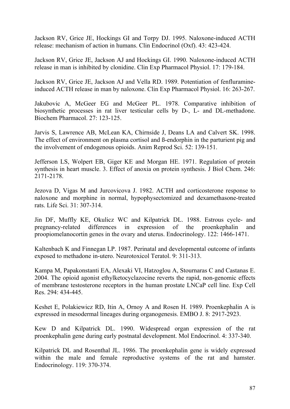Jackson RV, Grice JE, Hockings GI and Torpy DJ. 1995. Naloxone-induced ACTH release: mechanism of action in humans. Clin Endocrinol (Oxf). 43: 423-424.

Jackson RV, Grice JE, Jackson AJ and Hockings GI. 1990. Naloxone-induced ACTH release in man is inhibited by clonidine. Clin Exp Pharmacol Physiol. 17: 179-184.

Jackson RV, Grice JE, Jackson AJ and Vella RD. 1989. Potentiation of fenfluramineinduced ACTH release in man by naloxone. Clin Exp Pharmacol Physiol. 16: 263-267.

Jakubovic A, McGeer EG and McGeer PL. 1978. Comparative inhibition of biosynthetic processes in rat liver testicular cells by D-, L- and DL-methadone. Biochem Pharmacol. 27: 123-125.

Jarvis S, Lawrence AB, McLean KA, Chirnside J, Deans LA and Calvert SK. 1998. The effect of environment on plasma cortisol and ß-endorphin in the parturient pig and the involvement of endogenous opioids. Anim Reprod Sci. 52: 139-151.

Jefferson LS, Wolpert EB, Giger KE and Morgan HE. 1971. Regulation of protein synthesis in heart muscle. 3. Effect of anoxia on protein synthesis. J Biol Chem. 246: 2171-2178.

Jezova D, Vigas M and Jurcovicova J. 1982. ACTH and corticosterone response to naloxone and morphine in normal, hypophysectomized and dexamethasone-treated rats. Life Sci. 31: 307-314.

Jin DF, Muffly KE, Okulicz WC and Kilpatrick DL. 1988. Estrous cycle- and pregnancy-related differences in expression of the proenkephalin and proopiomelanocortin genes in the ovary and uterus. Endocrinology. 122: 1466-1471.

Kaltenbach K and Finnegan LP. 1987. Perinatal and developmental outcome of infants exposed to methadone in-utero. Neurotoxicol Teratol. 9: 311-313.

Kampa M, Papakonstanti EA, Alexaki VI, Hatzoglou A, Stournaras C and Castanas E. 2004. The opioid agonist ethylketocyclazocine reverts the rapid, non-genomic effects of membrane testosterone receptors in the human prostate LNCaP cell line. Exp Cell Res. 294: 434-445.

Keshet E, Polakiewicz RD, Itin A, Ornoy A and Rosen H. 1989. Proenkephalin A is expressed in mesodermal lineages during organogenesis. EMBO J. 8: 2917-2923.

Kew D and Kilpatrick DL. 1990. Widespread organ expression of the rat proenkephalin gene during early postnatal development. Mol Endocrinol. 4: 337-340.

Kilpatrick DL and Rosenthal JL. 1986. The proenkephalin gene is widely expressed within the male and female reproductive systems of the rat and hamster. Endocrinology. 119: 370-374.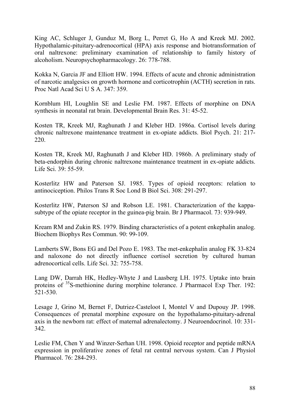King AC, Schluger J, Gunduz M, Borg L, Perret G, Ho A and Kreek MJ. 2002. Hypothalamic-pituitary-adrenocortical (HPA) axis response and biotransformation of oral naltrexone: preliminary examination of relationship to family history of alcoholism. Neuropsychopharmacology. 26: 778-788.

Kokka N, Garcia JF and Elliott HW. 1994. Effects of acute and chronic administration of narcotic analgesics on growth hormone and corticotrophin (ACTH) secretion in rats. Proc Natl Acad Sci U S A. 347: 359.

Kornblum HI, Loughlin SE and Leslie FM. 1987. Effects of morphine on DNA synthesis in neonatal rat brain. Developmental Brain Res. 31: 45-52.

Kosten TR, Kreek MJ, Raghunath J and Kleber HD. 1986a. Cortisol levels during chronic naltrexone maintenance treatment in ex-opiate addicts. Biol Psych. 21: 217- 220.

Kosten TR, Kreek MJ, Raghunath J and Kleber HD. 1986b. A preliminary study of beta-endorphin during chronic naltrexone maintenance treatment in ex-opiate addicts. Life Sci. 39: 55-59.

Kosterlitz HW and Paterson SJ. 1985. Types of opioid receptors: relation to antinociception. Philos Trans R Soc Lond B Biol Sci. 308: 291-297.

Kosterlitz HW, Paterson SJ and Robson LE. 1981. Characterization of the kappasubtype of the opiate receptor in the guinea-pig brain. Br J Pharmacol. 73: 939-949.

Kream RM and Zukin RS. 1979. Binding characteristics of a potent enkephalin analog. Biochem Biophys Res Commun. 90: 99-109.

Lamberts SW, Bons EG and Del Pozo E. 1983. The met-enkephalin analog FK 33-824 and naloxone do not directly influence cortisol secretion by cultured human adrenocortical cells. Life Sci. 32: 755-758.

Lang DW, Darrah HK, Hedley-Whyte J and Laasberg LH. 1975. Uptake into brain proteins of  $35S$ -methionine during morphine tolerance. J Pharmacol Exp Ther. 192: 521-530.

Lesage J, Grino M, Bernet F, Dutriez-Casteloot I, Montel V and Dupouy JP. 1998. Consequences of prenatal morphine exposure on the hypothalamo-pituitary-adrenal axis in the newborn rat: effect of maternal adrenalectomy. J Neuroendocrinol. 10: 331- 342.

Leslie FM, Chen Y and Winzer-Serhan UH. 1998. Opioid receptor and peptide mRNA expression in proliferative zones of fetal rat central nervous system. Can J Physiol Pharmacol. 76: 284-293.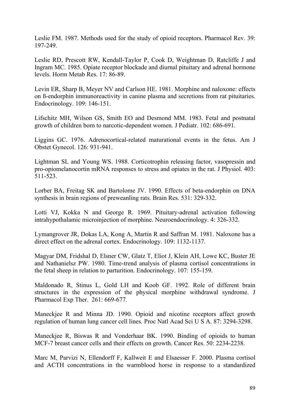Leslie FM. 1987. Methods used for the study of opioid receptors. Pharmacol Rev. 39: 197-249.

Leslie RD, Prescott RW, Kendall-Taylor P, Cook D, Weightman D, Ratcliffe J and Ingram MC. 1985. Opiate receptor blockade and diurnal pituitary and adrenal hormone levels. Horm Metab Res. 17: 86-89.

Levin ER, Sharp B, Meyer NV and Carlson HE. 1981. Morphine and naloxone: effects on ß-endorphin immunoreactivity in canine plasma and secretions from rat pituitaries. Endocrinology. 109: 146-151.

Lifschitz MH, Wilson GS, Smith EO and Desmond MM. 1983. Fetal and postnatal growth of children born to narcotic-dependent women. J Pediatr. 102: 686-691.

Liggins GC. 1976. Adrenocortical-related maturational events in the fetus. Am J Obstet Gynecol. 126: 931-941.

Lightman SL and Young WS. 1988. Corticotrophin releasing factor, vasopressin and pro-opiomelanocortin mRNA responses to stress and opiates in the rat. J Physiol. 403: 511-523.

Lorber BA, Freitag SK and Bartolome JV. 1990. Effects of beta-endorphin on DNA synthesis in brain regions of preweanling rats. Brain Res. 531: 329-332.

Lotti VJ, Kokka N and George R. 1969. Pituitary-adrenal activation following intrahypothalamic microinjection of morphine. Neuroendocrinology. 4: 326-332.

Lymangrover JR, Dokas LA, Kong A, Martin R and Saffran M. 1981. Naloxone has a direct effect on the adrenal cortex. Endocrinology. 109: 1132-1137.

Magyar DM, Fridshal D, Elsner CW, Glatz T, Eliot J, Klein AH, Lowe KC, Buster JE and Nathanielsz PW. 1980. Time-trend analysis of plasma cortisol concentrations in the fetal sheep in relation to parturition. Endocrinology. 107: 155-159.

Maldonado R, Stinus L, Gold LH and Koob GF. 1992. Role of different brain structures in the expression of the physical morphine withdrawal syndrome. J Pharmacol Exp Ther. 261: 669-677.

Maneckjee R and Minna JD. 1990. Opioid and nicotine receptors affect growth regulation of human lung cancer cell lines. Proc Natl Acad Sci U S A. 87: 3294-3298.

Maneckjee R, Biswas R and Vonderhaar BK. 1990. Binding of opioids to human MCF-7 breast cancer cells and their effects on growth. Cancer Res. 50: 2234-2238.

Marc M, Parvizi N, Ellendorff F, Kallweit E and Elsaesser F. 2000. Plasma cortisol and ACTH concentrations in the warmblood horse in response to a standardized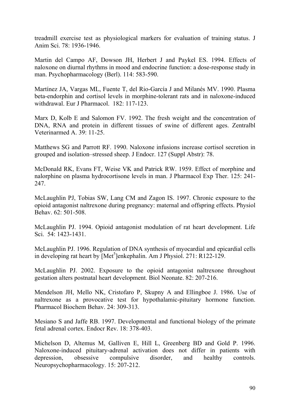treadmill exercise test as physiological markers for evaluation of training status. J Anim Sci. 78: 1936-1946.

Martin del Campo AF, Dowson JH, Herbert J and Paykel ES. 1994. Effects of naloxone on diurnal rhythms in mood and endocrine function: a dose-response study in man. Psychopharmacology (Berl). 114: 583-590.

Martínez JA, Vargas ML, Fuente T, del Rio-García J and Milanés MV. 1990. Plasma beta-endorphin and cortisol levels in morphine-tolerant rats and in naloxone-induced withdrawal. Eur J Pharmacol. 182: 117-123.

Marx D, Kolb E and Salomon FV. 1992. The fresh weight and the concentration of DNA, RNA and protein in different tissues of swine of different ages. Zentralbl Veterinarmed A. 39: 11-25.

Matthews SG and Parrott RF. 1990. Naloxone infusions increase cortisol secretion in grouped and isolation–stressed sheep. J Endocr. 127 (Suppl Abstr): 78.

McDonald RK, Evans FT, Weise VK and Patrick RW. 1959. Effect of morphine and nalorphine on plasma hydrocortisone levels in man. J Pharmacol Exp Ther. 125: 241- 247.

McLaughlin PJ, Tobias SW, Lang CM and Zagon IS. 1997. Chronic exposure to the opioid antagonist naltrexone during pregnancy: maternal and offspring effects. Physiol Behav. 62: 501-508.

McLaughlin PJ. 1994. Opioid antagonist modulation of rat heart development. Life Sci. 54: 1423-1431.

McLaughlin PJ. 1996. Regulation of DNA synthesis of myocardial and epicardial cells in developing rat heart by [Met<sup>5</sup>]enkephalin. Am J Physiol. 271: R122-129.

McLaughlin PJ. 2002. Exposure to the opioid antagonist naltrexone throughout gestation alters postnatal heart development. Biol Neonate. 82: 207-216.

Mendelson JH, Mello NK, Cristofaro P, Skupny A and Ellingboe J. 1986. Use of naltrexone as a provocative test for hypothalamic-pituitary hormone function. Pharmacol Biochem Behav. 24: 309-313.

Mesiano S and Jaffe RB. 1997. Developmental and functional biology of the primate fetal adrenal cortex. Endocr Rev. 18: 378-403.

Michelson D, Altemus M, Galliven E, Hill L, Greenberg BD and Gold P. 1996. Naloxone-induced pituitary-adrenal activation does not differ in patients with depression, obsessive compulsive disorder, and healthy controls. Neuropsychopharmacology. 15: 207-212.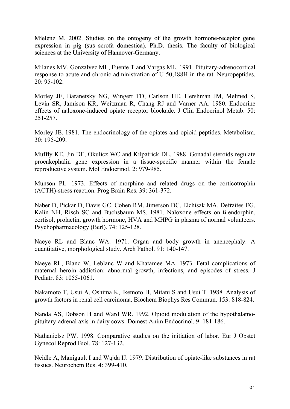Mielenz M. 2002. Studies on the ontogeny of the growth hormone-receptor gene expression in pig (sus scrofa domestica). Ph.D. thesis. The faculty of biological sciences at the University of Hannover-Germany.

Milanes MV, Gonzalvez ML, Fuente T and Vargas ML. 1991. Pituitary-adrenocortical response to acute and chronic administration of U-50,488H in the rat. Neuropeptides. 20: 95-102.

Morley JE, Baranetsky NG, Wingert TD, Carlson HE, Hershman JM, Melmed S, Levin SR, Jamison KR, Weitzman R, Chang RJ and Varner AA. 1980. Endocrine effects of naloxone-induced opiate receptor blockade. J Clin Endocrinol Metab. 50: 251-257.

Morley JE. 1981. The endocrinology of the opiates and opioid peptides. Metabolism. 30: 195-209.

Muffly KE, Jin DF, Okulicz WC and Kilpatrick DL. 1988. Gonadal steroids regulate proenkephalin gene expression in a tissue-specific manner within the female reproductive system. Mol Endocrinol. 2: 979-985.

Munson PL. 1973. Effects of morphine and related drugs on the corticotrophin (ACTH)-stress reaction. Prog Brain Res. 39: 361-372.

Naber D, Pickar D, Davis GC, Cohen RM, Jimerson DC, Elchisak MA, Defraites EG, Kalin NH, Risch SC and Buchsbaum MS. 1981. Naloxone effects on ß-endorphin, cortisol, prolactin, growth hormone, HVA and MHPG in plasma of normal volunteers. Psychopharmacology (Berl). 74: 125-128.

Naeye RL and Blanc WA. 1971. Organ and body growth in anencephaly. A quantitative, morphological study. Arch Pathol. 91: 140-147.

Naeye RL, Blanc W, Leblanc W and Khatamee MA. 1973. Fetal complications of maternal heroin addiction: abnormal growth, infections, and episodes of stress. J Pediatr. 83: 1055-1061.

Nakamoto T, Usui A, Oshima K, Ikemoto H, Mitani S and Usui T. 1988. Analysis of growth factors in renal cell carcinoma. Biochem Biophys Res Commun. 153: 818-824.

Nanda AS, Dobson H and Ward WR. 1992. Opioid modulation of the hypothalamopituitary-adrenal axis in dairy cows. Domest Anim Endocrinol. 9: 181-186.

Nathanielsz PW. 1998. Comparative studies on the initiation of labor. Eur J Obstet Gynecol Reprod Biol. 78: 127-132.

Neidle A, Manigault I and Wajda IJ. 1979. Distribution of opiate-like substances in rat tissues. Neurochem Res. 4: 399-410.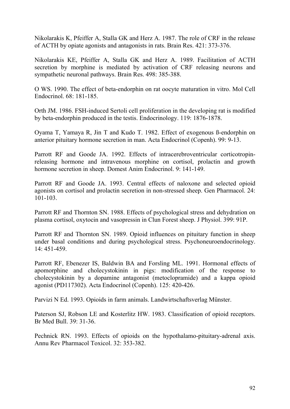Nikolarakis K, Pfeiffer A, Stalla GK and Herz A. 1987. The role of CRF in the release of ACTH by opiate agonists and antagonists in rats. Brain Res. 421: 373-376.

Nikolarakis KE, Pfeiffer A, Stalla GK and Herz A. 1989. Facilitation of ACTH secretion by morphine is mediated by activation of CRF releasing neurons and sympathetic neuronal pathways. Brain Res. 498: 385-388.

O WS. 1990. The effect of beta-endorphin on rat oocyte maturation in vitro. Mol Cell Endocrinol. 68: 181-185.

Orth JM. 1986. FSH-induced Sertoli cell proliferation in the developing rat is modified by beta-endorphin produced in the testis. Endocrinology. 119: 1876-1878.

Oyama T, Yamaya R, Jin T and Kudo T. 1982. Effect of exogenous ß-endorphin on anterior pituitary hormone secretion in man. Acta Endocrinol (Copenh). 99: 9-13.

Parrott RF and Goode JA. 1992. Effects of intracerebroventricular corticotropinreleasing hormone and intravenous morphine on cortisol, prolactin and growth hormone secretion in sheep. Domest Anim Endocrinol. 9: 141-149.

Parrott RF and Goode JA. 1993. Central effects of naloxone and selected opioid agonists on cortisol and prolactin secretion in non-stressed sheep. Gen Pharmacol. 24: 101-103.

Parrott RF and Thornton SN. 1988. Effects of psychological stress and dehydration on plasma cortisol, oxytocin and vasopressin in Clun Forest sheep. J Physiol. 399: 91P.

Parrott RF and Thornton SN. 1989. Opioid influences on pituitary function in sheep under basal conditions and during psychological stress. Psychoneuroendocrinology. 14: 451-459.

Parrott RF, Ebenezer IS, Baldwin BA and Forsling ML. 1991. Hormonal effects of apomorphine and cholecystokinin in pigs: modification of the response to cholecystokinin by a dopamine antagonist (metoclopramide) and a kappa opioid agonist (PD117302). Acta Endocrinol (Copenh). 125: 420-426.

Parvizi N Ed. 1993. Opioids in farm animals. Landwirtschaftsverlag Münster.

Paterson SJ, Robson LE and Kosterlitz HW. 1983. Classification of opioid receptors. Br Med Bull. 39: 31-36.

Pechnick RN. 1993. Effects of opioids on the hypothalamo-pituitary-adrenal axis. Annu Rev Pharmacol Toxicol. 32: 353-382.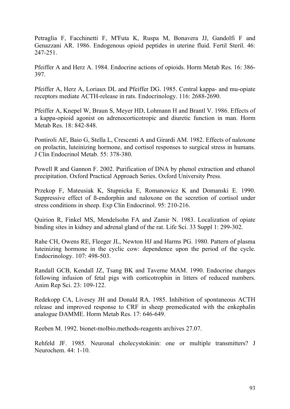Petraglia F, Facchinetti F, M'Futa K, Ruspa M, Bonavera JJ, Gandolfi F and Genazzani AR. 1986. Endogenous opioid peptides in uterine fluid. Fertil Steril. 46: 247-251.

Pfeiffer A and Herz A. 1984. Endocrine actions of opioids. Horm Metab Res. 16: 386- 397.

Pfeiffer A, Herz A, Loriaux DL and Pfeiffer DG. 1985. Central kappa- and mu-opiate receptors mediate ACTH-release in rats. Endocrinology. 116: 2688-2690.

Pfeiffer A, Knepel W, Braun S, Meyer HD, Lohmann H and Brantl V. 1986. Effects of a kappa-opioid agonist on adrenocorticotropic and diuretic function in man. Horm Metab Res. 18: 842-848.

Pontiroli AE, Baio G, Stella L, Crescenti A and Girardi AM. 1982. Effects of naloxone on prolactin, luteinizing hormone, and cortisol responses to surgical stress in humans. J Clin Endocrinol Metab. 55: 378-380.

Powell R and Gannon F. 2002. Purification of DNA by phenol extraction and ethanol precipitation. Oxford Practical Approach Series. Oxford University Press.

Przekop F, Mateusiak K, Stupnicka E, Romanowicz K and Domanski E. 1990. Suppressive effect of ß-endorphin and naloxone on the secretion of cortisol under stress conditions in sheep. Exp Clin Endocrinol. 95: 210-216.

Quirion R, Finkel MS, Mendelsohn FA and Zamir N. 1983. Localization of opiate binding sites in kidney and adrenal gland of the rat. Life Sci. 33 Suppl 1: 299-302.

Rahe CH, Owens RE, Fleeger JL, Newton HJ and Harms PG. 1980. Pattern of plasma luteinizing hormone in the cyclic cow: dependence upon the period of the cycle. Endocrinology. 107: 498-503.

Randall GCB, Kendall JZ, Tsang BK and Taverne MAM. 1990. Endocrine changes following infusion of fetal pigs with corticotrophin in litters of reduced numbers. Anim Rep Sci. 23: 109-122.

Redekopp CA, Livesey JH and Donald RA. 1985. Inhibition of spontaneous ACTH release and improved response to CRF in sheep premedicated with the enkephalin analogue DAMME. Horm Metab Res. 17: 646-649.

Reeben M. 1992. bionet-molbio.methods-reagents archives 27.07.

Rehfeld JF. 1985. Neuronal cholecystokinin: one or multiple transmitters? J Neurochem. 44: 1-10.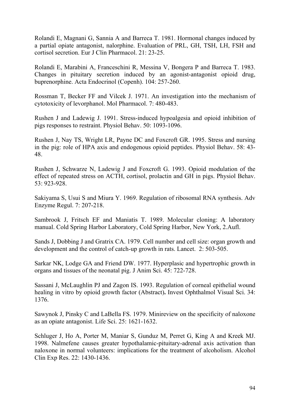Rolandi E, Magnani G, Sannia A and Barreca T. 1981. Hormonal changes induced by a partial opiate antagonist, nalorphine. Evaluation of PRL, GH, TSH, LH, FSH and cortisol secretion. Eur J Clin Pharmacol. 21: 23-25.

Rolandi E, Marabini A, Franceschini R, Messina V, Bongera P and Barreca T. 1983. Changes in pituitary secretion induced by an agonist-antagonist opioid drug, buprenorphine. Acta Endocrinol (Copenh). 104: 257-260.

Rossman T, Becker FF and Vilcek J. 1971. An investigation into the mechanism of cytotoxicity of levorphanol. Mol Pharmacol. 7: 480-483.

Rushen J and Ladewig J. 1991. Stress-induced hypoalgesia and opioid inhibition of pigs responses to restraint. Physiol Behav. 50: 1093-1096.

Rushen J, Nay TS, Wright LR, Payne DC and Foxcroft GR. 1995. Stress and nursing in the pig: role of HPA axis and endogenous opioid peptides. Physiol Behav. 58: 43- 48.

Rushen J, Schwarze N, Ladewig J and Foxcroft G. 1993. Opioid modulation of the effect of repeated stress on ACTH, cortisol, prolactin and GH in pigs. Physiol Behav. 53: 923-928.

Sakiyama S, Usui S and Miura Y. 1969. Regulation of ribosomal RNA synthesis. Adv Enzyme Regul. 7: 207-218.

Sambrook J, Fritsch EF and Maniatis T. 1989. Molecular cloning: A laboratory manual. Cold Spring Harbor Laboratory, Cold Spring Harbor, New York, 2.Aufl.

Sands J, Dobbing J and Gratrix CA. 1979. Cell number and cell size: organ growth and development and the control of catch-up growth in rats. Lancet. 2: 503-505.

Sarkar NK, Lodge GA and Friend DW. 1977. Hyperplasic and hypertrophic growth in organs and tissues of the neonatal pig. J Anim Sci. 45: 722-728.

Sassani J, McLaughlin PJ and Zagon IS. 1993. Regulation of corneal epithelial wound healing in vitro by opioid growth factor (Abstract)**.** Invest Ophthalmol Visual Sci. 34: 1376.

Sawynok J, Pinsky C and LaBella FS. 1979. Minireview on the specificity of naloxone as an opiate antagonist. Life Sci. 25: 1621-1632.

Schluger J, Ho A, Porter M, Maniar S, Gunduz M, Perret G, King A and Kreek MJ. 1998. Nalmefene causes greater hypothalamic-pituitary-adrenal axis activation than naloxone in normal volunteers: implications for the treatment of alcoholism. Alcohol Clin Exp Res. 22: 1430-1436.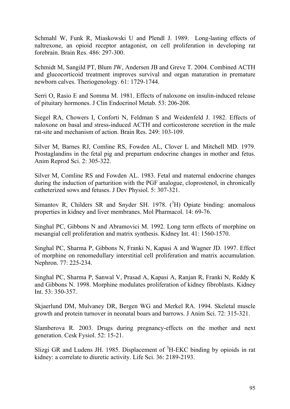Schmahl W, Funk R, Miaskowski U and Plendl J. 1989. Long-lasting effects of naltrexone, an opioid receptor antagonist, on cell proliferation in developing rat forebrain. Brain Res. 486: 297-300.

Schmidt M, Sangild PT, Blum JW, Andersen JB and Greve T. 2004. Combined ACTH and glucocorticoid treatment improves survival and organ maturation in premature newborn calves. Theriogenology. 61: 1729-1744.

Serri O, Rasio E and Somma M. 1981. Effects of naloxone on insulin-induced release of pituitary hormones. J Clin Endocrinol Metab. 53: 206-208.

Siegel RA, Chowers I, Conforti N, Feldman S and Weidenfeld J. 1982. Effects of naloxone on basal and stress-induced ACTH and corticosterone secretion in the male rat-site and mechanism of action. Brain Res. 249: 103-109.

Silver M, Barnes RJ, Comline RS, Fowden AL, Clover L and Mitchell MD. 1979. Prostaglandins in the fetal pig and prepartum endocrine changes in mother and fetus. Anim Reprod Sci. 2: 305-322.

Silver M, Comline RS and Fowden AL. 1983. Fetal and maternal endocrine changes during the induction of parturition with the PGF analogue, cloprostenol, in chronically catheterized sows and fetuses. J Dev Physiol. 5: 307-321.

Simantov R, Childers SR and Snyder SH. 1978.  $(^{3}H)$  Opiate binding: anomalous properties in kidney and liver membranes. Mol Pharmacol. 14: 69-76.

Singhal PC, Gibbons N and Abramovici M. 1992. Long term effects of morphine on mesangial cell proliferation and matrix synthesis. Kidney Int. 41: 1560-1570.

Singhal PC, Sharma P, Gibbons N, Franki N, Kapasi A and Wagner JD. 1997. Effect of morphine on renomedullary interstitial cell proliferation and matrix accumulation. Nephron. 77: 225-234.

Singhal PC, Sharma P, Sanwal V, Prasad A, Kapasi A, Ranjan R, Franki N, Reddy K and Gibbons N. 1998. Morphine modulates proliferation of kidney fibroblasts. Kidney Int. 53: 350-357.

Skjaerlund DM, Mulvaney DR, Bergen WG and Merkel RA. 1994. Skeletal muscle growth and protein turnover in neonatal boars and barrows. J Anim Sci. 72: 315-321.

Slamberova R. 2003. Drugs during pregnancy-effects on the mother and next generation. Cesk Fysiol. 52: 15-21.

Slizgi GR and Ludens JH. 1985. Displacement of <sup>3</sup>H-EKC binding by opioids in rat kidney: a correlate to diuretic activity. Life Sci. 36: 2189-2193.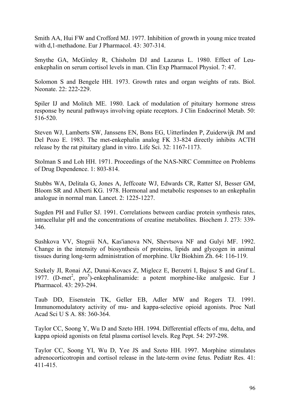Smith AA, Hui FW and Crofford MJ. 1977. Inhibition of growth in young mice treated with d,1-methadone. Eur J Pharmacol. 43: 307-314.

Smythe GA, McGinley R, Chisholm DJ and Lazarus L. 1980. Effect of Leuenkephalin on serum cortisol levels in man. Clin Exp Pharmacol Physiol. 7: 47.

Solomon S and Bengele HH. 1973. Growth rates and organ weights of rats. Biol. Neonate. 22: 222-229.

Spiler IJ and Molitch ME. 1980. Lack of modulation of pituitary hormone stress response by neural pathways involving opiate receptors. J Clin Endocrinol Metab. 50: 516-520.

Steven WJ, Lamberts SW, Janssens EN, Bons EG, Uitterlinden P, Zuiderwijk JM and Del Pozo E. 1983. The met-enkephalin analog FK 33-824 directly inhibits ACTH release by the rat pituitary gland in vitro. Life Sci. 32: 1167-1173.

Stolman S and Loh HH. 1971. Proceedings of the NAS-NRC Committee on Problems of Drug Dependence. 1: 803-814.

Stubbs WA, Delitala G, Jones A, Jeffcoate WJ, Edwards CR, Ratter SJ, Besser GM, Bloom SR and Alberti KG. 1978. Hormonal and metabolic responses to an enkephalin analogue in normal man. Lancet. 2: 1225-1227.

Sugden PH and Fuller SJ. 1991. Correlations between cardiac protein synthesis rates, intracellular pH and the concentrations of creatine metabolites. Biochem J. 273: 339- 346.

Sushkova VV, Stognii NA, Kas'ianova NN, Shevtsova NF and Gulyi MF. 1992. Change in the intensity of biosynthesis of proteins, lipids and glycogen in animal tissues during long-term administration of morphine. Ukr Biokhim Zh. 64: 116-119.

Szekely JI, Ronai AZ, Dunai-Kovacs Z, Miglecz E, Berzetri I, Bajusz S and Graf L. 1977. (D-met<sup>2</sup>, pro<sup>5</sup>)-enkephalinamide: a potent morphine-like analgesic. Eur J Pharmacol. 43: 293-294.

Taub DD, Eisenstein TK, Geller EB, Adler MW and Rogers TJ. 1991. Immunomodulatory activity of mu- and kappa-selective opioid agonists. Proc Natl Acad Sci U S A. 88: 360-364.

Taylor CC, Soong Y, Wu D and Szeto HH. 1994. Differential effects of mu, delta, and kappa opioid agonists on fetal plasma cortisol levels. Reg Pept. 54: 297-298.

Taylor CC, Soong YI, Wu D, Yee JS and Szeto HH. 1997. Morphine stimulates adrenocorticotropin and cortisol release in the late-term ovine fetus. Pediatr Res. 41: 411-415.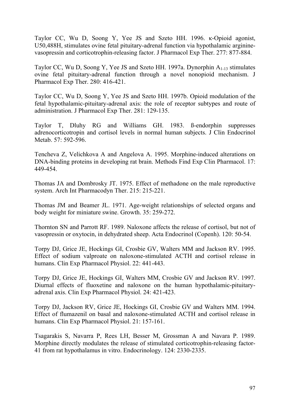Taylor CC, Wu D, Soong Y, Yee JS and Szeto HH. 1996. κ-Opioid agonist, U50,488H, stimulates ovine fetal pituitary-adrenal function via hypothalamic argininevasopressin and corticotrophin-releasing factor. J Pharmacol Exp Ther. 277: 877-884.

Taylor CC, Wu D, Soong Y, Yee JS and Szeto HH. 1997a. Dynorphin A1-13 stimulates ovine fetal pituitary-adrenal function through a novel nonopioid mechanism. J Pharmacol Exp Ther. 280: 416-421.

Taylor CC, Wu D, Soong Y, Yee JS and Szeto HH. 1997b. Opioid modulation of the fetal hypothalamic-pituitary-adrenal axis: the role of receptor subtypes and route of administration. J Pharmacol Exp Ther. 281: 129-135.

Taylor T, Dluhy RG and Williams GH. 1983. ß-endorphin suppresses adrenocorticotropin and cortisol levels in normal human subjects. J Clin Endocrinol Metab. 57: 592-596.

Tencheva Z, Velichkova A and Angelova A. 1995. Morphine-induced alterations on DNA-binding proteins in developing rat brain. Methods Find Exp Clin Pharmacol. 17: 449-454.

Thomas JA and Dombrosky JT. 1975. Effect of methadone on the male reproductive system. Arch Int Pharmacodyn Ther. 215: 215-221.

Thomas JM and Beamer JL. 1971. Age-weight relationships of selected organs and body weight for miniature swine. Growth. 35: 259-272.

Thornton SN and Parrott RF. 1989. Naloxone affects the release of cortisol, but not of vasopressin or oxytocin, in dehydrated sheep. Acta Endocrinol (Copenh). 120: 50-54.

Torpy DJ, Grice JE, Hockings GI, Crosbie GV, Walters MM and Jackson RV. 1995. Effect of sodium valproate on naloxone-stimulated ACTH and cortisol release in humans. Clin Exp Pharmacol Physiol. 22: 441-443.

Torpy DJ, Grice JE, Hockings GI, Walters MM, Crosbie GV and Jackson RV. 1997. Diurnal effects of fluoxetine and naloxone on the human hypothalamic-pituitaryadrenal axis. Clin Exp Pharmacol Physiol. 24: 421-423.

Torpy DJ, Jackson RV, Grice JE, Hockings GI, Crosbie GV and Walters MM. 1994. Effect of flumazenil on basal and naloxone-stimulated ACTH and cortisol release in humans. Clin Exp Pharmacol Physiol. 21: 157-161.

Tsagarakis S, Navarra P, Rees LH, Besser M, Grossman A and Navara P. 1989. Morphine directly modulates the release of stimulated corticotrophin-releasing factor-41 from rat hypothalamus in vitro. Endocrinology. 124: 2330-2335.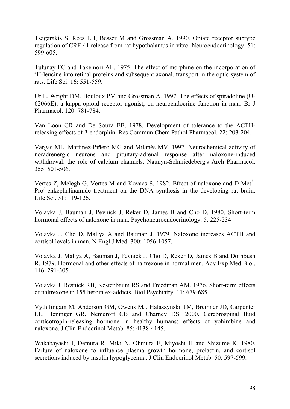Tsagarakis S, Rees LH, Besser M and Grossman A. 1990. Opiate receptor subtype regulation of CRF-41 release from rat hypothalamus in vitro. Neuroendocrinology. 51: 599-605.

Tulunay FC and Takemori AE. 1975. The effect of morphine on the incorporation of <sup>3</sup>H-leucine into retinal proteins and subsequent axonal, transport in the optic system of rats. Life Sci. 16: 551-559.

Ur E, Wright DM, Bouloux PM and Grossman A. 1997. The effects of spiradoline (U-62066E), a kappa-opioid receptor agonist, on neuroendocrine function in man. Br J Pharmacol. 120: 781-784.

Van Loon GR and De Souza EB. 1978. Development of tolerance to the ACTHreleasing effects of ß-endorphin. Res Commun Chem Pathol Pharmacol. 22: 203-204.

Vargas ML, Martínez-Piñero MG and Milanés MV. 1997. Neurochemical activity of noradrenergic neurons and pituitary-adrenal response after naloxone-induced withdrawal: the role of calcium channels. Naunyn-Schmiedeberg's Arch Pharmacol. 355: 501-506.

Vertes Z, Melegh G, Vertes M and Kovacs S. 1982. Effect of naloxone and  $D-Met^2$ -Pro<sup>5</sup>-enkephalinamide treatment on the DNA synthesis in the developing rat brain. Life Sci. 31: 119-126.

Volavka J, Bauman J, Pevnick J, Reker D, James B and Cho D. 1980. Short-term hormonal effects of naloxone in man. Psychoneuroendocrinology. 5: 225-234.

Volavka J, Cho D, Mallya A and Bauman J. 1979. Naloxone increases ACTH and cortisol levels in man. N Engl J Med. 300: 1056-1057.

Volavka J, Mallya A, Bauman J, Pevnick J, Cho D, Reker D, James B and Dornbush R. 1979. Hormonal and other effects of naltrexone in normal men. Adv Exp Med Biol. 116: 291-305.

Volavka J, Resnick RB, Kestenbaum RS and Freedman AM. 1976. Short-term effects of naltrexone in 155 heroin ex-addicts. Biol Psychiatry. 11: 679-685.

Vythilingam M, Anderson GM, Owens MJ, Halaszynski TM, Bremner JD, Carpenter LL, Heninger GR, Nemeroff CB and Charney DS. 2000. Cerebrospinal fluid corticotropin-releasing hormone in healthy humans: effects of yohimbine and naloxone. J Clin Endocrinol Metab. 85: 4138-4145.

Wakabayashi I, Demura R, Miki N, Ohmura E, Miyoshi H and Shizume K. 1980. Failure of naloxone to influence plasma growth hormone, prolactin, and cortisol secretions induced by insulin hypoglycemia. J Clin Endocrinol Metab. 50: 597-599.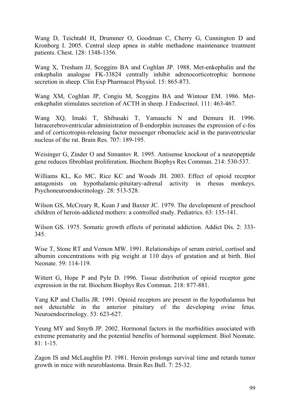Wang D, Teichtahl H, Drummer O, Goodman C, Cherry G, Cunnington D and Kronborg I. 2005. Central sleep apnea in stable methadone maintenance treatment patients. Chest. 128: 1348-1356.

Wang X, Tresham JJ, Scoggins BA and Coghlan JP. 1988. Met-enkephalin and the enkephalin analogue FK-33824 centrally inhibit adrenocorticotrophic hormone secretion in sheep. Clin Exp Pharmacol Physiol. 15: 865-873.

Wang XM, Coghlan JP, Congiu M, Scoggins BA and Wintour EM. 1986. Metenkephalin stimulates secretion of ACTH in sheep. J Endocrinol. 111: 463-467.

Wang XQ, Imaki T, Shibasaki T, Yamauchi N and Demura H. 1996. Intracerebroventricular administration of ß-endorphin increases the expression of c-fos and of corticotropin-releasing factor messenger ribonucleic acid in the paraventricular nucleus of the rat. Brain Res. 707: 189-195.

Weisinger G, Zinder O and Simantov R. 1995. Antisense knockout of a neuropeptide gene reduces fibroblast proliferation. Biochem Biophys Res Commun. 214: 530-537.

Williams KL, Ko MC, Rice KC and Woods JH. 2003. Effect of opioid receptor antagonists on hypothalamic-pituitary-adrenal activity in rhesus monkeys. Psychoneuroendocrinology. 28: 513-528.

Wilson GS, McCreary R, Kean J and Baxter JC. 1979. The development of preschool children of heroin-addicted mothers: a controlled study. Pediatrics. 63: 135-141.

Wilson GS. 1975. Somatic growth effects of perinatal addiction. Addict Dis. 2: 333- 345.

Wise T, Stone RT and Vernon MW. 1991. Relationships of serum estriol, cortisol and albumin concentrations with pig weight at 110 days of gestation and at birth. Biol Neonate. 59: 114-119.

Wittert G, Hope P and Pyle D. 1996. Tissue distribution of opioid receptor gene expression in the rat. Biochem Biophys Res Commun. 218: 877-881.

Yang KP and Challis JR. 1991. Opioid receptors are present in the hypothalamus but not detectable in the anterior pituitary of the developing ovine fetus. Neuroendocrinology. 53: 623-627.

Yeung MY and Smyth JP. 2002. Hormonal factors in the morbidities associated with extreme prematurity and the potential benefits of hormonal supplement. Biol Neonate. 81: 1-15.

Zagon IS and McLaughlin PJ. 1981. Heroin prolongs survival time and retards tumor growth in mice with neuroblastoma. Brain Res Bull. 7: 25-32.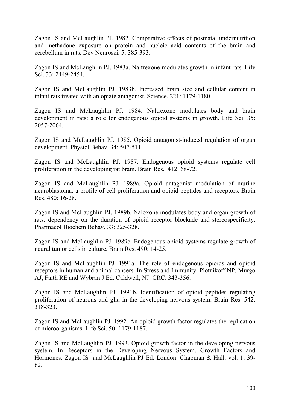Zagon IS and McLaughlin PJ. 1982. Comparative effects of postnatal undernutrition and methadone exposure on protein and nucleic acid contents of the brain and cerebellum in rats. Dev Neurosci. 5: 385-393.

Zagon IS and McLaughlin PJ. 1983a. Naltrexone modulates growth in infant rats. Life Sci. 33: 2449-2454.

Zagon IS and McLaughlin PJ. 1983b. Increased brain size and cellular content in infant rats treated with an opiate antagonist. Science. 221: 1179-1180.

Zagon IS and McLaughlin PJ. 1984. Naltrexone modulates body and brain development in rats: a role for endogenous opioid systems in growth. Life Sci. 35: 2057-2064.

Zagon IS and McLaughlin PJ. 1985. Opioid antagonist-induced regulation of organ development. Physiol Behav. 34: 507-511.

Zagon IS and McLaughlin PJ. 1987. Endogenous opioid systems regulate cell proliferation in the developing rat brain. Brain Res. 412: 68-72.

Zagon IS and McLaughlin PJ. 1989a. Opioid antagonist modulation of murine neuroblastoma: a profile of cell proliferation and opioid peptides and receptors. Brain Res. 480: 16-28.

Zagon IS and McLaughlin PJ. 1989b. Naloxone modulates body and organ growth of rats: dependency on the duration of opioid receptor blockade and stereospecificity. Pharmacol Biochem Behav. 33: 325-328.

Zagon IS and McLaughlin PJ. 1989c. Endogenous opioid systems regulate growth of neural tumor cells in culture. Brain Res. 490: 14-25.

Zagon IS and McLaughlin PJ. 1991a. The role of endogenous opioids and opioid receptors in human and animal cancers. In Stress and Immunity. Plotnikoff NP, Murgo AJ, Faith RE and Wybran J Ed. Caldwell, NJ: CRC. 343-356.

Zagon IS and McLaughlin PJ. 1991b. Identification of opioid peptides regulating proliferation of neurons and glia in the developing nervous system. Brain Res. 542: 318-323.

Zagon IS and McLaughlin PJ. 1992. An opioid growth factor regulates the replication of microorganisms. Life Sci. 50: 1179-1187.

Zagon IS and McLaughlin PJ. 1993. Opioid growth factor in the developing nervous system. In Receptors in the Developing Nervous System. Growth Factors and Hormones. Zagon IS and McLaughlin PJ Ed. London: Chapman & Hall. vol. 1, 39- 62.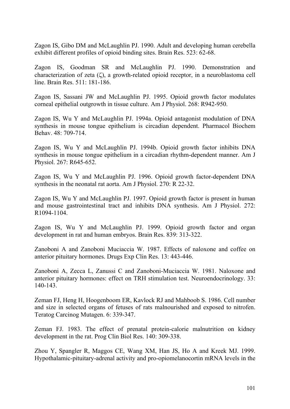Zagon IS, Gibo DM and McLaughlin PJ. 1990. Adult and developing human cerebella exhibit different profiles of opioid binding sites. Brain Res. 523: 62-68.

Zagon IS, Goodman SR and McLaughlin PJ. 1990. Demonstration and characterization of zeta (ζ), a growth-related opioid receptor, in a neuroblastoma cell line. Brain Res. 511: 181-186.

Zagon IS, Sassani JW and McLaughlin PJ. 1995. Opioid growth factor modulates corneal epithelial outgrowth in tissue culture. Am J Physiol. 268: R942-950.

Zagon IS, Wu Y and McLaughlin PJ. 1994a. Opioid antagonist modulation of DNA synthesis in mouse tongue epithelium is circadian dependent. Pharmacol Biochem Behav. 48: 709-714.

Zagon IS, Wu Y and McLaughlin PJ. 1994b. Opioid growth factor inhibits DNA synthesis in mouse tongue epithelium in a circadian rhythm-dependent manner. Am J Physiol. 267: R645-652.

Zagon IS, Wu Y and McLaughlin PJ. 1996. Opioid growth factor-dependent DNA synthesis in the neonatal rat aorta. Am J Physiol. 270: R 22-32.

Zagon IS, Wu Y and McLaughlin PJ. 1997. Opioid growth factor is present in human and mouse gastrointestinal tract and inhibits DNA synthesis. Am J Physiol. 272: R1094-1104.

Zagon IS, Wu Y and McLaughlin PJ. 1999. Opioid growth factor and organ development in rat and human embryos. Brain Res. 839: 313-322.

Zanoboni A and Zanoboni Muciaccia W. 1987. Effects of naloxone and coffee on anterior pituitary hormones. Drugs Exp Clin Res. 13: 443-446.

Zanoboni A, Zecca L, Zanussi C and Zanoboni-Muciaccia W. 1981. Naloxone and anterior pituitary hormones: effect on TRH stimulation test. Neuroendocrinology. 33: 140-143.

Zeman FJ, Heng H, Hoogenboom ER, Kavlock RJ and Mahboob S. 1986. Cell number and size in selected organs of fetuses of rats malnourished and exposed to nitrofen. Teratog Carcinog Mutagen. 6: 339-347.

Zeman FJ. 1983. The effect of prenatal protein-calorie malnutrition on kidney development in the rat. Prog Clin Biol Res. 140: 309-338.

Zhou Y, Spangler R, Maggos CE, Wang XM, Han JS, Ho A and Kreek MJ. 1999. Hypothalamic-pituitary-adrenal activity and pro-opiomelanocortin mRNA levels in the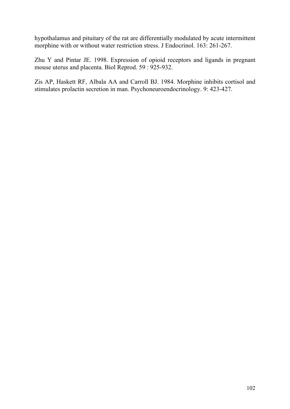hypothalamus and pituitary of the rat are differentially modulated by acute intermittent morphine with or without water restriction stress. J Endocrinol. 163: 261-267.

Zhu Y and Pintar JE. 1998. Expression of opioid receptors and ligands in pregnant mouse uterus and placenta. Biol Reprod. 59 : 925-932.

Zis AP, Haskett RF, Albala AA and Carroll BJ. 1984. Morphine inhibits cortisol and stimulates prolactin secretion in man. Psychoneuroendocrinology. 9: 423-427.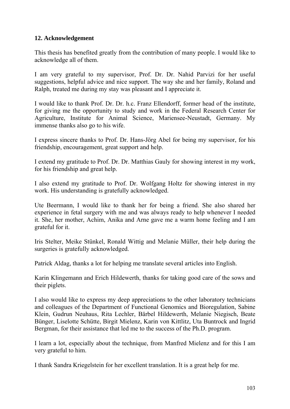## **12. Acknowledgement**

This thesis has benefited greatly from the contribution of many people. I would like to acknowledge all of them.

I am very grateful to my supervisor, Prof. Dr. Dr. Nahid Parvizi for her useful suggestions, helpful advice and nice support. The way she and her family, Roland and Ralph, treated me during my stay was pleasant and I appreciate it.

I would like to thank Prof. Dr. Dr. h.c. Franz Ellendorff, former head of the institute, for giving me the opportunity to study and work in the Federal Research Center for Agriculture, Institute for Animal Science, Mariensee-Neustadt, Germany. My immense thanks also go to his wife.

I express sincere thanks to Prof. Dr. Hans-Jörg Abel for being my supervisor, for his friendship, encouragement, great support and help.

I extend my gratitude to Prof. Dr. Dr. Matthias Gauly for showing interest in my work, for his friendship and great help.

I also extend my gratitude to Prof. Dr. Wolfgang Holtz for showing interest in my work. His understanding is gratefully acknowledged.

Ute Beermann, I would like to thank her for being a friend. She also shared her experience in fetal surgery with me and was always ready to help whenever I needed it. She, her mother, Achim, Anika and Arne gave me a warm home feeling and I am grateful for it.

Iris Stelter, Meike Stünkel, Ronald Wittig and Melanie Müller, their help during the surgeries is gratefully acknowledged.

Patrick Aldag, thanks a lot for helping me translate several articles into English.

Karin Klingemann and Erich Hildewerth, thanks for taking good care of the sows and their piglets.

I also would like to express my deep appreciations to the other laboratory technicians and colleagues of the Department of Functional Genomics and Bioregulation, Sabine Klein, Gudrun Neuhaus, Rita Lechler, Bärbel Hildewerth, Melanie Niegisch, Beate Bünger, Liselotte Schütte, Birgit Mielenz, Karin von Kittlitz, Uta Buntrock and Ingrid Bergman, for their assistance that led me to the success of the Ph.D. program.

I learn a lot, especially about the technique, from Manfred Mielenz and for this I am very grateful to him.

I thank Sandra Kriegelstein for her excellent translation. It is a great help for me.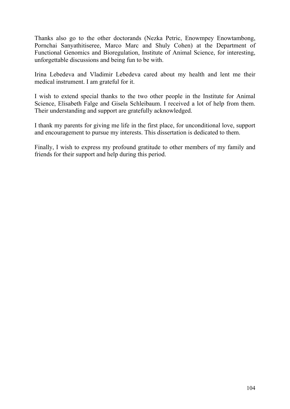Thanks also go to the other doctorands (Nezka Petric, Enowmpey Enowtambong, Pornchai Sanyathitiseree, Marco Marc and Shuly Cohen) at the Department of Functional Genomics and Bioregulation, Institute of Animal Science, for interesting, unforgettable discussions and being fun to be with.

Irina Lebedeva and Vladimir Lebedeva cared about my health and lent me their medical instrument. I am grateful for it.

I wish to extend special thanks to the two other people in the Institute for Animal Science, Elisabeth Falge and Gisela Schleibaum. I received a lot of help from them. Their understanding and support are gratefully acknowledged.

I thank my parents for giving me life in the first place, for unconditional love, support and encouragement to pursue my interests. This dissertation is dedicated to them.

Finally, I wish to express my profound gratitude to other members of my family and friends for their support and help during this period.